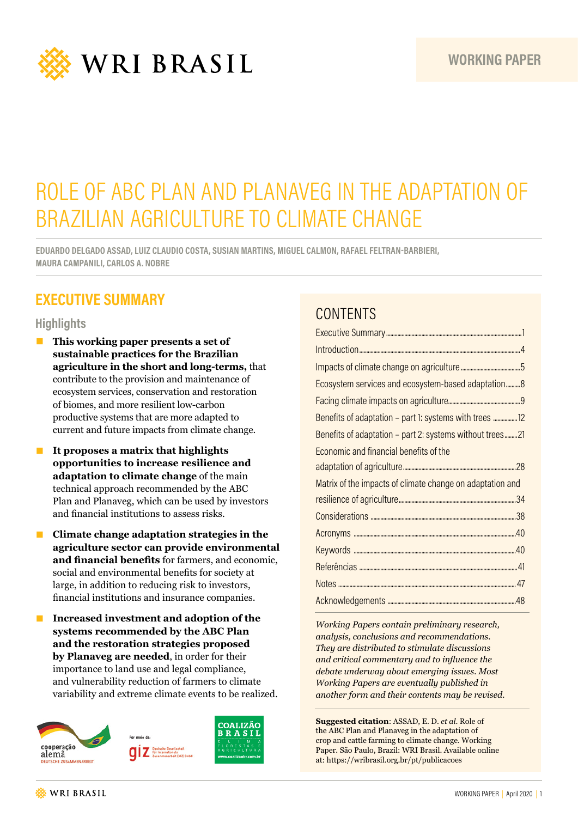

# ROLE OF ABC PLAN AND PLANAVEG IN THE ADAPTATION OF BRAZILIAN AGRICULTURE TO CLIMATE CHANGE

**EDUARDO DELGADO ASSAD, LUIZ CLAUDIO COSTA, SUSIAN MARTINS, MIGUEL CALMON, RAFAEL FELTRAN-BARBIERI, MAURA CAMPANILI, CARLOS A. NOBRE**

## **EXECUTIVE SUMMARY**

#### **Highlights**

- This working paper presents a set of **sustainable practices for the Brazilian agriculture in the short and long-terms,** that contribute to the provision and maintenance of ecosystem services, conservation and restoration of biomes, and more resilient low-carbon productive systems that are more adapted to current and future impacts from climate change.
- **It proposes a matrix that highlights opportunities to increase resilience and adaptation to climate change** of the main technical approach recommended by the ABC Plan and Planaveg, which can be used by investors and financial institutions to assess risks.
- **Climate change adaptation strategies in the agriculture sector can provide environmental and financial benefits** for farmers, and economic, social and environmental benefits for society at large, in addition to reducing risk to investors, financial institutions and insurance companies.
- **Increased investment and adoption of the systems recommended by the ABC Plan and the restoration strategies proposed by Planaveg are needed**, in order for their importance to land use and legal compliance, and vulnerability reduction of farmers to climate variability and extreme climate events to be realized.



## **CONTENTS**

| Ecosystem services and ecosystem-based adaptation 8       |
|-----------------------------------------------------------|
|                                                           |
|                                                           |
| Benefits of adaptation - part 2: systems without trees21  |
| Economic and financial benefits of the                    |
|                                                           |
| Matrix of the impacts of climate change on adaptation and |
|                                                           |
|                                                           |
|                                                           |
|                                                           |
|                                                           |
|                                                           |
|                                                           |

*Working Papers contain preliminary research, analysis, conclusions and recommendations. They are distributed to stimulate discussions and critical commentary and to influence the debate underway about emerging issues. Most Working Papers are eventually published in another form and their contents may be revised.*

**Suggested citation**: ASSAD, E. D. *et al*. Role of the ABC Plan and Planaveg in the adaptation of crop and cattle farming to climate change. Working Paper. São Paulo, Brazil: WRI Brasil. Available online at: https://wribrasil.org.br/pt/publicacoes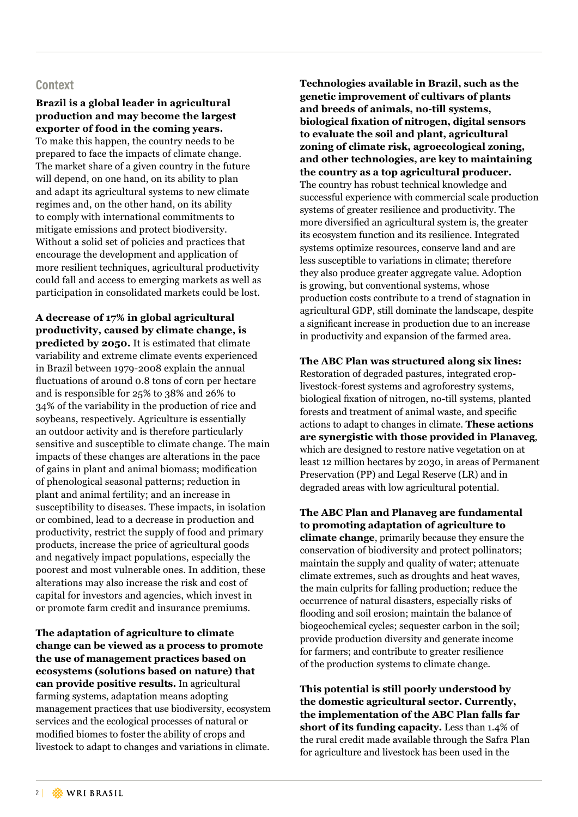#### **Context**

#### **Brazil is a global leader in agricultural production and may become the largest exporter of food in the coming years.**

To make this happen, the country needs to be prepared to face the impacts of climate change. The market share of a given country in the future will depend, on one hand, on its ability to plan and adapt its agricultural systems to new climate regimes and, on the other hand, on its ability to comply with international commitments to mitigate emissions and protect biodiversity. Without a solid set of policies and practices that encourage the development and application of more resilient techniques, agricultural productivity could fall and access to emerging markets as well as participation in consolidated markets could be lost.

**A decrease of 17% in global agricultural productivity, caused by climate change, is predicted by 2050.** It is estimated that climate variability and extreme climate events experienced in Brazil between 1979-2008 explain the annual fluctuations of around 0.8 tons of corn per hectare and is responsible for 25% to 38% and 26% to 34% of the variability in the production of rice and soybeans, respectively. Agriculture is essentially an outdoor activity and is therefore particularly sensitive and susceptible to climate change. The main impacts of these changes are alterations in the pace of gains in plant and animal biomass; modification of phenological seasonal patterns; reduction in plant and animal fertility; and an increase in susceptibility to diseases. These impacts, in isolation or combined, lead to a decrease in production and productivity, restrict the supply of food and primary products, increase the price of agricultural goods and negatively impact populations, especially the poorest and most vulnerable ones. In addition, these alterations may also increase the risk and cost of capital for investors and agencies, which invest in or promote farm credit and insurance premiums.

**The adaptation of agriculture to climate change can be viewed as a process to promote the use of management practices based on ecosystems (solutions based on nature) that can provide positive results.** In agricultural farming systems, adaptation means adopting management practices that use biodiversity, ecosystem services and the ecological processes of natural or modified biomes to foster the ability of crops and livestock to adapt to changes and variations in climate.

**Technologies available in Brazil, such as the genetic improvement of cultivars of plants and breeds of animals, no-till systems, biological fixation of nitrogen, digital sensors to evaluate the soil and plant, agricultural zoning of climate risk, agroecological zoning, and other technologies, are key to maintaining the country as a top agricultural producer.** The country has robust technical knowledge and successful experience with commercial scale production systems of greater resilience and productivity. The more diversified an agricultural system is, the greater its ecosystem function and its resilience. Integrated systems optimize resources, conserve land and are less susceptible to variations in climate; therefore they also produce greater aggregate value. Adoption is growing, but conventional systems, whose production costs contribute to a trend of stagnation in agricultural GDP, still dominate the landscape, despite a significant increase in production due to an increase in productivity and expansion of the farmed area.

**The ABC Plan was structured along six lines:** Restoration of degraded pastures, integrated croplivestock-forest systems and agroforestry systems, biological fixation of nitrogen, no-till systems, planted forests and treatment of animal waste, and specific actions to adapt to changes in climate. **These actions are synergistic with those provided in Planaveg**, which are designed to restore native vegetation on at least 12 million hectares by 2030, in areas of Permanent Preservation (PP) and Legal Reserve (LR) and in degraded areas with low agricultural potential.

**The ABC Plan and Planaveg are fundamental to promoting adaptation of agriculture to climate change**, primarily because they ensure the conservation of biodiversity and protect pollinators; maintain the supply and quality of water; attenuate climate extremes, such as droughts and heat waves, the main culprits for falling production; reduce the occurrence of natural disasters, especially risks of flooding and soil erosion; maintain the balance of biogeochemical cycles; sequester carbon in the soil; provide production diversity and generate income for farmers; and contribute to greater resilience of the production systems to climate change.

**This potential is still poorly understood by the domestic agricultural sector. Currently, the implementation of the ABC Plan falls far short of its funding capacity.** Less than 1.4% of the rural credit made available through the Safra Plan for agriculture and livestock has been used in the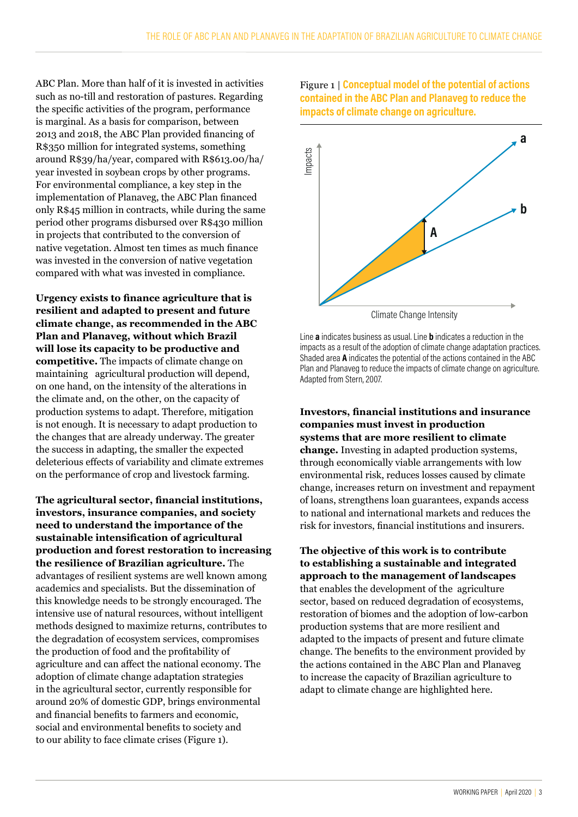ABC Plan. More than half of it is invested in activities such as no-till and restoration of pastures. Regarding the specific activities of the program, performance is marginal. As a basis for comparison, between 2013 and 2018, the ABC Plan provided financing of R\$350 million for integrated systems, something around R\$39/ha/year, compared with R\$613.00/ha/ year invested in soybean crops by other programs. For environmental compliance, a key step in the implementation of Planaveg, the ABC Plan financed only R\$45 million in contracts, while during the same period other programs disbursed over R\$430 million in projects that contributed to the conversion of native vegetation. Almost ten times as much finance was invested in the conversion of native vegetation compared with what was invested in compliance.

**Urgency exists to finance agriculture that is resilient and adapted to present and future climate change, as recommended in the ABC Plan and Planaveg, without which Brazil will lose its capacity to be productive and competitive.** The impacts of climate change on maintaining agricultural production will depend, on one hand, on the intensity of the alterations in the climate and, on the other, on the capacity of production systems to adapt. Therefore, mitigation is not enough. It is necessary to adapt production to the changes that are already underway. The greater the success in adapting, the smaller the expected deleterious effects of variability and climate extremes on the performance of crop and livestock farming.

**The agricultural sector, financial institutions, investors, insurance companies, and society need to understand the importance of the sustainable intensification of agricultural production and forest restoration to increasing the resilience of Brazilian agriculture.** The advantages of resilient systems are well known among academics and specialists. But the dissemination of this knowledge needs to be strongly encouraged. The intensive use of natural resources, without intelligent methods designed to maximize returns, contributes to the degradation of ecosystem services, compromises the production of food and the profitability of agriculture and can affect the national economy. The adoption of climate change adaptation strategies in the agricultural sector, currently responsible for around 20% of domestic GDP, brings environmental and financial benefits to farmers and economic, social and environmental benefits to society and to our ability to face climate crises (Figure 1).

Figure 1 | **Conceptual model of the potential of actions contained in the ABC Plan and Planaveg to reduce the impacts of climate change on agriculture.** 



Line **a** indicates business as usual. Line **b** indicates a reduction in the impacts as a result of the adoption of climate change adaptation practices. Shaded area **A** indicates the potential of the actions contained in the ABC Plan and Planaveg to reduce the impacts of climate change on agriculture. Adapted from Stern, 2007.

**Investors, financial institutions and insurance companies must invest in production systems that are more resilient to climate change.** Investing in adapted production systems, through economically viable arrangements with low environmental risk, reduces losses caused by climate change, increases return on investment and repayment of loans, strengthens loan guarantees, expands access to national and international markets and reduces the risk for investors, financial institutions and insurers.

**The objective of this work is to contribute to establishing a sustainable and integrated approach to the management of landscapes** that enables the development of the agriculture sector, based on reduced degradation of ecosystems, restoration of biomes and the adoption of low-carbon production systems that are more resilient and adapted to the impacts of present and future climate change. The benefits to the environment provided by the actions contained in the ABC Plan and Planaveg to increase the capacity of Brazilian agriculture to adapt to climate change are highlighted here.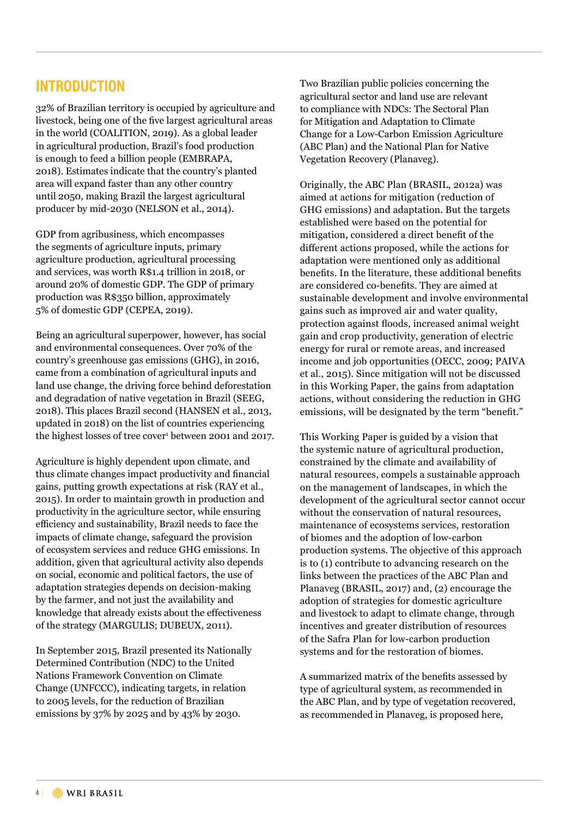## **INTRODUCTION**

32% of Brazilian territory is occupied by agriculture and livestock, being one of the five largest agricultural areas in the world (COALITION, 2019). As a global leader in agricultural production, Brazil's food production is enough to feed a billion people (EMBRAPA, 2018). Estimates indicate that the country's planted area will expand faster than any other country until 2050, making Brazil the largest agricultural producer by mid-2030 (NELSON et al., 2014).

GDP from agribusiness, which encompasses the segments of agriculture inputs, primary agriculture production, agricultural processing and services, was worth R\$1.4 trillion in 2018, or around 20% of domestic GDP. The GDP of primary production was R\$350 billion, approximately 5% of domestic GDP (CEPEA, 2019).

Being an agricultural superpower, however, has social and environmental consequences. Over 70% of the country's greenhouse gas emissions (GHG), in 2016, came from a combination of agricultural inputs and land use change, the driving force behind deforestation and degradation of native vegetation in Brazil (SEEG, 2018). This places Brazil second (HANSEN et al., 2013, updated in 2018) on the list of countries experiencing the highest losses of tree cover<sup>1</sup> between 2001 and 2017.

Agriculture is highly dependent upon climate, and thus climate changes impact productivity and financial gains, putting growth expectations at risk (RAY et al., 2015). In order to maintain growth in production and productivity in the agriculture sector, while ensuring efficiency and sustainability, Brazil needs to face the impacts of climate change, safeguard the provision of ecosystem services and reduce GHG emissions. In addition, given that agricultural activity also depends on social, economic and political factors, the use of adaptation strategies depends on decision-making by the farmer, and not just the availability and knowledge that already exists about the effectiveness of the strategy (MARGULIS; DUBEUX, 2011).

In September 2015, Brazil presented its Nationally Determined Contribution (NDC) to the United Nations Framework Convention on Climate Change (UNFCCC), indicating targets, in relation to 2005 levels, for the reduction of Brazilian emissions by 37% by 2025 and by 43% by 2030.

Two Brazilian public policies concerning the agricultural sector and land use are relevant to compliance with NDCs: The Sectoral Plan for Mitigation and Adaptation to Climate Change for a Low-Carbon Emission Agriculture (ABC Plan) and the National Plan for Native Vegetation Recovery (Planaveg).

Originally, the ABC Plan (BRASIL, 2012a) was aimed at actions for mitigation (reduction of GHG emissions) and adaptation. But the targets established were based on the potential for mitigation, considered a direct benefit of the different actions proposed, while the actions for adaptation were mentioned only as additional benefits. In the literature, these additional benefits are considered co-benefits. They are aimed at sustainable development and involve environmental gains such as improved air and water quality, protection against floods, increased animal weight gain and crop productivity, generation of electric energy for rural or remote areas, and increased income and job opportunities (OECC, 2009; PAIVA et al., 2015). Since mitigation will not be discussed in this Working Paper, the gains from adaptation actions, without considering the reduction in GHG emissions, will be designated by the term "benefit."

This Working Paper is guided by a vision that the systemic nature of agricultural production, constrained by the climate and availability of natural resources, compels a sustainable approach on the management of landscapes, in which the development of the agricultural sector cannot occur without the conservation of natural resources, maintenance of ecosystems services, restoration of biomes and the adoption of low-carbon production systems. The objective of this approach is to (1) contribute to advancing research on the links between the practices of the ABC Plan and Planaveg (BRASIL, 2017) and, (2) encourage the adoption of strategies for domestic agriculture and livestock to adapt to climate change, through incentives and greater distribution of resources of the Safra Plan for low-carbon production systems and for the restoration of biomes.

A summarized matrix of the benefits assessed by type of agricultural system, as recommended in the ABC Plan, and by type of vegetation recovered, as recommended in Planaveg, is proposed here,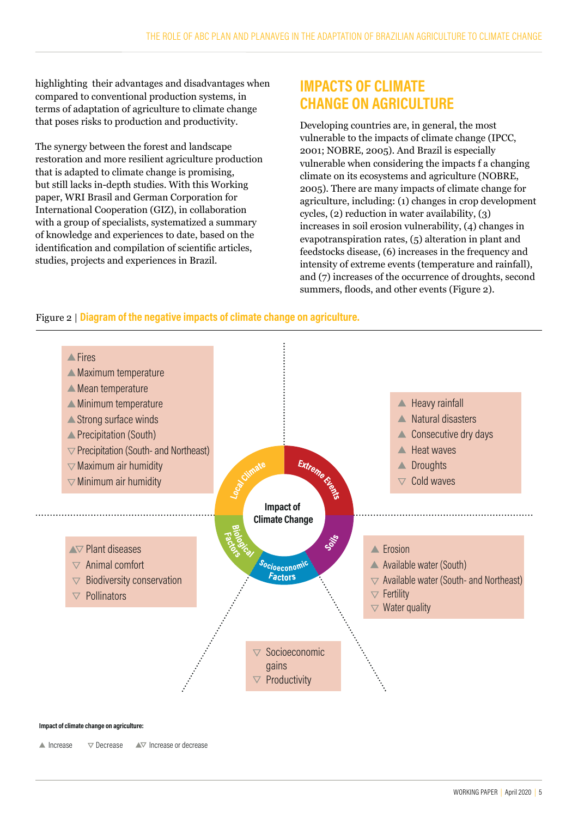highlighting their advantages and disadvantages when compared to conventional production systems, in terms of adaptation of agriculture to climate change that poses risks to production and productivity.

The synergy between the forest and landscape restoration and more resilient agriculture production that is adapted to climate change is promising, but still lacks in-depth studies. With this Working paper, WRI Brasil and German Corporation for International Cooperation (GIZ), in collaboration with a group of specialists, systematized a summary of knowledge and experiences to date, based on the identification and compilation of scientific articles, studies, projects and experiences in Brazil.

## **IMPACTS OF CLIMATE CHANGE ON AGRICULTURE**

Developing countries are, in general, the most vulnerable to the impacts of climate change (IPCC, 2001; NOBRE, 2005). And Brazil is especially vulnerable when considering the impacts f a changing climate on its ecosystems and agriculture (NOBRE, 2005). There are many impacts of climate change for agriculture, including: (1) changes in crop development cycles, (2) reduction in water availability, (3) increases in soil erosion vulnerability, (4) changes in evapotranspiration rates, (5) alteration in plant and feedstocks disease, (6) increases in the frequency and intensity of extreme events (temperature and rainfall), and (7) increases of the occurrence of droughts, second summers, floods, and other events (Figure 2).

#### Figure 2 | **Diagram of the negative impacts of climate change on agriculture.**



#### **Impact of climate change on agriculture:**

 $\blacksquare$  Increase  $\blacksquare$   $\triangledown$  Decrease  $\blacksquare$  Increase or decrease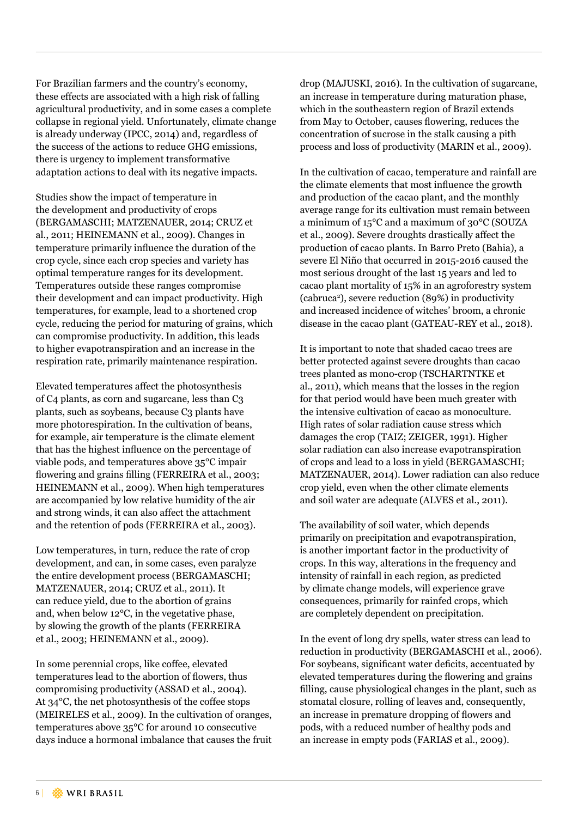For Brazilian farmers and the country's economy, these effects are associated with a high risk of falling agricultural productivity, and in some cases a complete collapse in regional yield. Unfortunately, climate change is already underway (IPCC, 2014) and, regardless of the success of the actions to reduce GHG emissions, there is urgency to implement transformative adaptation actions to deal with its negative impacts.

Studies show the impact of temperature in the development and productivity of crops (BERGAMASCHI; MATZENAUER, 2014; CRUZ et al., 2011; HEINEMANN et al., 2009). Changes in temperature primarily influence the duration of the crop cycle, since each crop species and variety has optimal temperature ranges for its development. Temperatures outside these ranges compromise their development and can impact productivity. High temperatures, for example, lead to a shortened crop cycle, reducing the period for maturing of grains, which can compromise productivity. In addition, this leads to higher evapotranspiration and an increase in the respiration rate, primarily maintenance respiration.

Elevated temperatures affect the photosynthesis of C4 plants, as corn and sugarcane, less than C3 plants, such as soybeans, because C3 plants have more photorespiration. In the cultivation of beans, for example, air temperature is the climate element that has the highest influence on the percentage of viable pods, and temperatures above 35°C impair flowering and grains filling (FERREIRA et al., 2003; HEINEMANN et al., 2009). When high temperatures are accompanied by low relative humidity of the air and strong winds, it can also affect the attachment and the retention of pods (FERREIRA et al., 2003).

Low temperatures, in turn, reduce the rate of crop development, and can, in some cases, even paralyze the entire development process (BERGAMASCHI; MATZENAUER, 2014; CRUZ et al., 2011). It can reduce yield, due to the abortion of grains and, when below 12°C, in the vegetative phase, by slowing the growth of the plants (FERREIRA et al., 2003; HEINEMANN et al., 2009).

In some perennial crops, like coffee, elevated temperatures lead to the abortion of flowers, thus compromising productivity (ASSAD et al., 2004). At 34°C, the net photosynthesis of the coffee stops (MEIRELES et al., 2009). In the cultivation of oranges, temperatures above 35°C for around 10 consecutive days induce a hormonal imbalance that causes the fruit

drop (MAJUSKI, 2016). In the cultivation of sugarcane, an increase in temperature during maturation phase, which in the southeastern region of Brazil extends from May to October, causes flowering, reduces the concentration of sucrose in the stalk causing a pith process and loss of productivity (MARIN et al., 2009).

In the cultivation of cacao, temperature and rainfall are the climate elements that most influence the growth and production of the cacao plant, and the monthly average range for its cultivation must remain between a minimum of 15°C and a maximum of 30°C (SOUZA et al., 2009). Severe droughts drastically affect the production of cacao plants. In Barro Preto (Bahia), a severe El Niño that occurred in 2015-2016 caused the most serious drought of the last 15 years and led to cacao plant mortality of 15% in an agroforestry system (cabruca2 ), severe reduction (89%) in productivity and increased incidence of witches' broom, a chronic disease in the cacao plant (GATEAU-REY et al., 2018).

It is important to note that shaded cacao trees are better protected against severe droughts than cacao trees planted as mono-crop (TSCHARTNTKE et al., 2011), which means that the losses in the region for that period would have been much greater with the intensive cultivation of cacao as monoculture. High rates of solar radiation cause stress which damages the crop (TAIZ; ZEIGER, 1991). Higher solar radiation can also increase evapotranspiration of crops and lead to a loss in yield (BERGAMASCHI; MATZENAUER, 2014). Lower radiation can also reduce crop yield, even when the other climate elements and soil water are adequate (ALVES et al., 2011).

The availability of soil water, which depends primarily on precipitation and evapotranspiration, is another important factor in the productivity of crops. In this way, alterations in the frequency and intensity of rainfall in each region, as predicted by climate change models, will experience grave consequences, primarily for rainfed crops, which are completely dependent on precipitation.

In the event of long dry spells, water stress can lead to reduction in productivity (BERGAMASCHI et al., 2006). For soybeans, significant water deficits, accentuated by elevated temperatures during the flowering and grains filling, cause physiological changes in the plant, such as stomatal closure, rolling of leaves and, consequently, an increase in premature dropping of flowers and pods, with a reduced number of healthy pods and an increase in empty pods (FARIAS et al., 2009).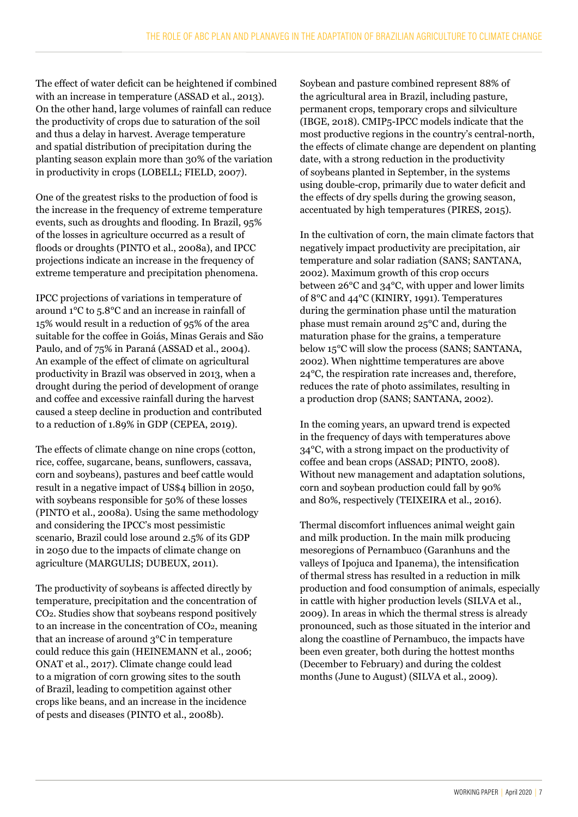The effect of water deficit can be heightened if combined with an increase in temperature (ASSAD et al., 2013). On the other hand, large volumes of rainfall can reduce the productivity of crops due to saturation of the soil and thus a delay in harvest. Average temperature and spatial distribution of precipitation during the planting season explain more than 30% of the variation in productivity in crops (LOBELL; FIELD, 2007).

One of the greatest risks to the production of food is the increase in the frequency of extreme temperature events, such as droughts and flooding. In Brazil, 95% of the losses in agriculture occurred as a result of floods or droughts (PINTO et al., 2008a), and IPCC projections indicate an increase in the frequency of extreme temperature and precipitation phenomena.

IPCC projections of variations in temperature of around 1°C to 5.8°C and an increase in rainfall of 15% would result in a reduction of 95% of the area suitable for the coffee in Goiás, Minas Gerais and São Paulo, and of 75% in Paraná (ASSAD et al., 2004). An example of the effect of climate on agricultural productivity in Brazil was observed in 2013, when a drought during the period of development of orange and coffee and excessive rainfall during the harvest caused a steep decline in production and contributed to a reduction of 1.89% in GDP (CEPEA, 2019).

The effects of climate change on nine crops (cotton, rice, coffee, sugarcane, beans, sunflowers, cassava, corn and soybeans), pastures and beef cattle would result in a negative impact of US\$4 billion in 2050, with soybeans responsible for 50% of these losses (PINTO et al., 2008a). Using the same methodology and considering the IPCC's most pessimistic scenario, Brazil could lose around 2.5% of its GDP in 2050 due to the impacts of climate change on agriculture (MARGULIS; DUBEUX, 2011).

The productivity of soybeans is affected directly by temperature, precipitation and the concentration of CO2. Studies show that soybeans respond positively to an increase in the concentration of CO2, meaning that an increase of around 3°C in temperature could reduce this gain (HEINEMANN et al., 2006; ONAT et al., 2017). Climate change could lead to a migration of corn growing sites to the south of Brazil, leading to competition against other crops like beans, and an increase in the incidence of pests and diseases (PINTO et al., 2008b).

Soybean and pasture combined represent 88% of the agricultural area in Brazil, including pasture, permanent crops, temporary crops and silviculture (IBGE, 2018). CMIP5-IPCC models indicate that the most productive regions in the country's central-north, the effects of climate change are dependent on planting date, with a strong reduction in the productivity of soybeans planted in September, in the systems using double-crop, primarily due to water deficit and the effects of dry spells during the growing season, accentuated by high temperatures (PIRES, 2015).

In the cultivation of corn, the main climate factors that negatively impact productivity are precipitation, air temperature and solar radiation (SANS; SANTANA, 2002). Maximum growth of this crop occurs between 26°C and 34°C, with upper and lower limits of 8°C and 44°C (KINIRY, 1991). Temperatures during the germination phase until the maturation phase must remain around 25°C and, during the maturation phase for the grains, a temperature below 15°C will slow the process (SANS; SANTANA, 2002). When nighttime temperatures are above 24°C, the respiration rate increases and, therefore, reduces the rate of photo assimilates, resulting in a production drop (SANS; SANTANA, 2002).

In the coming years, an upward trend is expected in the frequency of days with temperatures above 34°C, with a strong impact on the productivity of coffee and bean crops (ASSAD; PINTO, 2008). Without new management and adaptation solutions, corn and soybean production could fall by 90% and 80%, respectively (TEIXEIRA et al., 2016).

Thermal discomfort influences animal weight gain and milk production. In the main milk producing mesoregions of Pernambuco (Garanhuns and the valleys of Ipojuca and Ipanema), the intensification of thermal stress has resulted in a reduction in milk production and food consumption of animals, especially in cattle with higher production levels (SILVA et al., 2009). In areas in which the thermal stress is already pronounced, such as those situated in the interior and along the coastline of Pernambuco, the impacts have been even greater, both during the hottest months (December to February) and during the coldest months (June to August) (SILVA et al., 2009).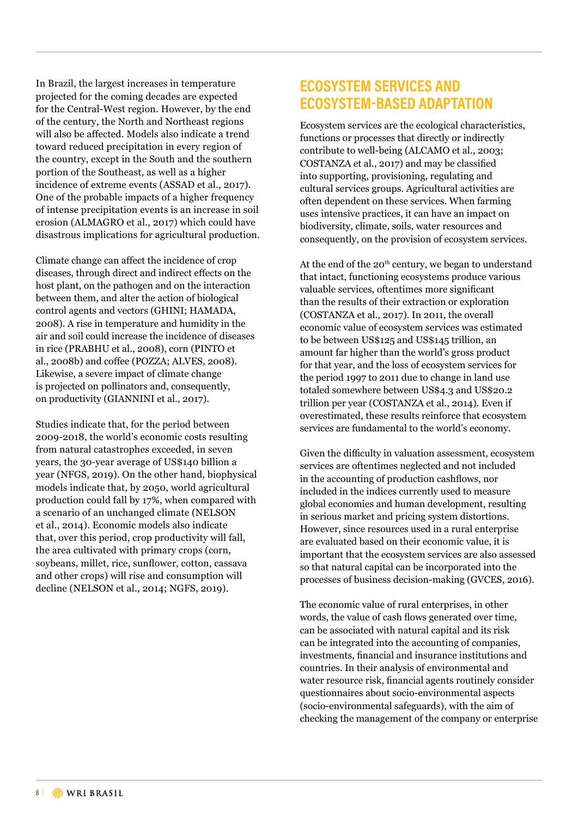In Brazil, the largest increases in temperature projected for the coming decades are expected for the Central-West region. However, by the end of the century, the North and Northeast regions will also be affected. Models also indicate a trend toward reduced precipitation in every region of the country, except in the South and the southern portion of the Southeast, as well as a higher incidence of extreme events (ASSAD et al., 2017). One of the probable impacts of a higher frequency of intense precipitation events is an increase in soil erosion (ALMAGRO et al., 2017) which could have disastrous implications for agricultural production.

Climate change can affect the incidence of crop diseases, through direct and indirect effects on the host plant, on the pathogen and on the interaction between them, and alter the action of biological control agents and vectors (GHINI; HAMADA, 2008). A rise in temperature and humidity in the air and soil could increase the incidence of diseases in rice (PRABHU et al., 2008), corn (PINTO et al., 2008b) and coffee (POZZA; ALVES, 2008). Likewise, a severe impact of climate change is projected on pollinators and, consequently, on productivity (GIANNINI et al., 2017).

Studies indicate that, for the period between 2009-2018, the world's economic costs resulting from natural catastrophes exceeded, in seven years, the 30-year average of US\$140 billion a year (NFGS, 2019). On the other hand, biophysical models indicate that, by 2050, world agricultural production could fall by 17%, when compared with a scenario of an unchanged climate (NELSON et al., 2014). Economic models also indicate that, over this period, crop productivity will fall, the area cultivated with primary crops (corn, soybeans, millet, rice, sunflower, cotton, cassava and other crops) will rise and consumption will decline (NELSON et al., 2014; NGFS, 2019).

## **ECOSYSTEM SERVICES AND ECOSYSTEM-BASED ADAPTATION**

Ecosystem services are the ecological characteristics, functions or processes that directly or indirectly contribute to well-being (ALCAMO et al., 2003; COSTANZA et al., 2017) and may be classified into supporting, provisioning, regulating and cultural services groups. Agricultural activities are often dependent on these services. When farming uses intensive practices, it can have an impact on biodiversity, climate, soils, water resources and consequently, on the provision of ecosystem services.

At the end of the  $20<sup>th</sup>$  century, we began to understand that intact, functioning ecosystems produce various valuable services, oftentimes more significant than the results of their extraction or exploration (COSTANZA et al., 2017). In 2011, the overall economic value of ecosystem services was estimated to be between US\$125 and US\$145 trillion, an amount far higher than the world's gross product for that year, and the loss of ecosystem services for the period 1997 to 2011 due to change in land use totaled somewhere between US\$4.3 and US\$20.2 trillion per year (COSTANZA et al., 2014). Even if overestimated, these results reinforce that ecosystem services are fundamental to the world's economy.

Given the difficulty in valuation assessment, ecosystem services are oftentimes neglected and not included in the accounting of production cashflows, nor included in the indices currently used to measure global economies and human development, resulting in serious market and pricing system distortions. However, since resources used in a rural enterprise are evaluated based on their economic value, it is important that the ecosystem services are also assessed so that natural capital can be incorporated into the processes of business decision-making (GVCES, 2016).

The economic value of rural enterprises, in other words, the value of cash flows generated over time, can be associated with natural capital and its risk can be integrated into the accounting of companies, investments, financial and insurance institutions and countries. In their analysis of environmental and water resource risk, financial agents routinely consider questionnaires about socio-environmental aspects (socio-environmental safeguards), with the aim of checking the management of the company or enterprise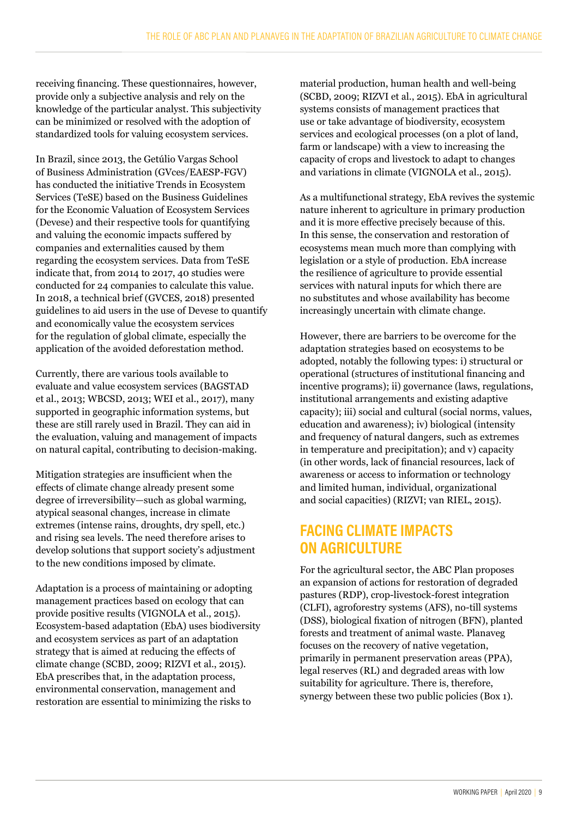receiving financing. These questionnaires, however, provide only a subjective analysis and rely on the knowledge of the particular analyst. This subjectivity can be minimized or resolved with the adoption of standardized tools for valuing ecosystem services.

In Brazil, since 2013, the Getúlio Vargas School of Business Administration (GVces/EAESP-FGV) has conducted the initiative Trends in Ecosystem Services (TeSE) based on the Business Guidelines for the Economic Valuation of Ecosystem Services (Devese) and their respective tools for quantifying and valuing the economic impacts suffered by companies and externalities caused by them regarding the ecosystem services. Data from TeSE indicate that, from 2014 to 2017, 40 studies were conducted for 24 companies to calculate this value. In 2018, a technical brief (GVCES, 2018) presented guidelines to aid users in the use of Devese to quantify and economically value the ecosystem services for the regulation of global climate, especially the application of the avoided deforestation method.

Currently, there are various tools available to evaluate and value ecosystem services (BAGSTAD et al., 2013; WBCSD, 2013; WEI et al., 2017), many supported in geographic information systems, but these are still rarely used in Brazil. They can aid in the evaluation, valuing and management of impacts on natural capital, contributing to decision-making.

Mitigation strategies are insufficient when the effects of climate change already present some degree of irreversibility—such as global warming, atypical seasonal changes, increase in climate extremes (intense rains, droughts, dry spell, etc.) and rising sea levels. The need therefore arises to develop solutions that support society's adjustment to the new conditions imposed by climate.

Adaptation is a process of maintaining or adopting management practices based on ecology that can provide positive results (VIGNOLA et al., 2015). Ecosystem-based adaptation (EbA) uses biodiversity and ecosystem services as part of an adaptation strategy that is aimed at reducing the effects of climate change (SCBD, 2009; RIZVI et al., 2015). EbA prescribes that, in the adaptation process, environmental conservation, management and restoration are essential to minimizing the risks to

material production, human health and well-being (SCBD, 2009; RIZVI et al., 2015). EbA in agricultural systems consists of management practices that use or take advantage of biodiversity, ecosystem services and ecological processes (on a plot of land, farm or landscape) with a view to increasing the capacity of crops and livestock to adapt to changes and variations in climate (VIGNOLA et al., 2015).

As a multifunctional strategy, EbA revives the systemic nature inherent to agriculture in primary production and it is more effective precisely because of this. In this sense, the conservation and restoration of ecosystems mean much more than complying with legislation or a style of production. EbA increase the resilience of agriculture to provide essential services with natural inputs for which there are no substitutes and whose availability has become increasingly uncertain with climate change.

However, there are barriers to be overcome for the adaptation strategies based on ecosystems to be adopted, notably the following types: i) structural or operational (structures of institutional financing and incentive programs); ii) governance (laws, regulations, institutional arrangements and existing adaptive capacity); iii) social and cultural (social norms, values, education and awareness); iv) biological (intensity and frequency of natural dangers, such as extremes in temperature and precipitation); and v) capacity (in other words, lack of financial resources, lack of awareness or access to information or technology and limited human, individual, organizational and social capacities) (RIZVI; van RIEL, 2015).

## **FACING CLIMATE IMPACTS ON AGRICULTURE**

For the agricultural sector, the ABC Plan proposes an expansion of actions for restoration of degraded pastures (RDP), crop-livestock-forest integration (CLFI), agroforestry systems (AFS), no-till systems (DSS), biological fixation of nitrogen (BFN), planted forests and treatment of animal waste. Planaveg focuses on the recovery of native vegetation, primarily in permanent preservation areas (PPA), legal reserves (RL) and degraded areas with low suitability for agriculture. There is, therefore, synergy between these two public policies (Box 1).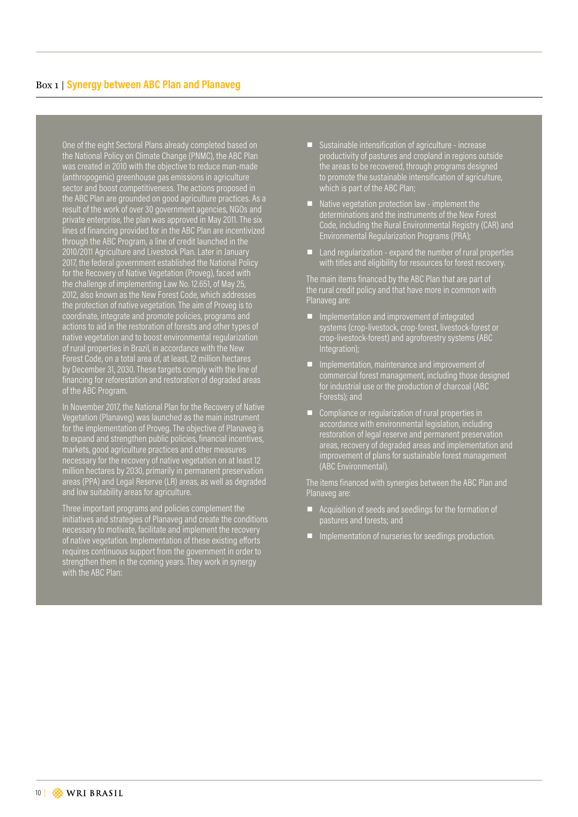One of the eight Sectoral Plans already completed based on the National Policy on Climate Change (PNMC), the ABC Plan was created in 2010 with the objective to reduce man-made (anthropogenic) greenhouse gas emissions in agriculture sector and boost competitiveness. The actions proposed in the ABC Plan are grounded on good agriculture practices. As a result of the work of over 30 government agencies, NGOs and private enterprise, the plan was approved in May 2011. The six lines of financing provided for in the ABC Plan are incentivized through the ABC Program, a line of credit launched in the 2010/2011 Agriculture and Livestock Plan. Later in January 2017, the federal government established the National Policy for the Recovery of Native Vegetation (Proveg), faced with the challenge of implementing Law No. 12.651, of May 25, 2012, also known as the New Forest Code, which addresses the protection of native vegetation. The aim of Proveg is to coordinate, integrate and promote policies, programs and actions to aid in the restoration of forests and other types of native vegetation and to boost environmental regularization of rural properties in Brazil, in accordance with the New Forest Code, on a total area of, at least, 12 million hectares by December 31, 2030. These targets comply with the line of financing for reforestation and restoration of degraded areas of the ABC Program.

In November 2017, the National Plan for the Recovery of Native Vegetation (Planaveg) was launched as the main instrument for the implementation of Proveg. The objective of Planaveg is to expand and strengthen public policies, financial incentives, markets, good agriculture practices and other measures necessary for the recovery of native vegetation on at least 12 million hectares by 2030, primarily in permanent preservation areas (PPA) and Legal Reserve (LR) areas, as well as degraded and low suitability areas for agriculture.

Three important programs and policies complement the initiatives and strategies of Planaveg and create the conditions necessary to motivate, facilitate and implement the recovery of native vegetation. Implementation of these existing efforts requires continuous support from the government in order to strengthen them in the coming years. They work in synergy with the ABC Plan:

- Sustainable intensification of agriculture increase productivity of pastures and cropland in regions outside the areas to be recovered, through programs designed to promote the sustainable intensification of agriculture, which is part of the ABC Plan;
- Native vegetation protection law implement the determinations and the instruments of the New Forest Code, including the Rural Environmental Registry (CAR) and Environmental Regularization Programs (PRA);
- $\blacksquare$  Land regularization expand the number of rural properties with titles and eligibility for resources for forest recovery.

The main items financed by the ABC Plan that are part of the rural credit policy and that have more in common with Planaveg are:

- **IF** Implementation and improvement of integrated systems (crop-livestock, crop-forest, livestock-forest or crop-livestock-forest) and agroforestry systems (ABC Integration);
- Implementation, maintenance and improvement of commercial forest management, including those designed for industrial use or the production of charcoal (ABC Forests); and
- Compliance or regularization of rural properties in accordance with environmental legislation, including restoration of legal reserve and permanent preservation areas, recovery of degraded areas and implementation and improvement of plans for sustainable forest management (ABC Environmental).

The items financed with synergies between the ABC Plan and Planaveg are:

- $\blacksquare$  Acquisition of seeds and seedlings for the formation of pastures and forests; and
- **I** Implementation of nurseries for seedlings production.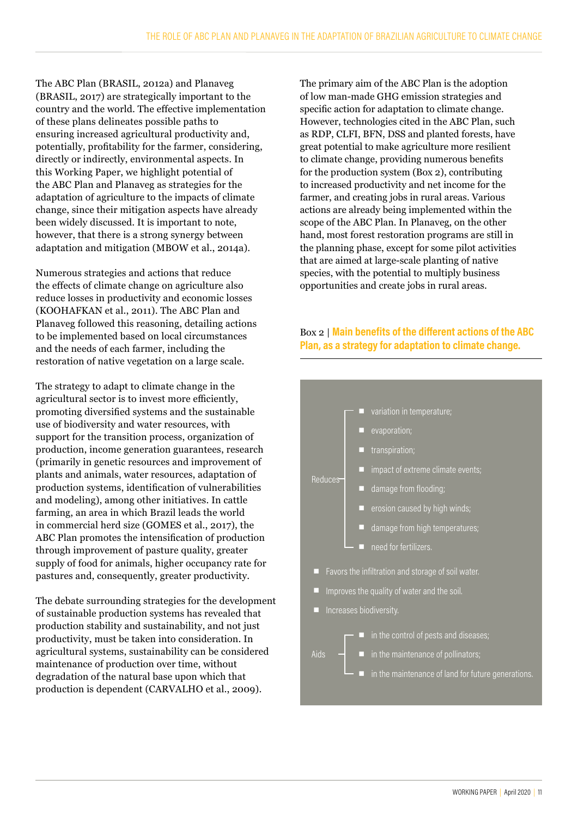The ABC Plan (BRASIL, 2012a) and Planaveg (BRASIL, 2017) are strategically important to the country and the world. The effective implementation of these plans delineates possible paths to ensuring increased agricultural productivity and, potentially, profitability for the farmer, considering, directly or indirectly, environmental aspects. In this Working Paper, we highlight potential of the ABC Plan and Planaveg as strategies for the adaptation of agriculture to the impacts of climate change, since their mitigation aspects have already been widely discussed. It is important to note, however, that there is a strong synergy between adaptation and mitigation (MBOW et al., 2014a).

Numerous strategies and actions that reduce the effects of climate change on agriculture also reduce losses in productivity and economic losses (KOOHAFKAN et al., 2011). The ABC Plan and Planaveg followed this reasoning, detailing actions to be implemented based on local circumstances and the needs of each farmer, including the restoration of native vegetation on a large scale.

The strategy to adapt to climate change in the agricultural sector is to invest more efficiently, promoting diversified systems and the sustainable use of biodiversity and water resources, with support for the transition process, organization of production, income generation guarantees, research (primarily in genetic resources and improvement of plants and animals, water resources, adaptation of production systems, identification of vulnerabilities and modeling), among other initiatives. In cattle farming, an area in which Brazil leads the world in commercial herd size (GOMES et al., 2017), the ABC Plan promotes the intensification of production through improvement of pasture quality, greater supply of food for animals, higher occupancy rate for pastures and, consequently, greater productivity.

The debate surrounding strategies for the development of sustainable production systems has revealed that production stability and sustainability, and not just productivity, must be taken into consideration. In agricultural systems, sustainability can be considered maintenance of production over time, without degradation of the natural base upon which that production is dependent (CARVALHO et al., 2009).

The primary aim of the ABC Plan is the adoption of low man-made GHG emission strategies and specific action for adaptation to climate change. However, technologies cited in the ABC Plan, such as RDP, CLFI, BFN, DSS and planted forests, have great potential to make agriculture more resilient to climate change, providing numerous benefits for the production system (Box 2), contributing to increased productivity and net income for the farmer, and creating jobs in rural areas. Various actions are already being implemented within the scope of the ABC Plan. In Planaveg, on the other hand, most forest restoration programs are still in the planning phase, except for some pilot activities that are aimed at large-scale planting of native species, with the potential to multiply business opportunities and create jobs in rural areas.

#### Box 2 | **Main benefits of the different actions of the ABC Plan, as a strategy for adaptation to climate change.**

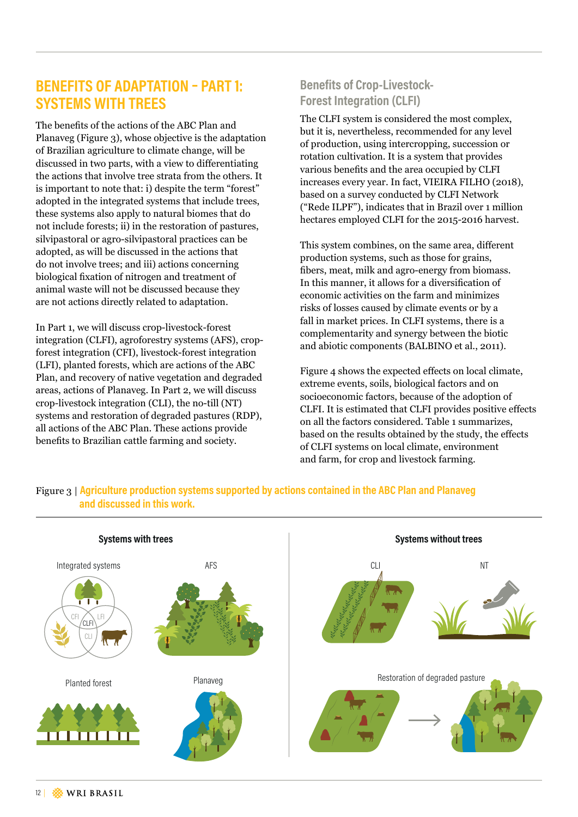## **BENEFITS OF ADAPTATION – PART 1: SYSTEMS WITH TREES**

The benefits of the actions of the ABC Plan and Planaveg (Figure 3), whose objective is the adaptation of Brazilian agriculture to climate change, will be discussed in two parts, with a view to differentiating the actions that involve tree strata from the others. It is important to note that: i) despite the term "forest" adopted in the integrated systems that include trees, these systems also apply to natural biomes that do not include forests; ii) in the restoration of pastures, silvipastoral or agro-silvipastoral practices can be adopted, as will be discussed in the actions that do not involve trees; and iii) actions concerning biological fixation of nitrogen and treatment of animal waste will not be discussed because they are not actions directly related to adaptation.

In Part 1, we will discuss crop-livestock-forest integration (CLFI), agroforestry systems (AFS), cropforest integration (CFI), livestock-forest integration (LFI), planted forests, which are actions of the ABC Plan, and recovery of native vegetation and degraded areas, actions of Planaveg. In Part 2, we will discuss crop-livestock integration (CLI), the no-till (NT) systems and restoration of degraded pastures (RDP), all actions of the ABC Plan. These actions provide benefits to Brazilian cattle farming and society.

## **Benefits of Crop-Livestock-Forest Integration (CLFI)**

The CLFI system is considered the most complex, but it is, nevertheless, recommended for any level of production, using intercropping, succession or rotation cultivation. It is a system that provides various benefits and the area occupied by CLFI increases every year. In fact, VIEIRA FILHO (2018), based on a survey conducted by CLFI Network ("Rede ILPF"), indicates that in Brazil over 1 million hectares employed CLFI for the 2015-2016 harvest.

This system combines, on the same area, different production systems, such as those for grains, fibers, meat, milk and agro-energy from biomass. In this manner, it allows for a diversification of economic activities on the farm and minimizes risks of losses caused by climate events or by a fall in market prices. In CLFI systems, there is a complementarity and synergy between the biotic and abiotic components (BALBINO et al., 2011).

Figure 4 shows the expected effects on local climate, extreme events, soils, biological factors and on socioeconomic factors, because of the adoption of CLFI. It is estimated that CLFI provides positive effects on all the factors considered. Table 1 summarizes, based on the results obtained by the study, the effects of CLFI systems on local climate, environment and farm, for crop and livestock farming.



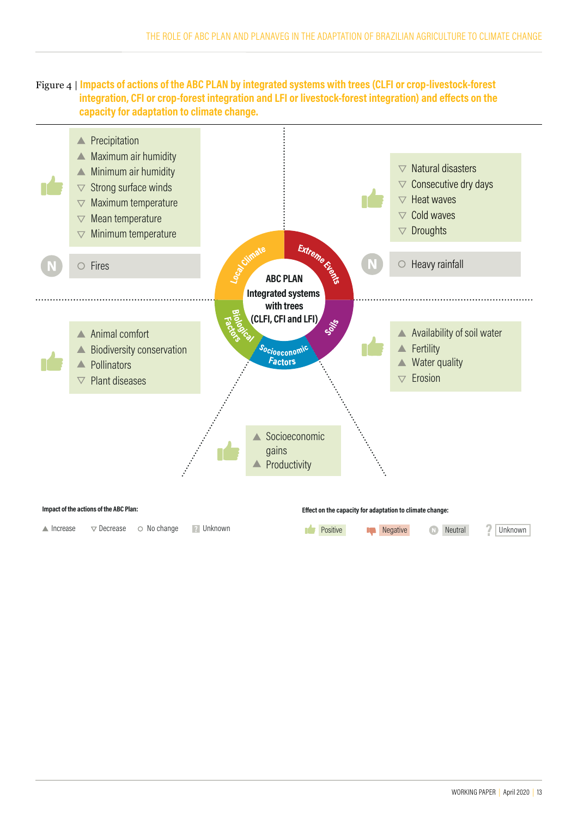



 $\triangle$  Increase  $\nabla$  Decrease  $\odot$  No change **P** Unknown

| WORKING PAPER   April 2020   13 |  |
|---------------------------------|--|
|                                 |  |

**Positive I Negative Neutral 2 Unknown**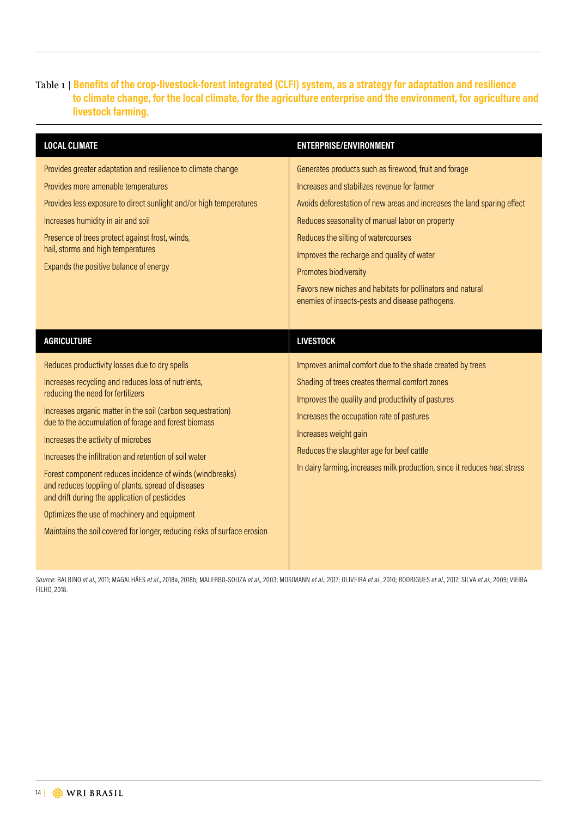#### Table 1 | **Benefits of the crop-livestock-forest integrated (CLFI) system, as a strategy for adaptation and resilience to climate change, for the local climate, for the agriculture enterprise and the environment, for agriculture and livestock farming.**

| <b>LOCAL CLIMATE</b>                                                                                                                                                                                                                                                                                                                                                                                                                                                                                                                                                                                                                                            | <b>ENTERPRISE/ENVIRONMENT</b>                                                                                                                                                                                                                                                                                                                                                                                                                                     |
|-----------------------------------------------------------------------------------------------------------------------------------------------------------------------------------------------------------------------------------------------------------------------------------------------------------------------------------------------------------------------------------------------------------------------------------------------------------------------------------------------------------------------------------------------------------------------------------------------------------------------------------------------------------------|-------------------------------------------------------------------------------------------------------------------------------------------------------------------------------------------------------------------------------------------------------------------------------------------------------------------------------------------------------------------------------------------------------------------------------------------------------------------|
| Provides greater adaptation and resilience to climate change<br>Provides more amenable temperatures<br>Provides less exposure to direct sunlight and/or high temperatures<br>Increases humidity in air and soil<br>Presence of trees protect against frost, winds,<br>hail, storms and high temperatures<br>Expands the positive balance of energy                                                                                                                                                                                                                                                                                                              | Generates products such as firewood, fruit and forage<br>Increases and stabilizes revenue for farmer<br>Avoids deforestation of new areas and increases the land sparing effect<br>Reduces seasonality of manual labor on property<br>Reduces the silting of watercourses<br>Improves the recharge and quality of water<br>Promotes biodiversity<br>Favors new niches and habitats for pollinators and natural<br>enemies of insects-pests and disease pathogens. |
| <b>AGRICULTURE</b>                                                                                                                                                                                                                                                                                                                                                                                                                                                                                                                                                                                                                                              | <b>LIVESTOCK</b>                                                                                                                                                                                                                                                                                                                                                                                                                                                  |
| Reduces productivity losses due to dry spells<br>Increases recycling and reduces loss of nutrients,<br>reducing the need for fertilizers<br>Increases organic matter in the soil (carbon sequestration)<br>due to the accumulation of forage and forest biomass<br>Increases the activity of microbes<br>Increases the infiltration and retention of soil water<br>Forest component reduces incidence of winds (windbreaks)<br>and reduces toppling of plants, spread of diseases<br>and drift during the application of pesticides<br>Optimizes the use of machinery and equipment<br>Maintains the soil covered for longer, reducing risks of surface erosion | Improves animal comfort due to the shade created by trees<br>Shading of trees creates thermal comfort zones<br>Improves the quality and productivity of pastures<br>Increases the occupation rate of pastures<br>Increases weight gain<br>Reduces the slaughter age for beef cattle<br>In dairy farming, increases milk production, since it reduces heat stress                                                                                                  |

Source: BALBINO et al., 2011; MAGALHÃES et al., 2018a, 2018b; MALERBO-SOUZA et al., 2003; MOSIMANN et al., 2017; OLIVEIRA et al., 2010; RODRIGUES et al., 2017; SILVA et al., 2009; VIEIRA FILHO, 2018.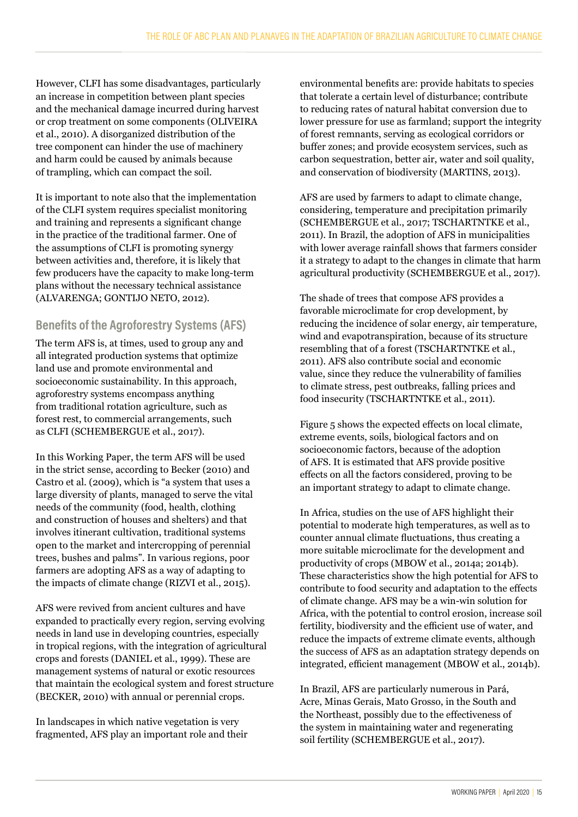However, CLFI has some disadvantages, particularly an increase in competition between plant species and the mechanical damage incurred during harvest or crop treatment on some components (OLIVEIRA et al., 2010). A disorganized distribution of the tree component can hinder the use of machinery and harm could be caused by animals because of trampling, which can compact the soil.

It is important to note also that the implementation of the CLFI system requires specialist monitoring and training and represents a significant change in the practice of the traditional farmer. One of the assumptions of CLFI is promoting synergy between activities and, therefore, it is likely that few producers have the capacity to make long-term plans without the necessary technical assistance (ALVARENGA; GONTIJO NETO, 2012).

## **Benefits of the Agroforestry Systems (AFS)**

The term AFS is, at times, used to group any and all integrated production systems that optimize land use and promote environmental and socioeconomic sustainability. In this approach, agroforestry systems encompass anything from traditional rotation agriculture, such as forest rest, to commercial arrangements, such as CLFI (SCHEMBERGUE et al., 2017).

In this Working Paper, the term AFS will be used in the strict sense, according to Becker (2010) and Castro et al. (2009), which is "a system that uses a large diversity of plants, managed to serve the vital needs of the community (food, health, clothing and construction of houses and shelters) and that involves itinerant cultivation, traditional systems open to the market and intercropping of perennial trees, bushes and palms". In various regions, poor farmers are adopting AFS as a way of adapting to the impacts of climate change (RIZVI et al., 2015).

AFS were revived from ancient cultures and have expanded to practically every region, serving evolving needs in land use in developing countries, especially in tropical regions, with the integration of agricultural crops and forests (DANIEL et al., 1999). These are management systems of natural or exotic resources that maintain the ecological system and forest structure (BECKER, 2010) with annual or perennial crops.

In landscapes in which native vegetation is very fragmented, AFS play an important role and their

environmental benefits are: provide habitats to species that tolerate a certain level of disturbance; contribute to reducing rates of natural habitat conversion due to lower pressure for use as farmland; support the integrity of forest remnants, serving as ecological corridors or buffer zones; and provide ecosystem services, such as carbon sequestration, better air, water and soil quality, and conservation of biodiversity (MARTINS, 2013).

AFS are used by farmers to adapt to climate change, considering, temperature and precipitation primarily (SCHEMBERGUE et al., 2017; TSCHARTNTKE et al., 2011). In Brazil, the adoption of AFS in municipalities with lower average rainfall shows that farmers consider it a strategy to adapt to the changes in climate that harm agricultural productivity (SCHEMBERGUE et al., 2017).

The shade of trees that compose AFS provides a favorable microclimate for crop development, by reducing the incidence of solar energy, air temperature, wind and evapotranspiration, because of its structure resembling that of a forest (TSCHARTNTKE et al., 2011). AFS also contribute social and economic value, since they reduce the vulnerability of families to climate stress, pest outbreaks, falling prices and food insecurity (TSCHARTNTKE et al., 2011).

Figure 5 shows the expected effects on local climate, extreme events, soils, biological factors and on socioeconomic factors, because of the adoption of AFS. It is estimated that AFS provide positive effects on all the factors considered, proving to be an important strategy to adapt to climate change.

In Africa, studies on the use of AFS highlight their potential to moderate high temperatures, as well as to counter annual climate fluctuations, thus creating a more suitable microclimate for the development and productivity of crops (MBOW et al., 2014a; 2014b). These characteristics show the high potential for AFS to contribute to food security and adaptation to the effects of climate change. AFS may be a win-win solution for Africa, with the potential to control erosion, increase soil fertility, biodiversity and the efficient use of water, and reduce the impacts of extreme climate events, although the success of AFS as an adaptation strategy depends on integrated, efficient management (MBOW et al., 2014b).

In Brazil, AFS are particularly numerous in Pará, Acre, Minas Gerais, Mato Grosso, in the South and the Northeast, possibly due to the effectiveness of the system in maintaining water and regenerating soil fertility (SCHEMBERGUE et al., 2017).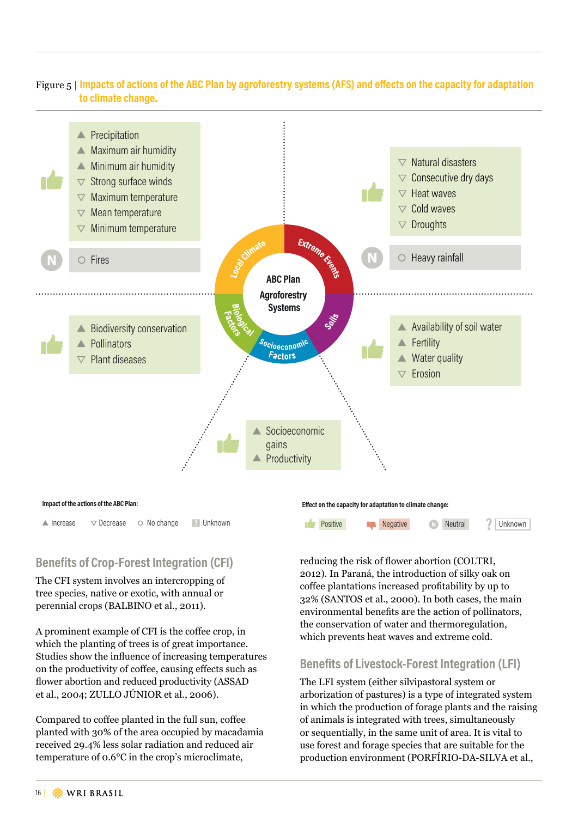#### Figure 5 | **Impacts of actions of the ABC Plan by agroforestry systems (AFS) and effects on the capacity for adaptation to climate change.**



 $\triangle$  Increase  $\nabla$  Decrease  $\odot$  No change 2 Unknown

## **Benefits of Crop-Forest Integration (CFI)**

The CFI system involves an intercropping of tree species, native or exotic, with annual or perennial crops (BALBINO et al., 2011).

A prominent example of CFI is the coffee crop, in which the planting of trees is of great importance. Studies show the influence of increasing temperatures on the productivity of coffee, causing effects such as flower abortion and reduced productivity (ASSAD et al., 2004; ZULLO JÚNIOR et al., 2006).

Compared to coffee planted in the full sun, coffee planted with 30% of the area occupied by macadamia received 29.4% less solar radiation and reduced air temperature of 0.6°C in the crop's microclimate,

#### Impact of the actions of the ABC Plan: *Impact of the ABC Plan:* **Effect on the capacity for adaptation to climate change:**



reducing the risk of flower abortion (COLTRI, 2012). In Paraná, the introduction of silky oak on coffee plantations increased profitability by up to 32% (SANTOS et al., 2000). In both cases, the main environmental benefits are the action of pollinators, the conservation of water and thermoregulation, which prevents heat waves and extreme cold.

#### **Benefits of Livestock-Forest Integration (LFI)**

The LFI system (either silvipastoral system or arborization of pastures) is a type of integrated system in which the production of forage plants and the raising of animals is integrated with trees, simultaneously or sequentially, in the same unit of area. It is vital to use forest and forage species that are suitable for the production environment (PORFÍRIO-DA-SILVA et al.,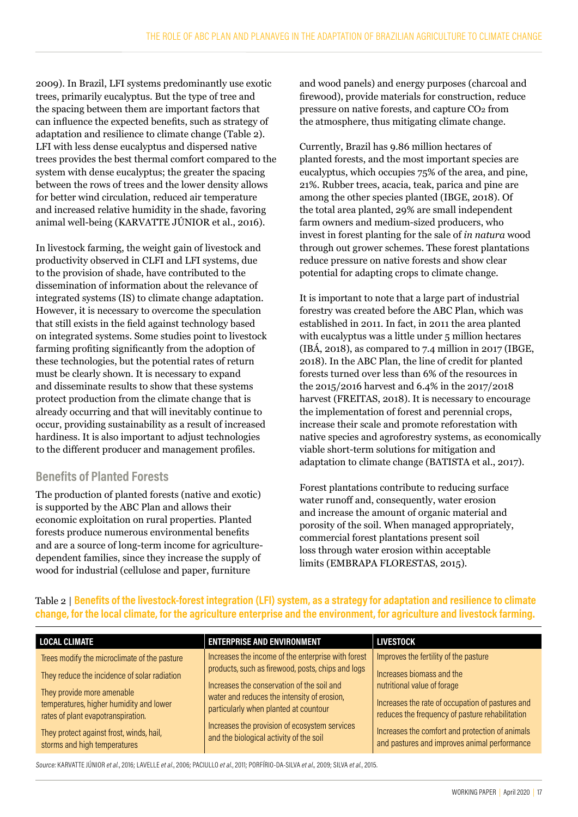2009). In Brazil, LFI systems predominantly use exotic trees, primarily eucalyptus. But the type of tree and the spacing between them are important factors that can influence the expected benefits, such as strategy of adaptation and resilience to climate change (Table 2). LFI with less dense eucalyptus and dispersed native trees provides the best thermal comfort compared to the system with dense eucalyptus; the greater the spacing between the rows of trees and the lower density allows for better wind circulation, reduced air temperature and increased relative humidity in the shade, favoring animal well-being (KARVATTE JÚNIOR et al., 2016).

In livestock farming, the weight gain of livestock and productivity observed in CLFI and LFI systems, due to the provision of shade, have contributed to the dissemination of information about the relevance of integrated systems (IS) to climate change adaptation. However, it is necessary to overcome the speculation that still exists in the field against technology based on integrated systems. Some studies point to livestock farming profiting significantly from the adoption of these technologies, but the potential rates of return must be clearly shown. It is necessary to expand and disseminate results to show that these systems protect production from the climate change that is already occurring and that will inevitably continue to occur, providing sustainability as a result of increased hardiness. It is also important to adjust technologies to the different producer and management profiles.

#### **Benefits of Planted Forests**

The production of planted forests (native and exotic) is supported by the ABC Plan and allows their economic exploitation on rural properties. Planted forests produce numerous environmental benefits and are a source of long-term income for agriculturedependent families, since they increase the supply of wood for industrial (cellulose and paper, furniture

and wood panels) and energy purposes (charcoal and firewood), provide materials for construction, reduce pressure on native forests, and capture CO2 from the atmosphere, thus mitigating climate change.

Currently, Brazil has 9.86 million hectares of planted forests, and the most important species are eucalyptus, which occupies 75% of the area, and pine, 21%. Rubber trees, acacia, teak, parica and pine are among the other species planted (IBGE, 2018). Of the total area planted, 29% are small independent farm owners and medium-sized producers, who invest in forest planting for the sale of *in natura* wood through out grower schemes. These forest plantations reduce pressure on native forests and show clear potential for adapting crops to climate change.

It is important to note that a large part of industrial forestry was created before the ABC Plan, which was established in 2011. In fact, in 2011 the area planted with eucalyptus was a little under 5 million hectares (IBÁ, 2018), as compared to 7.4 million in 2017 (IBGE, 2018). In the ABC Plan, the line of credit for planted forests turned over less than 6% of the resources in the 2015/2016 harvest and 6.4% in the 2017/2018 harvest (FREITAS, 2018). It is necessary to encourage the implementation of forest and perennial crops, increase their scale and promote reforestation with native species and agroforestry systems, as economically viable short-term solutions for mitigation and adaptation to climate change (BATISTA et al., 2017).

Forest plantations contribute to reducing surface water runoff and, consequently, water erosion and increase the amount of organic material and porosity of the soil. When managed appropriately, commercial forest plantations present soil loss through water erosion within acceptable limits (EMBRAPA FLORESTAS, 2015).

| <b>LOCAL CLIMATE</b>                         | <b>ENTERPRISE AND ENVIRONMENT</b>                  | <b>LIVESTOCK</b>                                 |
|----------------------------------------------|----------------------------------------------------|--------------------------------------------------|
| Trees modify the microclimate of the pasture | Increases the income of the enterprise with forest | Improves the fertility of the pasture            |
| They reduce the incidence of solar radiation | products, such as firewood, posts, chips and logs  | Increases biomass and the                        |
| They provide more amenable                   | Increases the conservation of the soil and         | nutritional value of forage                      |
| temperatures, higher humidity and lower      | water and reduces the intensity of erosion,        | Increases the rate of occupation of pastures and |
| rates of plant evapotranspiration.           | particularly when planted at countour              | reduces the frequency of pasture rehabilitation  |
| They protect against frost, winds, hail,     | Increases the provision of ecosystem services      | Increases the comfort and protection of animals  |
| storms and high temperatures                 | and the biological activity of the soil            | and pastures and improves animal performance     |

Table 2 | **Benefits of the livestock-forest integration (LFI) system, as a strategy for adaptation and resilience to climate change, for the local climate, for the agriculture enterprise and the environment, for agriculture and livestock farming.**

Source: KARVATTE JÚNIOR *et al.*, 2016; LAVELLE *et al*., 2006; PACIULLO *et al.*, 2011; PORFÍRIO-DA-SILVA *et al.,* 2009; SILVA *et al.*, 2015.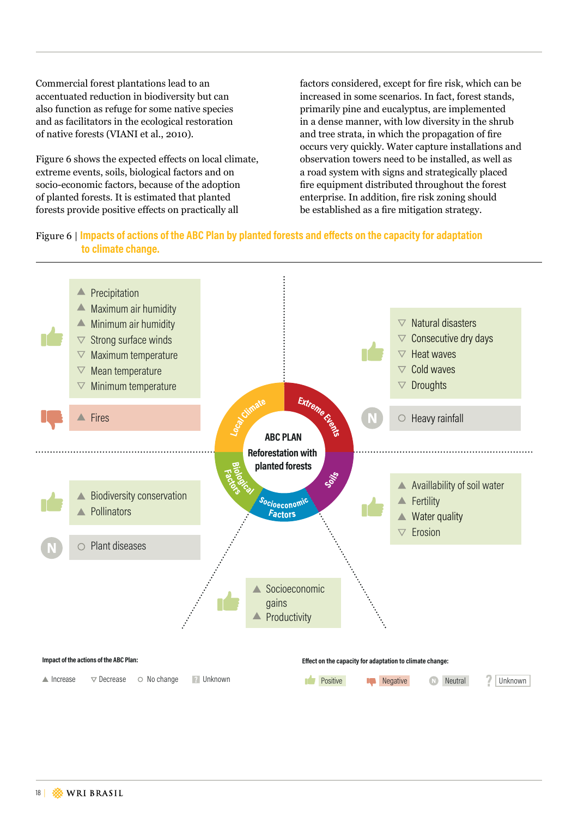Commercial forest plantations lead to an accentuated reduction in biodiversity but can also function as refuge for some native species and as facilitators in the ecological restoration of native forests (VIANI et al., 2010).

Figure 6 shows the expected effects on local climate, extreme events, soils, biological factors and on socio-economic factors, because of the adoption of planted forests. It is estimated that planted forests provide positive effects on practically all

factors considered, except for fire risk, which can be increased in some scenarios. In fact, forest stands, primarily pine and eucalyptus, are implemented in a dense manner, with low diversity in the shrub and tree strata, in which the propagation of fire occurs very quickly. Water capture installations and observation towers need to be installed, as well as a road system with signs and strategically placed fire equipment distributed throughout the forest enterprise. In addition, fire risk zoning should be established as a fire mitigation strategy.

#### Figure 6 | **Impacts of actions of the ABC Plan by planted forests and effects on the capacity for adaptation to climate change.**

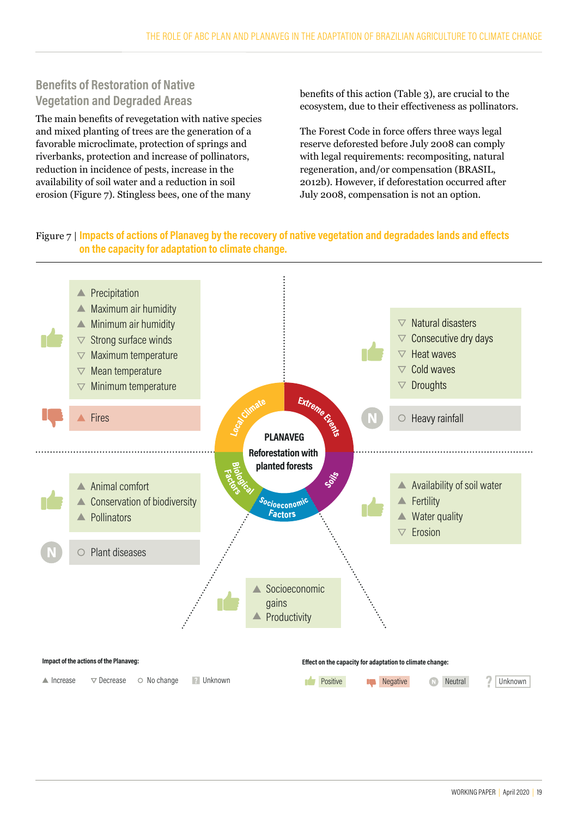## **Benefits of Restoration of Native Vegetation and Degraded Areas**

The main benefits of revegetation with native species and mixed planting of trees are the generation of a favorable microclimate, protection of springs and riverbanks, protection and increase of pollinators, reduction in incidence of pests, increase in the availability of soil water and a reduction in soil erosion (Figure 7). Stingless bees, one of the many

benefits of this action (Table 3), are crucial to the ecosystem, due to their effectiveness as pollinators.

The Forest Code in force offers three ways legal reserve deforested before July 2008 can comply with legal requirements: recompositing, natural regeneration, and/or compensation (BRASIL, 2012b). However, if deforestation occurred after July 2008, compensation is not an option.

#### Figure 7 | **Impacts of actions of Planaveg by the recovery of native vegetation and degradades lands and effects on the capacity for adaptation to climate change.**

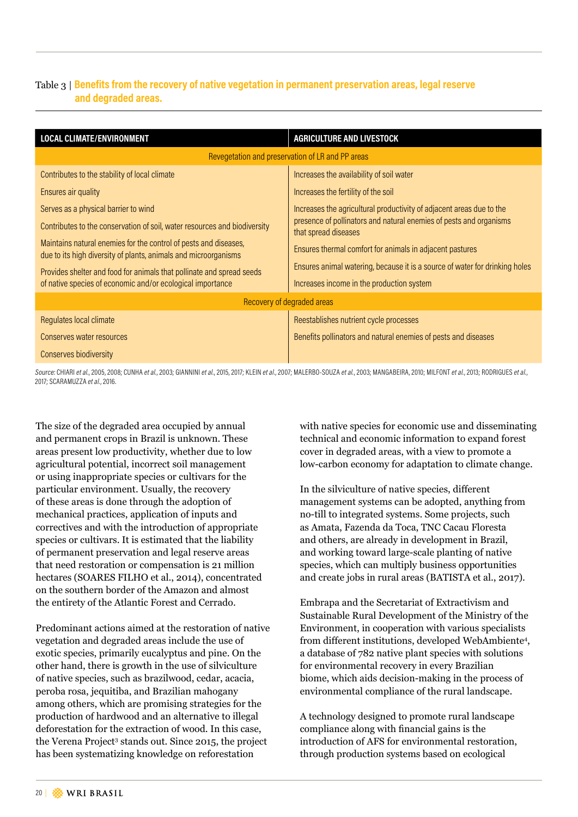#### Table 3 | **Benefits from the recovery of native vegetation in permanent preservation areas, legal reserve and degraded areas.**

| <b>LOCAL CLIMATE/ENVIRONMENT</b>                                                                                                    | <b>AGRICULTURE AND LIVESTOCK</b>                                                           |
|-------------------------------------------------------------------------------------------------------------------------------------|--------------------------------------------------------------------------------------------|
|                                                                                                                                     | Revegetation and preservation of LR and PP areas                                           |
| Contributes to the stability of local climate                                                                                       | Increases the availability of soil water                                                   |
| Ensures air quality                                                                                                                 | Increases the fertility of the soil                                                        |
| Serves as a physical barrier to wind                                                                                                | Increases the agricultural productivity of adjacent areas due to the                       |
| Contributes to the conservation of soil, water resources and biodiversity                                                           | presence of pollinators and natural enemies of pests and organisms<br>that spread diseases |
| Maintains natural enemies for the control of pests and diseases,<br>due to its high diversity of plants, animals and microorganisms | Ensures thermal comfort for animals in adjacent pastures                                   |
| Provides shelter and food for animals that pollinate and spread seeds                                                               | Ensures animal watering, because it is a source of water for drinking holes                |
| of native species of economic and/or ecological importance                                                                          | Increases income in the production system                                                  |
|                                                                                                                                     | Recovery of degraded areas                                                                 |
| Regulates local climate                                                                                                             | Reestablishes nutrient cycle processes                                                     |
| Conserves water resources                                                                                                           | Benefits pollinators and natural enemies of pests and diseases                             |
| Conserves biodiversity                                                                                                              |                                                                                            |

Source: CHIARI et al., 2005, 2008; CUNHA et al., 2003; GIANNINI et al., 2015, 2017; KLEIN et al., 2007; MALERBO-SOUZA et al., 2003; MANGABEIRA, 2010; MILFONT et al., 2013; RODRIGUES et al., 2017; SCARAMUZZA *et al.*, 2016.

The size of the degraded area occupied by annual and permanent crops in Brazil is unknown. These areas present low productivity, whether due to low agricultural potential, incorrect soil management or using inappropriate species or cultivars for the particular environment. Usually, the recovery of these areas is done through the adoption of mechanical practices, application of inputs and correctives and with the introduction of appropriate species or cultivars. It is estimated that the liability of permanent preservation and legal reserve areas that need restoration or compensation is 21 million hectares (SOARES FILHO et al., 2014), concentrated on the southern border of the Amazon and almost the entirety of the Atlantic Forest and Cerrado.

Predominant actions aimed at the restoration of native vegetation and degraded areas include the use of exotic species, primarily eucalyptus and pine. On the other hand, there is growth in the use of silviculture of native species, such as brazilwood, cedar, acacia, peroba rosa, jequitiba, and Brazilian mahogany among others, which are promising strategies for the production of hardwood and an alternative to illegal deforestation for the extraction of wood. In this case, the Verena Project<sup>3</sup> stands out. Since 2015, the project has been systematizing knowledge on reforestation

with native species for economic use and disseminating technical and economic information to expand forest cover in degraded areas, with a view to promote a low-carbon economy for adaptation to climate change.

In the silviculture of native species, different management systems can be adopted, anything from no-till to integrated systems. Some projects, such as Amata, Fazenda da Toca, TNC Cacau Floresta and others, are already in development in Brazil, and working toward large-scale planting of native species, which can multiply business opportunities and create jobs in rural areas (BATISTA et al., 2017).

Embrapa and the Secretariat of Extractivism and Sustainable Rural Development of the Ministry of the Environment, in cooperation with various specialists from different institutions, developed WebAmbiente<sup>4</sup>, a database of 782 native plant species with solutions for environmental recovery in every Brazilian biome, which aids decision-making in the process of environmental compliance of the rural landscape.

A technology designed to promote rural landscape compliance along with financial gains is the introduction of AFS for environmental restoration, through production systems based on ecological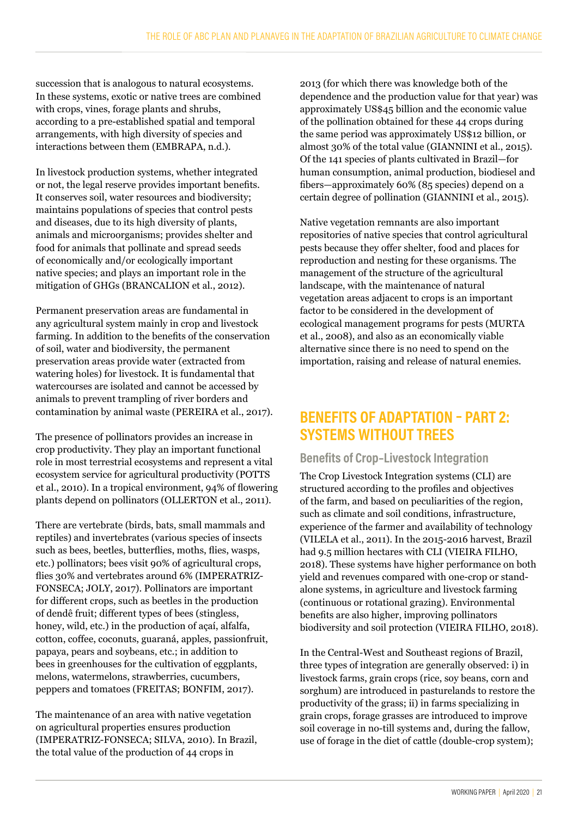succession that is analogous to natural ecosystems. In these systems, exotic or native trees are combined with crops, vines, forage plants and shrubs, according to a pre-established spatial and temporal arrangements, with high diversity of species and interactions between them (EMBRAPA, n.d.).

In livestock production systems, whether integrated or not, the legal reserve provides important benefits. It conserves soil, water resources and biodiversity; maintains populations of species that control pests and diseases, due to its high diversity of plants, animals and microorganisms; provides shelter and food for animals that pollinate and spread seeds of economically and/or ecologically important native species; and plays an important role in the mitigation of GHGs (BRANCALION et al., 2012).

Permanent preservation areas are fundamental in any agricultural system mainly in crop and livestock farming. In addition to the benefits of the conservation of soil, water and biodiversity, the permanent preservation areas provide water (extracted from watering holes) for livestock. It is fundamental that watercourses are isolated and cannot be accessed by animals to prevent trampling of river borders and contamination by animal waste (PEREIRA et al., 2017).

The presence of pollinators provides an increase in crop productivity. They play an important functional role in most terrestrial ecosystems and represent a vital ecosystem service for agricultural productivity (POTTS et al., 2010). In a tropical environment, 94% of flowering plants depend on pollinators (OLLERTON et al., 2011).

There are vertebrate (birds, bats, small mammals and reptiles) and invertebrates (various species of insects such as bees, beetles, butterflies, moths, flies, wasps, etc.) pollinators; bees visit 90% of agricultural crops, flies 30% and vertebrates around 6% (IMPERATRIZ-FONSECA; JOLY, 2017). Pollinators are important for different crops, such as beetles in the production of dendê fruit; different types of bees (stingless, honey, wild, etc.) in the production of açaí, alfalfa, cotton, coffee, coconuts, guaraná, apples, passionfruit, papaya, pears and soybeans, etc.; in addition to bees in greenhouses for the cultivation of eggplants, melons, watermelons, strawberries, cucumbers, peppers and tomatoes (FREITAS; BONFIM, 2017).

The maintenance of an area with native vegetation on agricultural properties ensures production (IMPERATRIZ-FONSECA; SILVA, 2010). In Brazil, the total value of the production of 44 crops in

2013 (for which there was knowledge both of the dependence and the production value for that year) was approximately US\$45 billion and the economic value of the pollination obtained for these 44 crops during the same period was approximately US\$12 billion, or almost 30% of the total value (GIANNINI et al., 2015). Of the 141 species of plants cultivated in Brazil—for human consumption, animal production, biodiesel and fibers—approximately 60% (85 species) depend on a certain degree of pollination (GIANNINI et al., 2015).

Native vegetation remnants are also important repositories of native species that control agricultural pests because they offer shelter, food and places for reproduction and nesting for these organisms. The management of the structure of the agricultural landscape, with the maintenance of natural vegetation areas adjacent to crops is an important factor to be considered in the development of ecological management programs for pests (MURTA et al., 2008), and also as an economically viable alternative since there is no need to spend on the importation, raising and release of natural enemies.

## **BENEFITS OF ADAPTATION – PART 2: SYSTEMS WITHOUT TREES**

#### **Benefits of Crop–Livestock Integration**

The Crop Livestock Integration systems (CLI) are structured according to the profiles and objectives of the farm, and based on peculiarities of the region, such as climate and soil conditions, infrastructure, experience of the farmer and availability of technology (VILELA et al., 2011). In the 2015-2016 harvest, Brazil had 9.5 million hectares with CLI (VIEIRA FILHO, 2018). These systems have higher performance on both yield and revenues compared with one-crop or standalone systems, in agriculture and livestock farming (continuous or rotational grazing). Environmental benefits are also higher, improving pollinators biodiversity and soil protection (VIEIRA FILHO, 2018).

In the Central-West and Southeast regions of Brazil, three types of integration are generally observed: i) in livestock farms, grain crops (rice, soy beans, corn and sorghum) are introduced in pasturelands to restore the productivity of the grass; ii) in farms specializing in grain crops, forage grasses are introduced to improve soil coverage in no-till systems and, during the fallow, use of forage in the diet of cattle (double-crop system);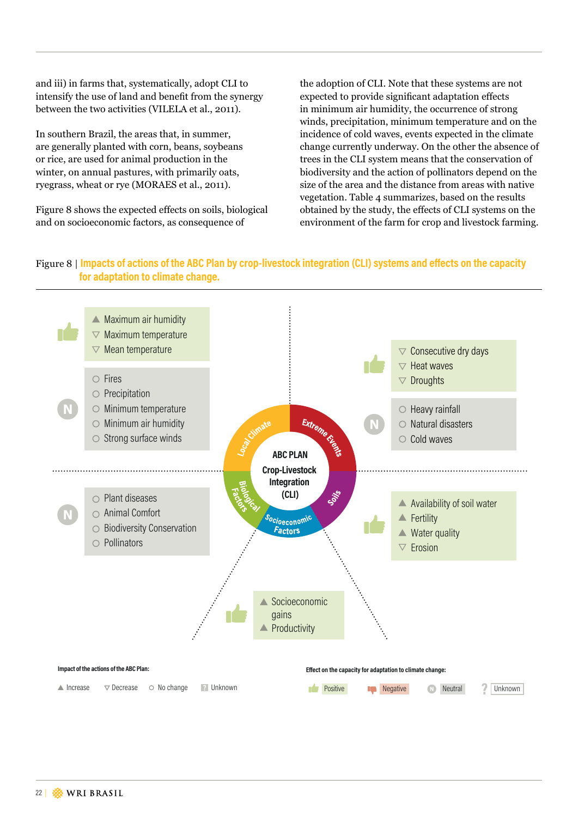and iii) in farms that, systematically, adopt CLI to intensify the use of land and benefit from the synergy between the two activities (VILELA et al., 2011).

In southern Brazil, the areas that, in summer, are generally planted with corn, beans, soybeans or rice, are used for animal production in the winter, on annual pastures, with primarily oats, ryegrass, wheat or rye (MORAES et al., 2011).

Figure 8 shows the expected effects on soils, biological and on socioeconomic factors, as consequence of

the adoption of CLI. Note that these systems are not expected to provide significant adaptation effects in minimum air humidity, the occurrence of strong winds, precipitation, minimum temperature and on the incidence of cold waves, events expected in the climate change currently underway. On the other the absence of trees in the CLI system means that the conservation of biodiversity and the action of pollinators depend on the size of the area and the distance from areas with native vegetation. Table 4 summarizes, based on the results obtained by the study, the effects of CLI systems on the environment of the farm for crop and livestock farming.

#### Figure 8 | **Impacts of actions of the ABC Plan by crop-livestock integration (CLI) systems and effects on the capacity for adaptation to climate change.**

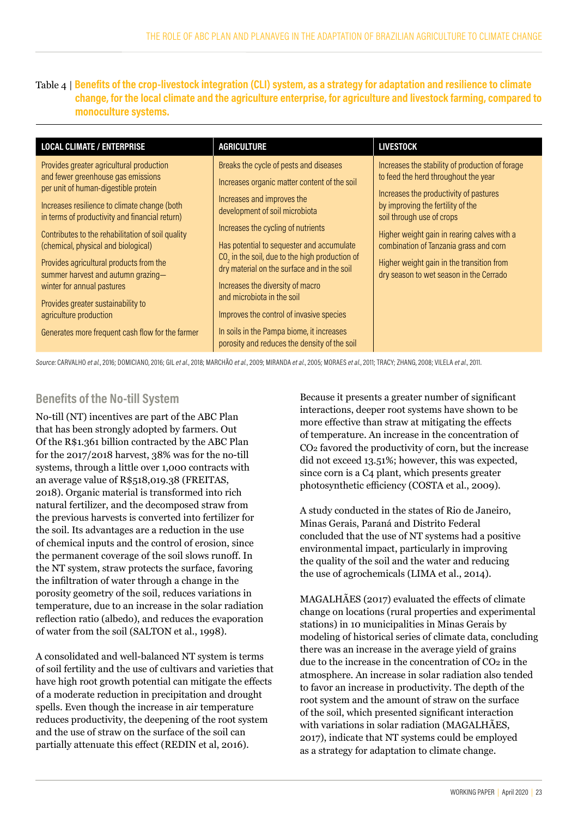#### Table 4 | **Benefits of the crop-livestock integration (CLI) system, as a strategy for adaptation and resilience to climate change, for the local climate and the agriculture enterprise, for agriculture and livestock farming, compared to monoculture systems.**

| <b>LOCAL CLIMATE / ENTERPRISE</b>                                                                                                                                                                                                                                                                                                                                                                                                                                                                                                                       | <b>AGRICULTURE</b>                                                                                                                                                                                                                                                                                                                                                                                                                                                                                                                                      | <b>LIVESTOCK</b>                                                                                                                                                                                                                                                                                                                                                                     |
|---------------------------------------------------------------------------------------------------------------------------------------------------------------------------------------------------------------------------------------------------------------------------------------------------------------------------------------------------------------------------------------------------------------------------------------------------------------------------------------------------------------------------------------------------------|---------------------------------------------------------------------------------------------------------------------------------------------------------------------------------------------------------------------------------------------------------------------------------------------------------------------------------------------------------------------------------------------------------------------------------------------------------------------------------------------------------------------------------------------------------|--------------------------------------------------------------------------------------------------------------------------------------------------------------------------------------------------------------------------------------------------------------------------------------------------------------------------------------------------------------------------------------|
| Provides greater agricultural production<br>and fewer greenhouse gas emissions<br>per unit of human-digestible protein<br>Increases resilience to climate change (both<br>in terms of productivity and financial return)<br>Contributes to the rehabilitation of soil quality<br>(chemical, physical and biological)<br>Provides agricultural products from the<br>summer harvest and autumn grazing-<br>winter for annual pastures<br>Provides greater sustainability to<br>agriculture production<br>Generates more frequent cash flow for the farmer | Breaks the cycle of pests and diseases<br>Increases organic matter content of the soil<br>Increases and improves the<br>development of soil microbiota<br>Increases the cycling of nutrients<br>Has potential to sequester and accumulate<br>$CO2$ in the soil, due to the high production of<br>dry material on the surface and in the soil<br>Increases the diversity of macro<br>and microbiota in the soil<br>Improves the control of invasive species<br>In soils in the Pampa biome, it increases<br>porosity and reduces the density of the soil | Increases the stability of production of forage<br>to feed the herd throughout the year<br>Increases the productivity of pastures<br>by improving the fertility of the<br>soil through use of crops<br>Higher weight gain in rearing calves with a<br>combination of Tanzania grass and corn<br>Higher weight gain in the transition from<br>dry season to wet season in the Cerrado |

Source: CARVALHO *et al.*, 2016; DOMICIANO, 2016; GIL *et al.*, 2018; MARCHÃO *et al.*, 2009; MIRANDA *et al.*, 2005; MORAES *et al.*, 2011; TRACY; ZHANG, 2008; VILELA *et al.*, 2011.

#### **Benefits of the No-till System**

No-till (NT) incentives are part of the ABC Plan that has been strongly adopted by farmers. Out Of the R\$1.361 billion contracted by the ABC Plan for the 2017/2018 harvest, 38% was for the no-till systems, through a little over 1,000 contracts with an average value of R\$518,019.38 (FREITAS, 2018). Organic material is transformed into rich natural fertilizer, and the decomposed straw from the previous harvests is converted into fertilizer for the soil. Its advantages are a reduction in the use of chemical inputs and the control of erosion, since the permanent coverage of the soil slows runoff. In the NT system, straw protects the surface, favoring the infiltration of water through a change in the porosity geometry of the soil, reduces variations in temperature, due to an increase in the solar radiation reflection ratio (albedo), and reduces the evaporation of water from the soil (SALTON et al., 1998).

A consolidated and well-balanced NT system is terms of soil fertility and the use of cultivars and varieties that have high root growth potential can mitigate the effects of a moderate reduction in precipitation and drought spells. Even though the increase in air temperature reduces productivity, the deepening of the root system and the use of straw on the surface of the soil can partially attenuate this effect (REDIN et al, 2016).

Because it presents a greater number of significant interactions, deeper root systems have shown to be more effective than straw at mitigating the effects of temperature. An increase in the concentration of CO2 favored the productivity of corn, but the increase did not exceed 13.51%; however, this was expected, since corn is a C4 plant, which presents greater photosynthetic efficiency (COSTA et al., 2009).

A study conducted in the states of Rio de Janeiro, Minas Gerais, Paraná and Distrito Federal concluded that the use of NT systems had a positive environmental impact, particularly in improving the quality of the soil and the water and reducing the use of agrochemicals (LIMA et al., 2014).

MAGALHÃES (2017) evaluated the effects of climate change on locations (rural properties and experimental stations) in 10 municipalities in Minas Gerais by modeling of historical series of climate data, concluding there was an increase in the average yield of grains due to the increase in the concentration of CO2 in the atmosphere. An increase in solar radiation also tended to favor an increase in productivity. The depth of the root system and the amount of straw on the surface of the soil, which presented significant interaction with variations in solar radiation (MAGALHÃES, 2017), indicate that NT systems could be employed as a strategy for adaptation to climate change.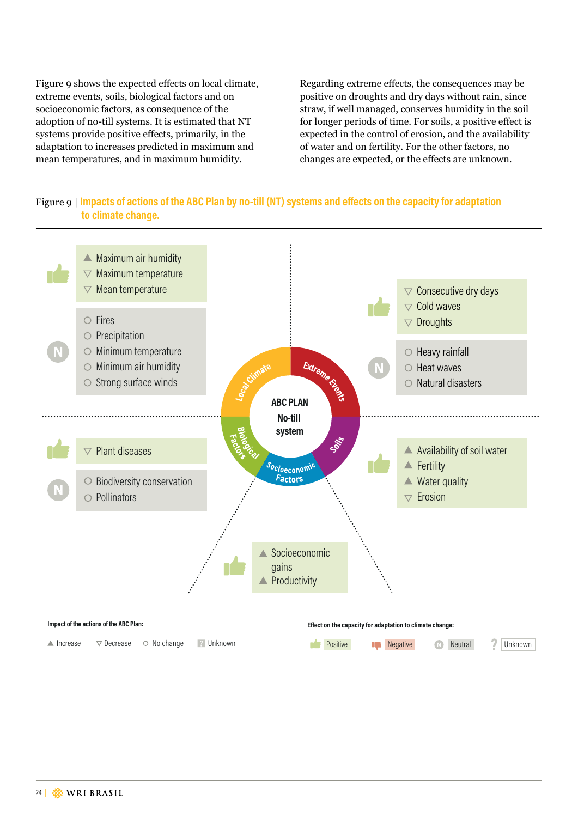Figure 9 shows the expected effects on local climate, extreme events, soils, biological factors and on socioeconomic factors, as consequence of the adoption of no-till systems. It is estimated that NT systems provide positive effects, primarily, in the adaptation to increases predicted in maximum and mean temperatures, and in maximum humidity.

Regarding extreme effects, the consequences may be positive on droughts and dry days without rain, since straw, if well managed, conserves humidity in the soil for longer periods of time. For soils, a positive effect is expected in the control of erosion, and the availability of water and on fertility. For the other factors, no changes are expected, or the effects are unknown.

#### Figure 9 | **Impacts of actions of the ABC Plan by no-till (NT) systems and effects on the capacity for adaptation to climate change.**

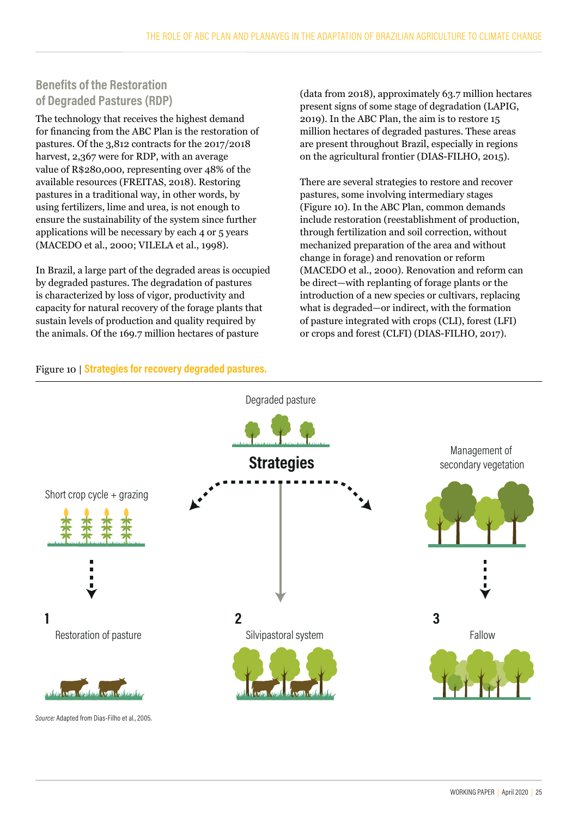## **Benefits of the Restoration of Degraded Pastures (RDP)**

The technology that receives the highest demand for financing from the ABC Plan is the restoration of pastures. Of the 3,812 contracts for the 2017/2018 harvest, 2,367 were for RDP, with an average value of R\$280,000, representing over 48% of the available resources (FREITAS, 2018). Restoring pastures in a traditional way, in other words, by using fertilizers, lime and urea, is not enough to ensure the sustainability of the system since further applications will be necessary by each 4 or 5 years (MACEDO et al., 2000; VILELA et al., 1998).

In Brazil, a large part of the degraded areas is occupied by degraded pastures. The degradation of pastures is characterized by loss of vigor, productivity and capacity for natural recovery of the forage plants that sustain levels of production and quality required by the animals. Of the 169.7 million hectares of pasture

(data from 2018), approximately 63.7 million hectares present signs of some stage of degradation (LAPIG, 2019). In the ABC Plan, the aim is to restore 15 million hectares of degraded pastures. These areas are present throughout Brazil, especially in regions on the agricultural frontier (DIAS-FILHO, 2015).

There are several strategies to restore and recover pastures, some involving intermediary stages (Figure 10). In the ABC Plan, common demands include restoration (reestablishment of production, through fertilization and soil correction, without mechanized preparation of the area and without change in forage) and renovation or reform (MACEDO et al., 2000). Renovation and reform can be direct—with replanting of forage plants or the introduction of a new species or cultivars, replacing what is degraded—or indirect, with the formation of pasture integrated with crops (CLI), forest (LFI) or crops and forest (CLFI) (DIAS-FILHO, 2017).

#### Figure 10 | **Strategies for recovery degraded pastures.**

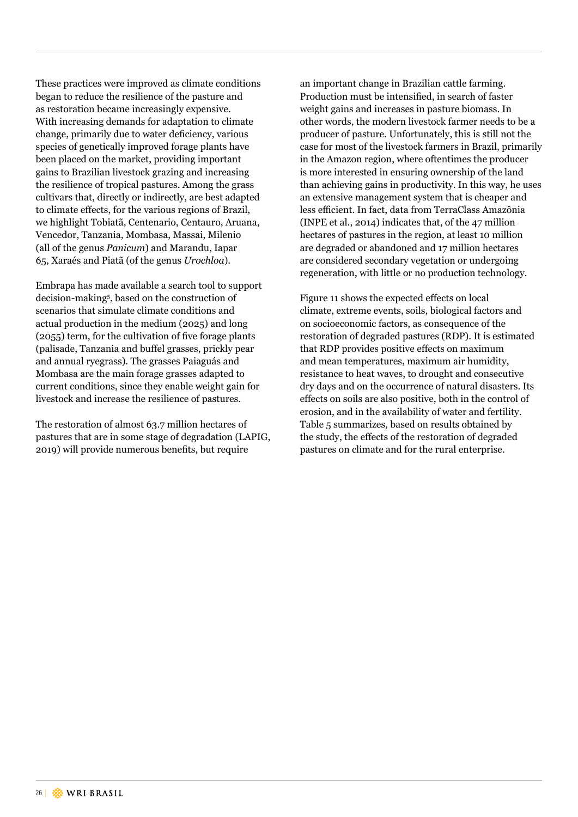These practices were improved as climate conditions began to reduce the resilience of the pasture and as restoration became increasingly expensive. With increasing demands for adaptation to climate change, primarily due to water deficiency, various species of genetically improved forage plants have been placed on the market, providing important gains to Brazilian livestock grazing and increasing the resilience of tropical pastures. Among the grass cultivars that, directly or indirectly, are best adapted to climate effects, for the various regions of Brazil, we highlight Tobiatã, Centenario, Centauro, Aruana, Vencedor, Tanzania, Mombasa, Massai, Milenio (all of the genus *Panicum*) and Marandu, Iapar 65, Xaraés and Piatã (of the genus *Urochloa*).

Embrapa has made available a search tool to support decision-making<sup>5</sup> , based on the construction of scenarios that simulate climate conditions and actual production in the medium (2025) and long (2055) term, for the cultivation of five forage plants (palisade, Tanzania and buffel grasses, prickly pear and annual ryegrass). The grasses Paiaguás and Mombasa are the main forage grasses adapted to current conditions, since they enable weight gain for livestock and increase the resilience of pastures.

The restoration of almost 63.7 million hectares of pastures that are in some stage of degradation (LAPIG, 2019) will provide numerous benefits, but require

an important change in Brazilian cattle farming. Production must be intensified, in search of faster weight gains and increases in pasture biomass. In other words, the modern livestock farmer needs to be a producer of pasture. Unfortunately, this is still not the case for most of the livestock farmers in Brazil, primarily in the Amazon region, where oftentimes the producer is more interested in ensuring ownership of the land than achieving gains in productivity. In this way, he uses an extensive management system that is cheaper and less efficient. In fact, data from TerraClass Amazônia (INPE et al., 2014) indicates that, of the 47 million hectares of pastures in the region, at least 10 million are degraded or abandoned and 17 million hectares are considered secondary vegetation or undergoing regeneration, with little or no production technology.

Figure 11 shows the expected effects on local climate, extreme events, soils, biological factors and on socioeconomic factors, as consequence of the restoration of degraded pastures (RDP). It is estimated that RDP provides positive effects on maximum and mean temperatures, maximum air humidity, resistance to heat waves, to drought and consecutive dry days and on the occurrence of natural disasters. Its effects on soils are also positive, both in the control of erosion, and in the availability of water and fertility. Table 5 summarizes, based on results obtained by the study, the effects of the restoration of degraded pastures on climate and for the rural enterprise.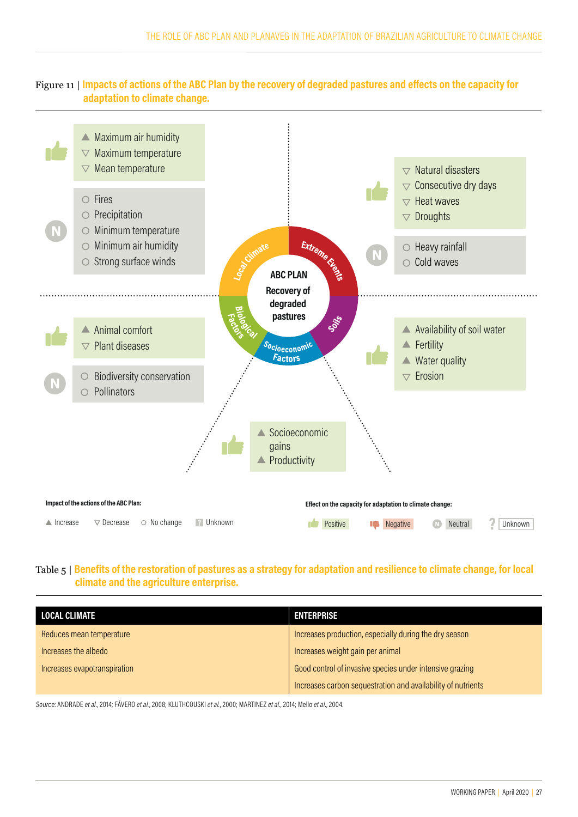#### Figure 11 | **Impacts of actions of the ABC Plan by the recovery of degraded pastures and effects on the capacity for adaptation to climate change.**



#### Table 5 | **Benefits of the restoration of pastures as a strategy for adaptation and resilience to climate change, for local climate and the agriculture enterprise.**

| <b>LOCAL CLIMATE</b>         | <b>ENTERPRISE</b>                                            |
|------------------------------|--------------------------------------------------------------|
| Reduces mean temperature     | Increases production, especially during the dry season       |
| Increases the albedo         | Increases weight gain per animal                             |
| Increases evapotranspiration | Good control of invasive species under intensive grazing     |
|                              | Increases carbon sequestration and availability of nutrients |

Source: ANDRADE *et al*., 2014; FÁVERO *et al.*, 2008; KLUTHCOUSKI *et al.*, 2000; MARTINEZ *et al*., 2014; Mello *et al*., 2004.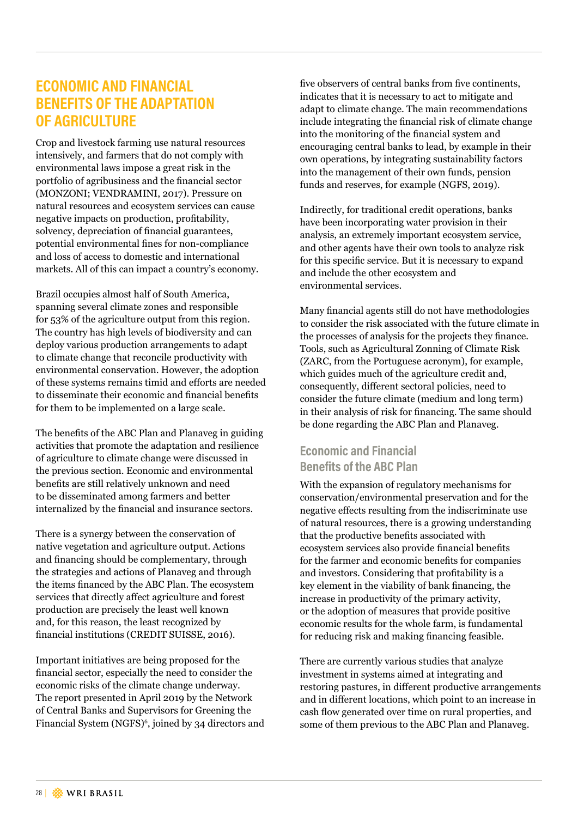## **ECONOMIC AND FINANCIAL BENEFITS OF THE ADAPTATION OF AGRICULTURE**

Crop and livestock farming use natural resources intensively, and farmers that do not comply with environmental laws impose a great risk in the portfolio of agribusiness and the financial sector (MONZONI; VENDRAMINI, 2017). Pressure on natural resources and ecosystem services can cause negative impacts on production, profitability, solvency, depreciation of financial guarantees, potential environmental fines for non-compliance and loss of access to domestic and international markets. All of this can impact a country's economy.

Brazil occupies almost half of South America, spanning several climate zones and responsible for 53% of the agriculture output from this region. The country has high levels of biodiversity and can deploy various production arrangements to adapt to climate change that reconcile productivity with environmental conservation. However, the adoption of these systems remains timid and efforts are needed to disseminate their economic and financial benefits for them to be implemented on a large scale.

The benefits of the ABC Plan and Planaveg in guiding activities that promote the adaptation and resilience of agriculture to climate change were discussed in the previous section. Economic and environmental benefits are still relatively unknown and need to be disseminated among farmers and better internalized by the financial and insurance sectors.

There is a synergy between the conservation of native vegetation and agriculture output. Actions and financing should be complementary, through the strategies and actions of Planaveg and through the items financed by the ABC Plan. The ecosystem services that directly affect agriculture and forest production are precisely the least well known and, for this reason, the least recognized by financial institutions (CREDIT SUISSE, 2016).

Important initiatives are being proposed for the financial sector, especially the need to consider the economic risks of the climate change underway. The report presented in April 2019 by the Network of Central Banks and Supervisors for Greening the Financial System (NGFS)<sup>6</sup>, joined by 34 directors and five observers of central banks from five continents, indicates that it is necessary to act to mitigate and adapt to climate change. The main recommendations include integrating the financial risk of climate change into the monitoring of the financial system and encouraging central banks to lead, by example in their own operations, by integrating sustainability factors into the management of their own funds, pension funds and reserves, for example (NGFS, 2019).

Indirectly, for traditional credit operations, banks have been incorporating water provision in their analysis, an extremely important ecosystem service, and other agents have their own tools to analyze risk for this specific service. But it is necessary to expand and include the other ecosystem and environmental services.

Many financial agents still do not have methodologies to consider the risk associated with the future climate in the processes of analysis for the projects they finance. Tools, such as Agricultural Zonning of Climate Risk (ZARC, from the Portuguese acronym), for example, which guides much of the agriculture credit and, consequently, different sectoral policies, need to consider the future climate (medium and long term) in their analysis of risk for financing. The same should be done regarding the ABC Plan and Planaveg.

### **Economic and Financial Benefits of the ABC Plan**

With the expansion of regulatory mechanisms for conservation/environmental preservation and for the negative effects resulting from the indiscriminate use of natural resources, there is a growing understanding that the productive benefits associated with ecosystem services also provide financial benefits for the farmer and economic benefits for companies and investors. Considering that profitability is a key element in the viability of bank financing, the increase in productivity of the primary activity, or the adoption of measures that provide positive economic results for the whole farm, is fundamental for reducing risk and making financing feasible.

There are currently various studies that analyze investment in systems aimed at integrating and restoring pastures, in different productive arrangements and in different locations, which point to an increase in cash flow generated over time on rural properties, and some of them previous to the ABC Plan and Planaveg.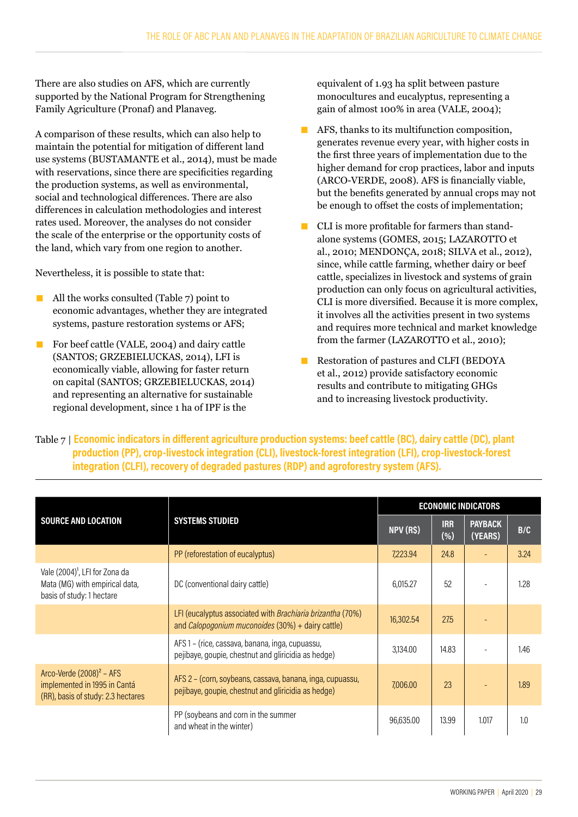There are also studies on AFS, which are currently supported by the National Program for Strengthening Family Agriculture (Pronaf) and Planaveg.

A comparison of these results, which can also help to maintain the potential for mitigation of different land use systems (BUSTAMANTE et al., 2014), must be made with reservations, since there are specificities regarding the production systems, as well as environmental, social and technological differences. There are also differences in calculation methodologies and interest rates used. Moreover, the analyses do not consider the scale of the enterprise or the opportunity costs of the land, which vary from one region to another.

Nevertheless, it is possible to state that:

- All the works consulted (Table 7) point to economic advantages, whether they are integrated systems, pasture restoration systems or AFS;
- For beef cattle (VALE, 2004) and dairy cattle (SANTOS; GRZEBIELUCKAS, 2014), LFI is economically viable, allowing for faster return on capital (SANTOS; GRZEBIELUCKAS, 2014) and representing an alternative for sustainable regional development, since 1 ha of IPF is the

equivalent of 1.93 ha split between pasture monocultures and eucalyptus, representing a gain of almost 100% in area (VALE, 2004);

- $\blacksquare$  AFS, thanks to its multifunction composition, generates revenue every year, with higher costs in the first three years of implementation due to the higher demand for crop practices, labor and inputs (ARCO-VERDE, 2008). AFS is financially viable, but the benefits generated by annual crops may not be enough to offset the costs of implementation;
- CLI is more profitable for farmers than standalone systems (GOMES, 2015; LAZAROTTO et al., 2010; MENDONÇA, 2018; SILVA et al., 2012), since, while cattle farming, whether dairy or beef cattle, specializes in livestock and systems of grain production can only focus on agricultural activities, CLI is more diversified. Because it is more complex, it involves all the activities present in two systems and requires more technical and market knowledge from the farmer (LAZAROTTO et al., 2010);
- Restoration of pastures and CLFI (BEDOYA et al., 2012) provide satisfactory economic results and contribute to mitigating GHGs and to increasing livestock productivity.

Table 7 | **Economic indicators in different agriculture production systems: beef cattle (BC), dairy cattle (DC), plant production (PP), crop-livestock integration (CLI), livestock-forest integration (LFI), crop-livestock-forest integration (CLFI), recovery of degraded pastures (RDP) and agroforestry system (AFS).**

|                                                                                                           |                                                                                                                          |           |                   | <b>ECONOMIC INDICATORS</b> |      |
|-----------------------------------------------------------------------------------------------------------|--------------------------------------------------------------------------------------------------------------------------|-----------|-------------------|----------------------------|------|
| <b>SOURCE AND LOCATION</b>                                                                                | <b>SYSTEMS STUDIED</b>                                                                                                   | NPV (R\$) | <b>IRR</b><br>(%) | <b>PAYBACK</b><br>(YEARS)  | B/C  |
|                                                                                                           | PP (reforestation of eucalyptus)                                                                                         | 7,223.94  | 24.8              |                            | 3.24 |
| Vale (2004) <sup>1</sup> , LFI for Zona da<br>Mata (MG) with empirical data,<br>basis of study: 1 hectare | DC (conventional dairy cattle)                                                                                           | 6.015.27  | 52                |                            | 1.28 |
|                                                                                                           | LFI (eucalyptus associated with Brachiaria brizantha (70%)<br>and <i>Calopogonium muconoides</i> $(30%) +$ dairy cattle) | 16,302.54 | 27.5              |                            |      |
|                                                                                                           | AFS 1 - (rice, cassava, banana, inga, cupuassu,<br>pejibaye, goupie, chestnut and gliricidia as hedge)                   | 3,134,00  | 14.83             |                            | 1.46 |
| Arco-Verde $(2008)^2$ – AFS<br>implemented in 1995 in Cantá<br>(RR), basis of study: 2.3 hectares         | AFS 2 - (corn, soybeans, cassava, banana, inga, cupuassu,<br>pejibaye, goupie, chestnut and gliricidia as hedge)         | 7,006.00  | 23                |                            | 1.89 |
|                                                                                                           | PP (soybeans and corn in the summer<br>and wheat in the winter)                                                          | 96,635.00 | 13,99             | 1.017                      | 1.0  |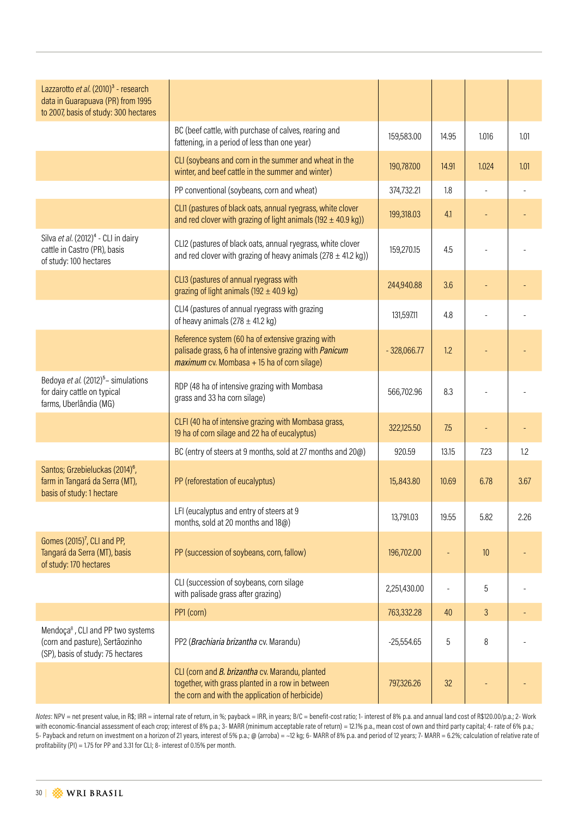| Lazzarotto et al. (2010) <sup>3</sup> - research<br>data in Guarapuava (PR) from 1995<br>to 2007, basis of study: 300 hectares |                                                                                                                                                              |               |       |       |      |
|--------------------------------------------------------------------------------------------------------------------------------|--------------------------------------------------------------------------------------------------------------------------------------------------------------|---------------|-------|-------|------|
|                                                                                                                                | BC (beef cattle, with purchase of calves, rearing and<br>fattening, in a period of less than one year)                                                       | 159,583.00    | 14.95 | 1.016 | 1.01 |
|                                                                                                                                | CLI (soybeans and corn in the summer and wheat in the<br>winter, and beef cattle in the summer and winter)                                                   | 190,787.00    | 14.91 | 1.024 | 1.01 |
|                                                                                                                                | PP conventional (soybeans, corn and wheat)                                                                                                                   | 374,732.21    | 1.8   |       |      |
|                                                                                                                                | CLI1 (pastures of black oats, annual ryegrass, white clover<br>and red clover with grazing of light animals (192 $\pm$ 40.9 kg))                             | 199,318.03    | 4.1   |       |      |
| Silva et al. (2012) <sup>4</sup> - CLI in dairy<br>cattle in Castro (PR), basis<br>of study: 100 hectares                      | CLI2 (pastures of black oats, annual ryegrass, white clover<br>and red clover with grazing of heavy animals ( $278 \pm 41.2$ kg))                            | 159,270.15    | 4.5   |       |      |
|                                                                                                                                | CLI3 (pastures of annual ryegrass with<br>grazing of light animals (192 $\pm$ 40.9 kg)                                                                       | 244,940.88    | 3.6   |       |      |
|                                                                                                                                | CLI4 (pastures of annual ryegrass with grazing<br>of heavy animals $(278 \pm 41.2 \text{ kg})$                                                               | 131,597.11    | 4.8   |       |      |
|                                                                                                                                | Reference system (60 ha of extensive grazing with<br>palisade grass, 6 ha of intensive grazing with Panicum<br>$maximum$ cv. Mombasa + 15 ha of corn silage) | $-328,066.77$ | 1.2   |       |      |
| Bedoya et al. (2012) <sup>5</sup> - simulations<br>for dairy cattle on typical<br>farms, Uberlândia (MG)                       | RDP (48 ha of intensive grazing with Mombasa<br>grass and 33 ha corn silage)                                                                                 | 566,702.96    | 8.3   |       |      |
|                                                                                                                                | CLFI (40 ha of intensive grazing with Mombasa grass,<br>19 ha of corn silage and 22 ha of eucalyptus)                                                        | 322,125.50    | 7.5   |       |      |
|                                                                                                                                | BC (entry of steers at 9 months, sold at 27 months and 20@)                                                                                                  | 920.59        | 13.15 | 7.23  | 1.2  |
| Santos; Grzebieluckas (2014) <sup>6</sup> ,<br>farm in Tangará da Serra (MT),<br>basis of study: 1 hectare                     | PP (reforestation of eucalyptus)                                                                                                                             | 15,843.80     | 10.69 | 6.78  | 3.67 |
|                                                                                                                                | LFI (eucalyptus and entry of steers at 9<br>months, sold at 20 months and 18@)                                                                               | 13,791.03     | 19.55 | 5.82  | 2.26 |
| Gomes (2015) <sup>7</sup> , CLI and PP,<br>Tangará da Serra (MT), basis<br>of study: 170 hectares                              | PP (succession of soybeans, corn, fallow)                                                                                                                    | 196,702.00    |       | 10    |      |
|                                                                                                                                | CLI (succession of soybeans, corn silage<br>with palisade grass after grazing)                                                                               | 2,251,430.00  |       | 5     |      |
|                                                                                                                                | PP1 (corn)                                                                                                                                                   | 763,332.28    | 40    | 3     |      |
| Mendoça <sup>8</sup> , CLI and PP two systems<br>(corn and pasture), Sertãozinho<br>(SP), basis of study: 75 hectares          | PP2 (Brachiaria brizantha cv. Marandu)                                                                                                                       | $-25,554.65$  | 5     | 8     |      |
|                                                                                                                                | CLI (corn and B. brizantha cv. Marandu, planted<br>together, with grass planted in a row in between<br>the corn and with the application of herbicide)       | 797,326.26    | 32    |       |      |

*Notes*: NPV = net present value, in R\$; IRR = internal rate of return, in %; payback = IRR, in years; B/C = benefit-cost ratio; 1- interest of 8% p.a. and annual land cost of R\$120.00/p.a.; 2- Work with economic-financial assessment of each crop; interest of 8% p.a.; 3- MARR (minimum acceptable rate of return) = 12.1% p.a., mean cost of own and third party capital; 4- rate of 6% p.a.; 5- Payback and return on investment on a horizon of 21 years, interest of 5% p.a.; @ (arroba) = ~12 kg; 6- MARR of 8% p.a. and period of 12 years; 7- MARR = 6.2%; calculation of relative rate of profitability (PI) = 1.75 for PP and 3.31 for CLI; 8- interest of 0.15% per month.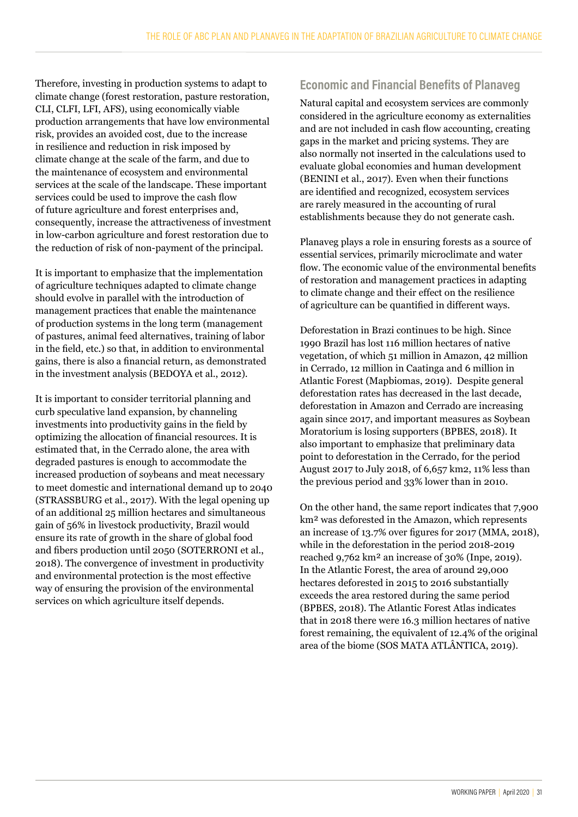Therefore, investing in production systems to adapt to climate change (forest restoration, pasture restoration, CLI, CLFI, LFI, AFS), using economically viable production arrangements that have low environmental risk, provides an avoided cost, due to the increase in resilience and reduction in risk imposed by climate change at the scale of the farm, and due to the maintenance of ecosystem and environmental services at the scale of the landscape. These important services could be used to improve the cash flow of future agriculture and forest enterprises and, consequently, increase the attractiveness of investment in low-carbon agriculture and forest restoration due to the reduction of risk of non-payment of the principal.

It is important to emphasize that the implementation of agriculture techniques adapted to climate change should evolve in parallel with the introduction of management practices that enable the maintenance of production systems in the long term (management of pastures, animal feed alternatives, training of labor in the field, etc.) so that, in addition to environmental gains, there is also a financial return, as demonstrated in the investment analysis (BEDOYA et al., 2012).

It is important to consider territorial planning and curb speculative land expansion, by channeling investments into productivity gains in the field by optimizing the allocation of financial resources. It is estimated that, in the Cerrado alone, the area with degraded pastures is enough to accommodate the increased production of soybeans and meat necessary to meet domestic and international demand up to 2040 (STRASSBURG et al., 2017). With the legal opening up of an additional 25 million hectares and simultaneous gain of 56% in livestock productivity, Brazil would ensure its rate of growth in the share of global food and fibers production until 2050 (SOTERRONI et al., 2018). The convergence of investment in productivity and environmental protection is the most effective way of ensuring the provision of the environmental services on which agriculture itself depends.

## **Economic and Financial Benefits of Planaveg**

Natural capital and ecosystem services are commonly considered in the agriculture economy as externalities and are not included in cash flow accounting, creating gaps in the market and pricing systems. They are also normally not inserted in the calculations used to evaluate global economies and human development (BENINI et al., 2017). Even when their functions are identified and recognized, ecosystem services are rarely measured in the accounting of rural establishments because they do not generate cash.

Planaveg plays a role in ensuring forests as a source of essential services, primarily microclimate and water flow. The economic value of the environmental benefits of restoration and management practices in adapting to climate change and their effect on the resilience of agriculture can be quantified in different ways.

Deforestation in Brazi continues to be high. Since 1990 Brazil has lost 116 million hectares of native vegetation, of which 51 million in Amazon, 42 million in Cerrado, 12 million in Caatinga and 6 million in Atlantic Forest (Mapbiomas, 2019). Despite general deforestation rates has decreased in the last decade, deforestation in Amazon and Cerrado are increasing again since 2017, and important measures as Soybean Moratorium is losing supporters (BPBES, 2018). It also important to emphasize that preliminary data point to deforestation in the Cerrado, for the period August 2017 to July 2018, of 6,657 km2, 11% less than the previous period and 33% lower than in 2010.

On the other hand, the same report indicates that 7,900 km² was deforested in the Amazon, which represents an increase of 13.7% over figures for 2017 (MMA, 2018), while in the deforestation in the period 2018-2019 reached 9,762 km² an increase of 30% (Inpe, 2019). In the Atlantic Forest, the area of around 29,000 hectares deforested in 2015 to 2016 substantially exceeds the area restored during the same period (BPBES, 2018). The Atlantic Forest Atlas indicates that in 2018 there were 16.3 million hectares of native forest remaining, the equivalent of 12.4% of the original area of the biome (SOS MATA ATLÂNTICA, 2019).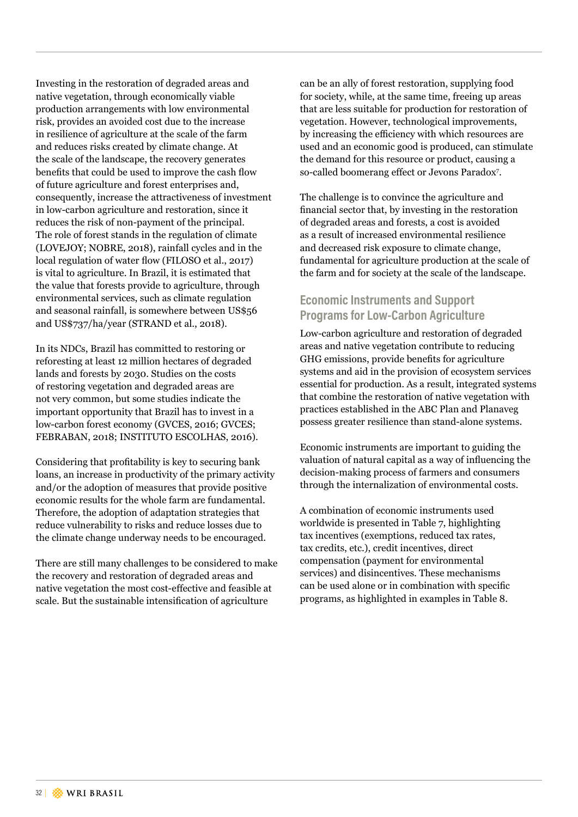Investing in the restoration of degraded areas and native vegetation, through economically viable production arrangements with low environmental risk, provides an avoided cost due to the increase in resilience of agriculture at the scale of the farm and reduces risks created by climate change. At the scale of the landscape, the recovery generates benefits that could be used to improve the cash flow of future agriculture and forest enterprises and, consequently, increase the attractiveness of investment in low-carbon agriculture and restoration, since it reduces the risk of non-payment of the principal. The role of forest stands in the regulation of climate (LOVEJOY; NOBRE, 2018), rainfall cycles and in the local regulation of water flow (FILOSO et al., 2017) is vital to agriculture. In Brazil, it is estimated that the value that forests provide to agriculture, through environmental services, such as climate regulation and seasonal rainfall, is somewhere between US\$56 and US\$737/ha/year (STRAND et al., 2018).

In its NDCs, Brazil has committed to restoring or reforesting at least 12 million hectares of degraded lands and forests by 2030. Studies on the costs of restoring vegetation and degraded areas are not very common, but some studies indicate the important opportunity that Brazil has to invest in a low-carbon forest economy (GVCES, 2016; GVCES; FEBRABAN, 2018; INSTITUTO ESCOLHAS, 2016).

Considering that profitability is key to securing bank loans, an increase in productivity of the primary activity and/or the adoption of measures that provide positive economic results for the whole farm are fundamental. Therefore, the adoption of adaptation strategies that reduce vulnerability to risks and reduce losses due to the climate change underway needs to be encouraged.

There are still many challenges to be considered to make the recovery and restoration of degraded areas and native vegetation the most cost-effective and feasible at scale. But the sustainable intensification of agriculture

can be an ally of forest restoration, supplying food for society, while, at the same time, freeing up areas that are less suitable for production for restoration of vegetation. However, technological improvements, by increasing the efficiency with which resources are used and an economic good is produced, can stimulate the demand for this resource or product, causing a so-called boomerang effect or Jevons Paradox<sup>7</sup> .

The challenge is to convince the agriculture and financial sector that, by investing in the restoration of degraded areas and forests, a cost is avoided as a result of increased environmental resilience and decreased risk exposure to climate change, fundamental for agriculture production at the scale of the farm and for society at the scale of the landscape.

## **Economic Instruments and Support Programs for Low-Carbon Agriculture**

Low-carbon agriculture and restoration of degraded areas and native vegetation contribute to reducing GHG emissions, provide benefits for agriculture systems and aid in the provision of ecosystem services essential for production. As a result, integrated systems that combine the restoration of native vegetation with practices established in the ABC Plan and Planaveg possess greater resilience than stand-alone systems.

Economic instruments are important to guiding the valuation of natural capital as a way of influencing the decision-making process of farmers and consumers through the internalization of environmental costs.

A combination of economic instruments used worldwide is presented in Table 7, highlighting tax incentives (exemptions, reduced tax rates, tax credits, etc.), credit incentives, direct compensation (payment for environmental services) and disincentives. These mechanisms can be used alone or in combination with specific programs, as highlighted in examples in Table 8.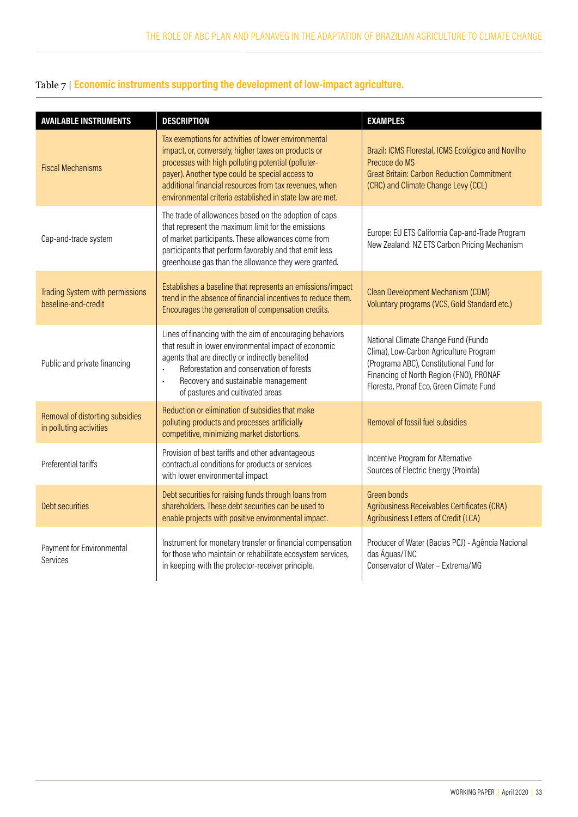## Table 7 | **Economic instruments supporting the development of low-impact agriculture.**

| <b>AVAILABLE INSTRUMENTS</b>                               | <b>DESCRIPTION</b>                                                                                                                                                                                                                                                                                                                         | <b>EXAMPLES</b>                                                                                                                                                                                                 |
|------------------------------------------------------------|--------------------------------------------------------------------------------------------------------------------------------------------------------------------------------------------------------------------------------------------------------------------------------------------------------------------------------------------|-----------------------------------------------------------------------------------------------------------------------------------------------------------------------------------------------------------------|
| <b>Fiscal Mechanisms</b>                                   | Tax exemptions for activities of lower environmental<br>impact, or, conversely, higher taxes on products or<br>processes with high polluting potential (polluter-<br>payer). Another type could be special access to<br>additional financial resources from tax revenues, when<br>environmental criteria established in state law are met. | Brazil: ICMS Florestal, ICMS Ecológico and Novilho<br>Precoce do MS<br><b>Great Britain: Carbon Reduction Commitment</b><br>(CRC) and Climate Change Levy (CCL)                                                 |
| Cap-and-trade system                                       | The trade of allowances based on the adoption of caps<br>that represent the maximum limit for the emissions<br>of market participants. These allowances come from<br>participants that perform favorably and that emit less<br>greenhouse gas than the allowance they were granted.                                                        | Europe: EU ETS California Cap-and-Trade Program<br>New Zealand: NZ ETS Carbon Pricing Mechanism                                                                                                                 |
| Trading System with permissions<br>beseline-and-credit     | Establishes a baseline that represents an emissions/impact<br>trend in the absence of financial incentives to reduce them.<br>Encourages the generation of compensation credits.                                                                                                                                                           | Clean Development Mechanism (CDM)<br>Voluntary programs (VCS, Gold Standard etc.)                                                                                                                               |
| Public and private financing                               | Lines of financing with the aim of encouraging behaviors<br>that result in lower environmental impact of economic<br>agents that are directly or indirectly benefited<br>Reforestation and conservation of forests<br>Recovery and sustainable management<br>of pastures and cultivated areas                                              | National Climate Change Fund (Fundo<br>Clima), Low-Carbon Agriculture Program<br>(Programa ABC), Constitutional Fund for<br>Financing of North Region (FNO), PRONAF<br>Floresta, Pronaf Eco, Green Climate Fund |
| Removal of distorting subsidies<br>in polluting activities | Reduction or elimination of subsidies that make<br>polluting products and processes artificially<br>competitive, minimizing market distortions.                                                                                                                                                                                            | Removal of fossil fuel subsidies                                                                                                                                                                                |
| Preferential tariffs                                       | Provision of best tariffs and other advantageous<br>contractual conditions for products or services<br>with lower environmental impact                                                                                                                                                                                                     | Incentive Program for Alternative<br>Sources of Electric Energy (Proinfa)                                                                                                                                       |
| <b>Debt securities</b>                                     | Debt securities for raising funds through loans from<br>shareholders. These debt securities can be used to<br>enable projects with positive environmental impact.                                                                                                                                                                          | Green bonds<br>Agribusiness Receivables Certificates (CRA)<br>Agribusiness Letters of Credit (LCA)                                                                                                              |
| Payment for Environmental<br>Services                      | Instrument for monetary transfer or financial compensation<br>for those who maintain or rehabilitate ecosystem services,<br>in keeping with the protector-receiver principle.                                                                                                                                                              | Producer of Water (Bacias PCJ) - Agência Nacional<br>das Águas/TNC<br>Conservator of Water - Extrema/MG                                                                                                         |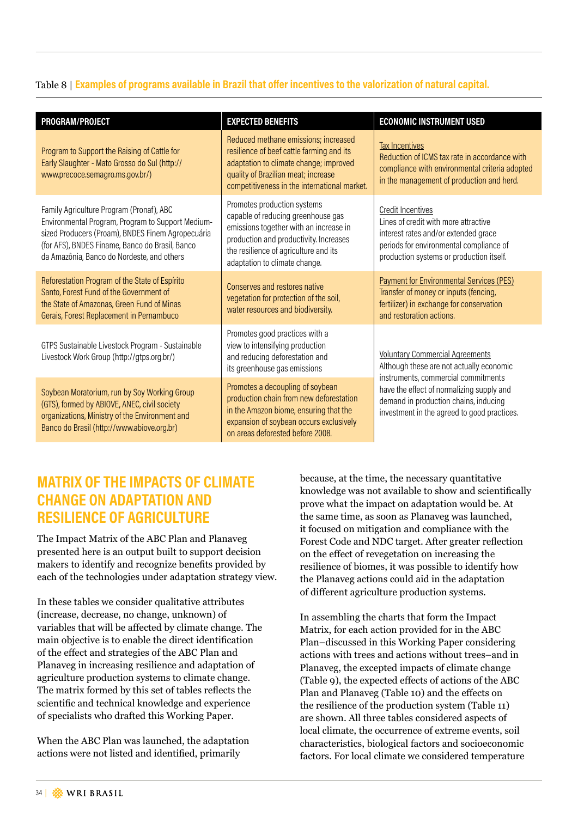#### Table 8 | **Examples of programs available in Brazil that offer incentives to the valorization of natural capital.**

| PROGRAM/PROJECT                                                                                                                                                                                                                                     | <b>EXPECTED BENEFITS</b>                                                                                                                                                                                                        | <b>ECONOMIC INSTRUMENT USED</b>                                                                                                                                                                 |  |  |
|-----------------------------------------------------------------------------------------------------------------------------------------------------------------------------------------------------------------------------------------------------|---------------------------------------------------------------------------------------------------------------------------------------------------------------------------------------------------------------------------------|-------------------------------------------------------------------------------------------------------------------------------------------------------------------------------------------------|--|--|
| Program to Support the Raising of Cattle for<br>Early Slaughter - Mato Grosso do Sul (http://<br>www.precoce.semagro.ms.gov.br/)                                                                                                                    | Reduced methane emissions; increased<br>resilience of beef cattle farming and its<br>adaptation to climate change; improved<br>quality of Brazilian meat; increase<br>competitiveness in the international market.              | <b>Tax Incentives</b><br>Reduction of ICMS tax rate in accordance with<br>compliance with environmental criteria adopted<br>in the management of production and herd.                           |  |  |
| Family Agriculture Program (Pronaf), ABC<br>Environmental Program, Program to Support Medium-<br>sized Producers (Proam), BNDES Finem Agropecuária<br>(for AFS), BNDES Finame, Banco do Brasil, Banco<br>da Amazônia, Banco do Nordeste, and others | Promotes production systems<br>capable of reducing greenhouse gas<br>emissions together with an increase in<br>production and productivity. Increases<br>the resilience of agriculture and its<br>adaptation to climate change. | <b>Credit Incentives</b><br>Lines of credit with more attractive<br>interest rates and/or extended grace<br>periods for environmental compliance of<br>production systems or production itself. |  |  |
| Reforestation Program of the State of Espírito<br>Santo, Forest Fund of the Government of<br>the State of Amazonas, Green Fund of Minas<br>Gerais, Forest Replacement in Pernambuco                                                                 | Conserves and restores native<br>vegetation for protection of the soil,<br>water resources and biodiversity.                                                                                                                    | <b>Payment for Environmental Services (PES)</b><br>Transfer of money or inputs (fencing,<br>fertilizer) in exchange for conservation<br>and restoration actions.                                |  |  |
| GTPS Sustainable Livestock Program - Sustainable<br>Livestock Work Group (http://gtps.org.br/)                                                                                                                                                      | Promotes good practices with a<br>view to intensifying production<br>and reducing deforestation and<br>its greenhouse gas emissions                                                                                             | <b>Voluntary Commercial Agreements</b><br>Although these are not actually economic<br>instruments, commercial commitments                                                                       |  |  |
| Soybean Moratorium, run by Soy Working Group<br>(GTS), formed by ABIOVE, ANEC, civil society<br>organizations, Ministry of the Environment and<br>Banco do Brasil (http://www.abiove.org.br)                                                        | Promotes a decoupling of soybean<br>production chain from new deforestation<br>in the Amazon biome, ensuring that the<br>expansion of soybean occurs exclusively<br>on areas deforested before 2008.                            | have the effect of normalizing supply and<br>demand in production chains, inducing<br>investment in the agreed to good practices.                                                               |  |  |

## **MATRIX OF THE IMPACTS OF CLIMATE CHANGE ON ADAPTATION AND RESILIENCE OF AGRICULTURE**

The Impact Matrix of the ABC Plan and Planaveg presented here is an output built to support decision makers to identify and recognize benefits provided by each of the technologies under adaptation strategy view.

In these tables we consider qualitative attributes (increase, decrease, no change, unknown) of variables that will be affected by climate change. The main objective is to enable the direct identification of the effect and strategies of the ABC Plan and Planaveg in increasing resilience and adaptation of agriculture production systems to climate change. The matrix formed by this set of tables reflects the scientific and technical knowledge and experience of specialists who drafted this Working Paper.

When the ABC Plan was launched, the adaptation actions were not listed and identified, primarily

because, at the time, the necessary quantitative knowledge was not available to show and scientifically prove what the impact on adaptation would be. At the same time, as soon as Planaveg was launched, it focused on mitigation and compliance with the Forest Code and NDC target. After greater reflection on the effect of revegetation on increasing the resilience of biomes, it was possible to identify how the Planaveg actions could aid in the adaptation of different agriculture production systems.

In assembling the charts that form the Impact Matrix, for each action provided for in the ABC Plan–discussed in this Working Paper considering actions with trees and actions without trees–and in Planaveg, the excepted impacts of climate change (Table 9), the expected effects of actions of the ABC Plan and Planaveg (Table 10) and the effects on the resilience of the production system (Table 11) are shown. All three tables considered aspects of local climate, the occurrence of extreme events, soil characteristics, biological factors and socioeconomic factors. For local climate we considered temperature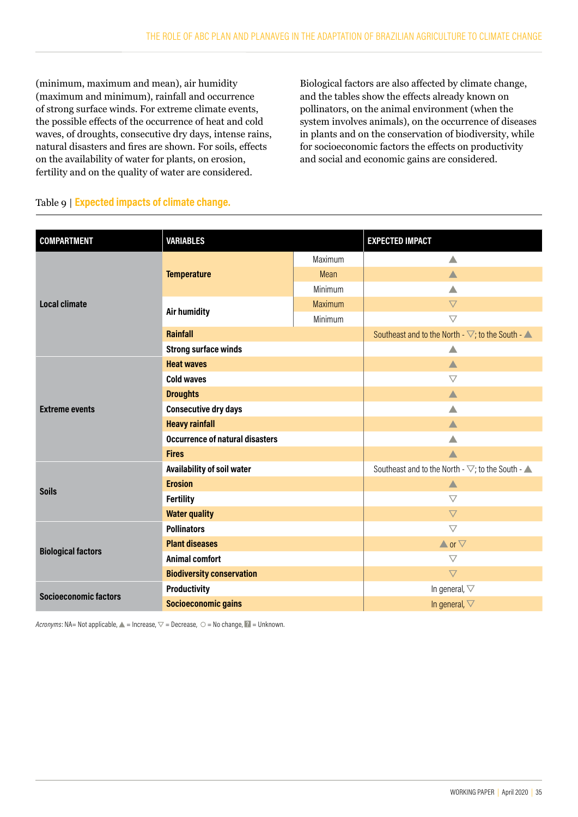(minimum, maximum and mean), air humidity (maximum and minimum), rainfall and occurrence of strong surface winds. For extreme climate events, the possible effects of the occurrence of heat and cold waves, of droughts, consecutive dry days, intense rains, natural disasters and fires are shown. For soils, effects on the availability of water for plants, on erosion, fertility and on the quality of water are considered.

Biological factors are also affected by climate change, and the tables show the effects already known on pollinators, on the animal environment (when the system involves animals), on the occurrence of diseases in plants and on the conservation of biodiversity, while for socioeconomic factors the effects on productivity and social and economic gains are considered.

| <b>COMPARTMENT</b>           | <b>VARIABLES</b>                       |                                                                         | <b>EXPECTED IMPACT</b>                                                  |  |
|------------------------------|----------------------------------------|-------------------------------------------------------------------------|-------------------------------------------------------------------------|--|
|                              |                                        | Maximum                                                                 | $\triangle$                                                             |  |
|                              | <b>Temperature</b>                     | Mean                                                                    | $\blacktriangle$                                                        |  |
|                              |                                        | Minimum                                                                 | ▲                                                                       |  |
| <b>Local climate</b>         | <b>Air humidity</b>                    | Maximum                                                                 | $\triangledown$                                                         |  |
|                              |                                        | Minimum                                                                 | $\bigtriangledown$                                                      |  |
|                              | <b>Rainfall</b>                        |                                                                         | Southeast and to the North - $\nabla$ ; to the South - $\blacktriangle$ |  |
|                              | <b>Strong surface winds</b>            |                                                                         | ▲                                                                       |  |
|                              | <b>Heat waves</b>                      |                                                                         | $\blacktriangle$                                                        |  |
|                              | <b>Cold waves</b>                      |                                                                         | $\triangledown$                                                         |  |
|                              | <b>Droughts</b>                        |                                                                         | $\blacktriangle$                                                        |  |
| <b>Extreme events</b>        | <b>Consecutive dry days</b>            |                                                                         | Δ                                                                       |  |
|                              | <b>Heavy rainfall</b>                  |                                                                         | $\blacktriangle$                                                        |  |
|                              | <b>Occurrence of natural disasters</b> |                                                                         | Δ                                                                       |  |
|                              | <b>Fires</b>                           |                                                                         | $\blacktriangle$                                                        |  |
| Availability of soil water   |                                        | Southeast and to the North - $\nabla$ ; to the South - $\blacktriangle$ |                                                                         |  |
| <b>Soils</b>                 | <b>Erosion</b>                         |                                                                         | ▲                                                                       |  |
|                              | <b>Fertility</b>                       |                                                                         | $\triangledown$                                                         |  |
|                              | <b>Water quality</b>                   |                                                                         | $\triangledown$                                                         |  |
|                              | <b>Pollinators</b>                     |                                                                         | $\bigtriangledown$                                                      |  |
| <b>Biological factors</b>    | <b>Plant diseases</b>                  |                                                                         | $\blacktriangle$ or $\nabla$                                            |  |
|                              | <b>Animal comfort</b>                  |                                                                         | $\bigtriangledown$                                                      |  |
|                              | <b>Biodiversity conservation</b>       |                                                                         | $\overline{\nabla}$                                                     |  |
| <b>Socioeconomic factors</b> | <b>Productivity</b>                    |                                                                         | In general, $\nabla$                                                    |  |
|                              | <b>Socioeconomic gains</b>             |                                                                         | In general, $\nabla$                                                    |  |

#### Table 9 | **Expected impacts of climate change.**

*Acronyms*: NA= Not applicable,  $\triangle$  = Increase,  $\triangledown$  = Decrease,  $\circ$  = No change, **2** = Unknown.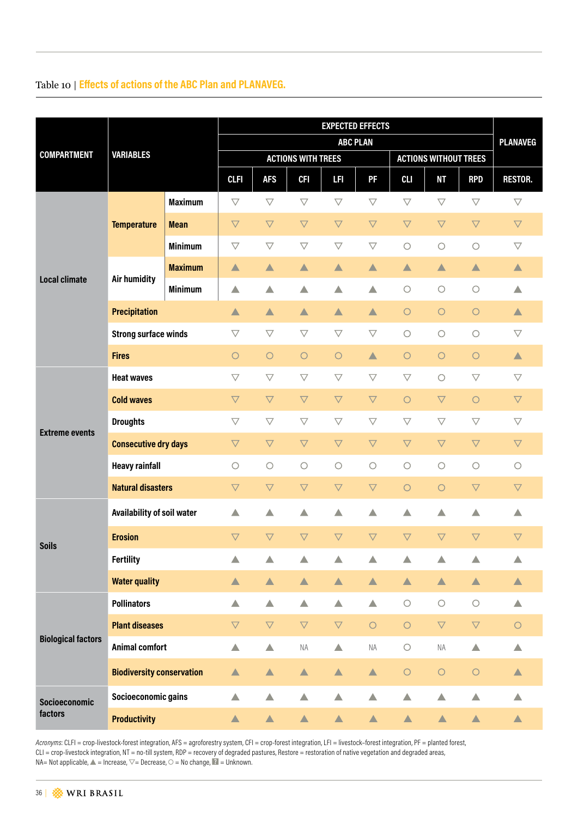## Table 10 | **Effects of actions of the ABC Plan and PLANAVEG.**

|                                 | <b>VARIABLES</b>                 |                | <b>EXPECTED EFFECTS</b> |                     |                           |                     |                              |                     |                     |                       | <b>PLANAVEG</b>     |
|---------------------------------|----------------------------------|----------------|-------------------------|---------------------|---------------------------|---------------------|------------------------------|---------------------|---------------------|-----------------------|---------------------|
|                                 |                                  |                | <b>ABC PLAN</b>         |                     |                           |                     |                              |                     |                     |                       |                     |
| <b>COMPARTMENT</b>              |                                  |                |                         |                     | <b>ACTIONS WITH TREES</b> |                     | <b>ACTIONS WITHOUT TREES</b> |                     |                     |                       |                     |
|                                 |                                  |                | <b>CLFI</b>             | <b>AFS</b>          | <b>CFI</b>                | LFI.                | PF                           | <b>CLI</b>          | NΤ                  | <b>RPD</b>            | <b>RESTOR.</b>      |
| <b>Local climate</b>            | <b>Temperature</b>               | <b>Maximum</b> | $\bigtriangledown$      | $\triangledown$     | $\bigtriangledown$        | $\triangledown$     | $\bigtriangledown$           | $\triangledown$     | $\triangledown$     | $\triangledown$       | $\triangledown$     |
|                                 |                                  | <b>Mean</b>    | $\nabla$                | $\triangledown$     | $\overline{\nabla}$       | $\triangledown$     | $\overline{\nabla}$          | $\triangledown$     | $\overline{\nabla}$ | $\triangledown$       | $\overline{\nabla}$ |
|                                 |                                  | <b>Minimum</b> | $\bigtriangledown$      | $\triangledown$     | $\triangledown$           | $\triangledown$     | $\bigtriangledown$           | $\bigcirc$          | $\bigcirc$          | $\bigcirc$            | $\overline{\vee}$   |
|                                 | <b>Air humidity</b>              | <b>Maximum</b> | $\blacktriangle$        | $\blacktriangle$    | $\blacktriangle$          | ▲                   | $\blacktriangle$             | ▲                   | $\blacktriangle$    | $\blacktriangle$      | $\blacktriangle$    |
|                                 |                                  | <b>Minimum</b> | ▲                       | ▲                   | $\triangle$               | △                   | △                            | $\bigcirc$          | $\bigcirc$          | $\bigcirc$            | △                   |
|                                 | <b>Precipitation</b>             |                | $\blacktriangle$        | $\blacktriangle$    | $\blacktriangle$          | $\blacktriangle$    | $\blacktriangle$             | $\circ$             | $\bigcirc$          | $\circ$               | $\blacktriangle$    |
|                                 | <b>Strong surface winds</b>      |                | $\triangledown$         | $\triangledown$     | $\triangledown$           | $\bigtriangledown$  | $\bigtriangledown$           | $\bigcirc$          | $\bigcirc$          | $\bigcirc$            | $\triangledown$     |
|                                 | <b>Fires</b>                     |                | $\circ$                 | $\circ$             | $\circ$                   | $\circ$             | $\blacktriangle$             | $\circ$             | $\bigcirc$          | $\circ$               | $\blacktriangle$    |
| <b>Extreme events</b>           | <b>Heat waves</b>                |                | $\triangledown$         | $\triangledown$     | $\bigtriangledown$        | $\bigtriangledown$  | $\bigtriangledown$           | $\bigtriangledown$  | $\circlearrowright$ | $\bigtriangledown$    | $\triangledown$     |
|                                 | <b>Cold waves</b>                |                | $\triangledown$         | $\triangledown$     | $\triangledown$           | $\nabla$            | $\boldsymbol{\nabla}$        | $\circ$             | $\bigtriangledown$  | $\circ$               | $\triangledown$     |
|                                 | <b>Droughts</b>                  |                | $\bigtriangledown$      | $\bigtriangledown$  | $\bigtriangledown$        | $\bigtriangledown$  | $\bigtriangledown$           | $\bigtriangledown$  | $\bigtriangledown$  | $\triangledown$       | $\overline{\vee}$   |
|                                 | <b>Consecutive dry days</b>      |                | $\triangledown$         | $\overline{\nabla}$ | $\triangledown$           | $\overline{\nabla}$ | $\triangledown$              | $\triangledown$     | $\overline{\nabla}$ | $\triangledown$       | $\overline{\nabla}$ |
|                                 | <b>Heavy rainfall</b>            |                | $\circ$                 | $\circ$             | $\circ$                   | $\circ$             | $\bigcirc$                   | $\circlearrowright$ | $\bigcirc$          | $\circlearrowright$   | $\circ$             |
|                                 | <b>Natural disasters</b>         |                | $\nabla$                | $\triangledown$     | $\overline{\nabla}$       | $\bigtriangledown$  | $\bigtriangledown$           | $\circ$             | $\circ$             | $\triangledown$       | $\triangledown$     |
|                                 | Availability of soil water       |                | $\blacktriangle$        | $\blacktriangle$    | $\blacktriangle$          | △                   | $\blacktriangle$             | △                   | △                   | ▲                     | △                   |
| <b>Soils</b>                    | <b>Erosion</b>                   |                | $\triangledown$         | $\overline{\nabla}$ | $\overline{\nabla}$       | $\overline{\nabla}$ | $\overline{\nabla}$          | $\triangledown$     | $\overline{\nabla}$ | $\triangledown$       | $\overline{\nabla}$ |
|                                 | <b>Fertility</b>                 |                | △                       | △                   | ▲                         |                     |                              |                     |                     | ▲                     | △                   |
|                                 | <b>Water quality</b>             |                | ▲                       | $\blacktriangle$    | $\blacktriangle$          | $\blacktriangle$    | $\blacktriangle$             | $\blacktriangle$    | $\blacktriangle$    | $\blacktriangle$      | $\blacktriangle$    |
| <b>Biological factors</b>       | <b>Pollinators</b>               |                | ▲                       | ▲                   | $\blacktriangle$          | ▲                   | $\blacktriangle$             | $\bigcirc$          | $\bigcirc$          | $\bigcirc$            | Δ                   |
|                                 | <b>Plant diseases</b>            |                | $\boldsymbol{\nabla}$   | $\bigtriangledown$  | $\boldsymbol{\nabla}$     | $\bigtriangledown$  | $\bigcirc$                   | $\bigcirc$          | $\triangledown$     | $\boldsymbol{\nabla}$ | $\bigcirc$          |
|                                 | <b>Animal comfort</b>            |                | $\triangle$             | $\triangle$         | $\sf{NA}$                 | $\blacktriangle$    | $\sf NA$                     | $\bigcirc$          | ΝA                  | $\triangle$           | ▲                   |
|                                 | <b>Biodiversity conservation</b> |                | $\blacktriangle$        | $\blacktriangle$    | $\blacktriangle$          | $\blacktriangle$    | $\blacktriangle$             | $\bigcirc$          | $\bigcirc$          | $\bigcirc$            | $\blacktriangle$    |
| <b>Socioeconomic</b><br>factors | Socioeconomic gains              |                | $\blacktriangle$        | $\blacktriangle$    | $\blacktriangle$          | ▲                   | $\blacktriangle$             | $\blacktriangle$    | $\blacktriangle$    | $\blacktriangle$      | $\blacktriangle$    |
|                                 | <b>Productivity</b>              |                | $\blacktriangle$        | $\blacktriangle$    | $\blacktriangle$          | $\blacktriangle$    | $\blacktriangle$             | $\blacktriangle$    | ▲                   | $\blacktriangle$      | $\blacktriangle$    |

*Acronyms*: CLFI = crop-livestock-forest integration, AFS = agroforestry system, CFI = crop-forest integration, LFI = livestock–forest integration, PF = planted forest, CLI = crop-livestock integration, NT = no-till system, RDP = recovery of degraded pastures, Restore = restoration of native vegetation and degraded areas,  $NA= Not applicable, \triangle = Increase, \triangledown = Decrease, \bigcirc = No change, \triangle = Unknown.$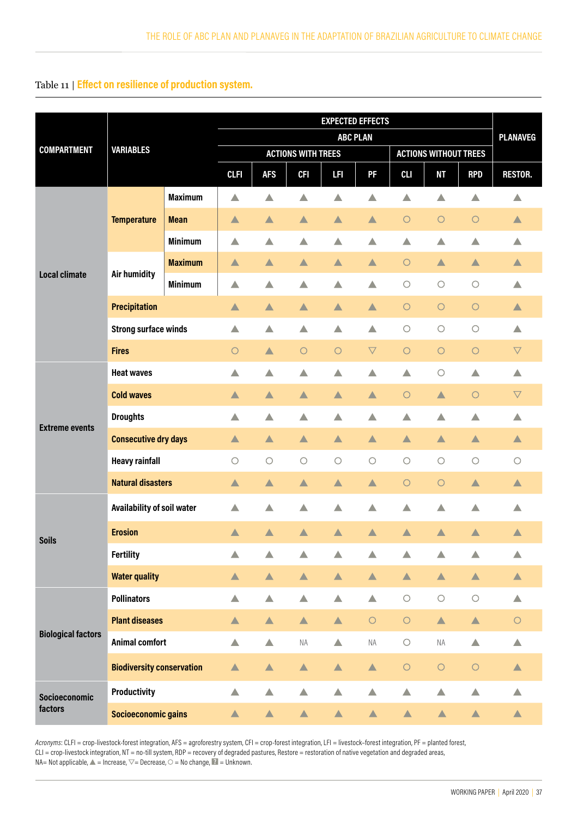#### Table 11 | **Effect on resilience of production system.**

|                                 | <b>VARIABLES</b>                 |                | <b>EXPECTED EFFECTS</b> |                  |                           |                  |                              |                  |                  |                  |                     |
|---------------------------------|----------------------------------|----------------|-------------------------|------------------|---------------------------|------------------|------------------------------|------------------|------------------|------------------|---------------------|
|                                 |                                  |                | <b>ABC PLAN</b>         |                  |                           |                  |                              |                  |                  |                  | <b>PLANAVEG</b>     |
| <b>COMPARTMENT</b>              |                                  |                |                         |                  | <b>ACTIONS WITH TREES</b> |                  | <b>ACTIONS WITHOUT TREES</b> |                  |                  |                  |                     |
|                                 |                                  |                | <b>CLFI</b>             | <b>AFS</b>       | <b>CFI</b>                | LF I             | PF                           | <b>CLI</b>       | NΤ               | <b>RPD</b>       | <b>RESTOR.</b>      |
| <b>Local climate</b>            | <b>Temperature</b>               | <b>Maximum</b> | ▲                       | △                | ▲                         | △                | ▲                            | △                | ▲                | △                | △                   |
|                                 |                                  | <b>Mean</b>    | $\blacktriangle$        | $\blacktriangle$ | $\blacktriangle$          | $\blacktriangle$ | $\blacktriangle$             | $\circ$          | $\circ$          | $\circ$          | ▲                   |
|                                 |                                  | <b>Minimum</b> | $\triangle$             | ▲                | $\blacktriangle$          | ▲                | ▲                            | $\blacktriangle$ | ▲                | ▲                | $\triangle$         |
|                                 | Air humidity                     | <b>Maximum</b> | $\blacktriangle$        | ▲                | $\blacktriangle$          | $\blacktriangle$ | $\blacktriangle$             | $\circ$          | $\blacktriangle$ | ▲                | Δ                   |
|                                 |                                  | <b>Minimum</b> | Δ                       | ▲                | △                         | △                | ▲                            | $\bigcirc$       | $\bigcirc$       | $\circ$          | Δ                   |
|                                 | <b>Precipitation</b>             |                | $\blacktriangle$        | $\blacktriangle$ | $\blacktriangle$          | $\blacktriangle$ | $\blacktriangle$             | $\circ$          | $\bigcirc$       | $\bigcirc$       | $\blacktriangle$    |
|                                 | <b>Strong surface winds</b>      |                | $\blacktriangle$        | $\triangle$      | $\blacktriangle$          | △                | $\blacktriangle$             | $\bigcirc$       | $\bigcirc$       | $\bigcirc$       | Δ                   |
|                                 | <b>Fires</b>                     |                | $\circ$                 | $\blacktriangle$ | $\bigcirc$                | $\bigcirc$       | $\bigtriangledown$           | $\circ$          | $\bigcirc$       | $\bigcirc$       | $\bigtriangledown$  |
| <b>Extreme events</b>           | <b>Heat waves</b>                |                | ▲                       | △                | $\blacktriangle$          | ▲                | $\blacktriangle$             | ▲                | $\bigcirc$       | ▲                | Δ                   |
|                                 | <b>Cold waves</b>                |                | ▲                       | $\blacktriangle$ | ▲                         | $\blacktriangle$ | $\blacktriangle$             | $\circ$          | $\blacktriangle$ | $\bigcirc$       | $\triangledown$     |
|                                 | <b>Droughts</b>                  |                | Δ                       | △                | ▲                         | △                | △                            | ▲                | △                | ▲                | Δ                   |
|                                 | <b>Consecutive dry days</b>      |                | $\blacktriangle$        | $\blacktriangle$ | $\blacktriangle$          | $\blacktriangle$ | $\blacktriangle$             | $\blacktriangle$ | $\blacktriangle$ | ▲                | $\blacktriangle$    |
|                                 | <b>Heavy rainfall</b>            |                | $\circlearrowright$     | $\bigcirc$       | $\bigcirc$                | $\bigcirc$       | $\circ$                      | $\bigcirc$       | $\bigcirc$       | $\bigcirc$       | $\circlearrowright$ |
|                                 | <b>Natural disasters</b>         |                | $\blacktriangle$        | ▲                | $\blacktriangle$          | ▲                | $\blacktriangle$             | $\bigcirc$       | $\bigcirc$       | $\blacktriangle$ | ▲                   |
|                                 | Availability of soil water       |                | $\triangle$             | $\triangle$      | $\triangle$               | $\triangle$      | $\triangle$                  | $\triangle$      | △                | $\triangle$      | Δ                   |
| <b>Soils</b>                    | <b>Erosion</b>                   |                | $\blacktriangle$        | ▲                | $\blacktriangle$          | ▲                | ▲                            | ▲                | ▲                | ▲                | ▲                   |
|                                 | <b>Fertility</b>                 |                | $\blacktriangle$        | $\blacktriangle$ | $\blacktriangle$          | △                | △                            | ▲                | ▲                | ▲                | $\triangle$         |
|                                 | <b>Water quality</b>             |                | $\blacktriangle$        | $\blacktriangle$ | $\blacktriangle$          | $\blacktriangle$ | $\blacktriangle$             | $\blacktriangle$ | $\blacktriangle$ | $\blacktriangle$ | $\blacktriangle$    |
| <b>Biological factors</b>       | <b>Pollinators</b>               |                | $\blacktriangle$        | $\blacktriangle$ | $\blacktriangle$          | $\blacktriangle$ | $\blacktriangle$             | $\bigcirc$       | $\bigcirc$       | $\bigcirc$       | $\blacktriangle$    |
|                                 | <b>Plant diseases</b>            |                | $\blacktriangle$        | $\blacktriangle$ | $\blacktriangle$          | $\blacktriangle$ | $\bigcirc$                   | $\bigcirc$       | $\blacktriangle$ | $\blacktriangle$ | $\circ$             |
|                                 | <b>Animal comfort</b>            |                | $\blacktriangle$        | $\blacktriangle$ | $\sf NA$                  | $\blacktriangle$ | NA                           | $\bigcirc$       | $\sf NA$         | ▲                | $\blacktriangle$    |
|                                 | <b>Biodiversity conservation</b> |                | $\blacktriangle$        | $\blacktriangle$ | $\blacktriangle$          | $\blacktriangle$ | $\blacktriangle$             | $\bigcirc$       | $\bigcirc$       | $\bigcirc$       | $\blacktriangle$    |
| <b>Socioeconomic</b><br>factors | <b>Productivity</b>              |                | $\blacktriangle$        | $\blacktriangle$ | $\blacktriangle$          | $\blacktriangle$ | $\blacktriangle$             | $\blacktriangle$ | ▲                | $\blacktriangle$ | $\blacktriangle$    |
|                                 | <b>Socioeconomic gains</b>       |                | $\blacktriangle$        | $\blacktriangle$ | $\blacktriangle$          | $\blacktriangle$ | $\blacktriangle$             | $\blacktriangle$ | $\blacktriangle$ | $\blacktriangle$ | $\blacktriangle$    |

*Acronyms*: CLFI = crop-livestock-forest integration, AFS = agroforestry system, CFI = crop-forest integration, LFI = livestock–forest integration, PF = planted forest, CLI = crop-livestock integration, NT = no-till system, RDP = recovery of degraded pastures, Restore = restoration of native vegetation and degraded areas,  $NA= Not applicable, \triangle = Increase, \triangledown = Decrease, \bigcirc = No change, \triangle = Unknown.$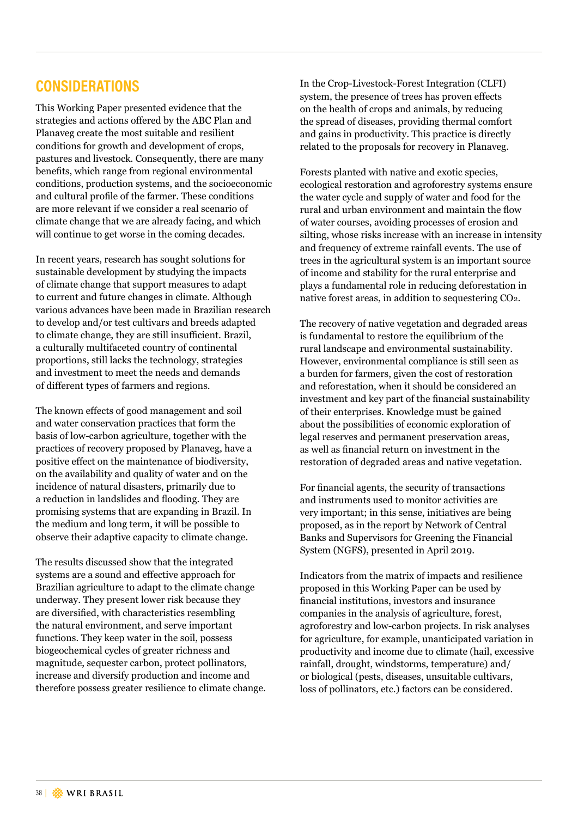## **CONSIDERATIONS**

This Working Paper presented evidence that the strategies and actions offered by the ABC Plan and Planaveg create the most suitable and resilient conditions for growth and development of crops, pastures and livestock. Consequently, there are many benefits, which range from regional environmental conditions, production systems, and the socioeconomic and cultural profile of the farmer. These conditions are more relevant if we consider a real scenario of climate change that we are already facing, and which will continue to get worse in the coming decades.

In recent years, research has sought solutions for sustainable development by studying the impacts of climate change that support measures to adapt to current and future changes in climate. Although various advances have been made in Brazilian research to develop and/or test cultivars and breeds adapted to climate change, they are still insufficient. Brazil, a culturally multifaceted country of continental proportions, still lacks the technology, strategies and investment to meet the needs and demands of different types of farmers and regions.

The known effects of good management and soil and water conservation practices that form the basis of low-carbon agriculture, together with the practices of recovery proposed by Planaveg, have a positive effect on the maintenance of biodiversity, on the availability and quality of water and on the incidence of natural disasters, primarily due to a reduction in landslides and flooding. They are promising systems that are expanding in Brazil. In the medium and long term, it will be possible to observe their adaptive capacity to climate change.

The results discussed show that the integrated systems are a sound and effective approach for Brazilian agriculture to adapt to the climate change underway. They present lower risk because they are diversified, with characteristics resembling the natural environment, and serve important functions. They keep water in the soil, possess biogeochemical cycles of greater richness and magnitude, sequester carbon, protect pollinators, increase and diversify production and income and therefore possess greater resilience to climate change.

In the Crop-Livestock-Forest Integration (CLFI) system, the presence of trees has proven effects on the health of crops and animals, by reducing the spread of diseases, providing thermal comfort and gains in productivity. This practice is directly related to the proposals for recovery in Planaveg.

Forests planted with native and exotic species, ecological restoration and agroforestry systems ensure the water cycle and supply of water and food for the rural and urban environment and maintain the flow of water courses, avoiding processes of erosion and silting, whose risks increase with an increase in intensity and frequency of extreme rainfall events. The use of trees in the agricultural system is an important source of income and stability for the rural enterprise and plays a fundamental role in reducing deforestation in native forest areas, in addition to sequestering CO2.

The recovery of native vegetation and degraded areas is fundamental to restore the equilibrium of the rural landscape and environmental sustainability. However, environmental compliance is still seen as a burden for farmers, given the cost of restoration and reforestation, when it should be considered an investment and key part of the financial sustainability of their enterprises. Knowledge must be gained about the possibilities of economic exploration of legal reserves and permanent preservation areas, as well as financial return on investment in the restoration of degraded areas and native vegetation.

For financial agents, the security of transactions and instruments used to monitor activities are very important; in this sense, initiatives are being proposed, as in the report by Network of Central Banks and Supervisors for Greening the Financial System (NGFS), presented in April 2019.

Indicators from the matrix of impacts and resilience proposed in this Working Paper can be used by financial institutions, investors and insurance companies in the analysis of agriculture, forest, agroforestry and low-carbon projects. In risk analyses for agriculture, for example, unanticipated variation in productivity and income due to climate (hail, excessive rainfall, drought, windstorms, temperature) and/ or biological (pests, diseases, unsuitable cultivars, loss of pollinators, etc.) factors can be considered.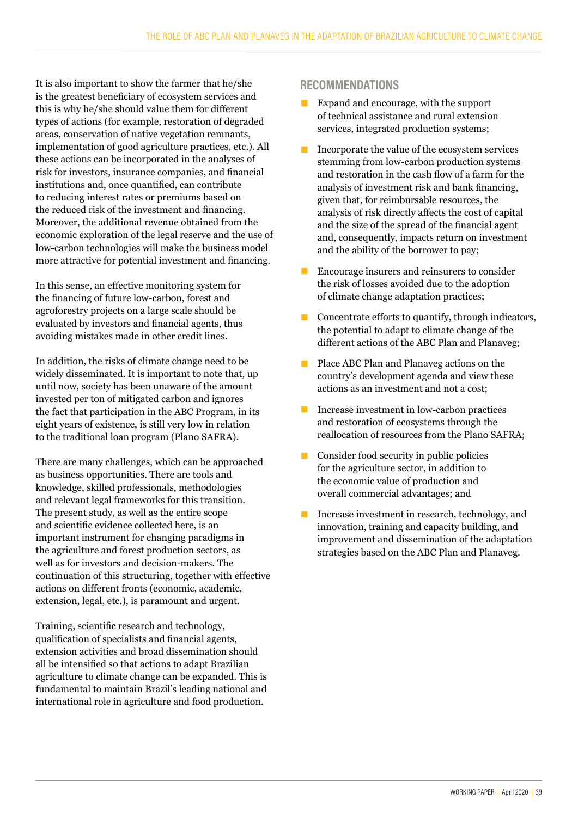It is also important to show the farmer that he/she is the greatest beneficiary of ecosystem services and this is why he/she should value them for different types of actions (for example, restoration of degraded areas, conservation of native vegetation remnants, implementation of good agriculture practices, etc.). All these actions can be incorporated in the analyses of risk for investors, insurance companies, and financial institutions and, once quantified, can contribute to reducing interest rates or premiums based on the reduced risk of the investment and financing. Moreover, the additional revenue obtained from the economic exploration of the legal reserve and the use of low-carbon technologies will make the business model more attractive for potential investment and financing.

In this sense, an effective monitoring system for the financing of future low-carbon, forest and agroforestry projects on a large scale should be evaluated by investors and financial agents, thus avoiding mistakes made in other credit lines.

In addition, the risks of climate change need to be widely disseminated. It is important to note that, up until now, society has been unaware of the amount invested per ton of mitigated carbon and ignores the fact that participation in the ABC Program, in its eight years of existence, is still very low in relation to the traditional loan program (Plano SAFRA).

There are many challenges, which can be approached as business opportunities. There are tools and knowledge, skilled professionals, methodologies and relevant legal frameworks for this transition. The present study, as well as the entire scope and scientific evidence collected here, is an important instrument for changing paradigms in the agriculture and forest production sectors, as well as for investors and decision-makers. The continuation of this structuring, together with effective actions on different fronts (economic, academic, extension, legal, etc.), is paramount and urgent.

Training, scientific research and technology, qualification of specialists and financial agents, extension activities and broad dissemination should all be intensified so that actions to adapt Brazilian agriculture to climate change can be expanded. This is fundamental to maintain Brazil's leading national and international role in agriculture and food production.

#### **RECOMMENDATIONS**

- Expand and encourage, with the support of technical assistance and rural extension services, integrated production systems;
- Incorporate the value of the ecosystem services stemming from low-carbon production systems and restoration in the cash flow of a farm for the analysis of investment risk and bank financing, given that, for reimbursable resources, the analysis of risk directly affects the cost of capital and the size of the spread of the financial agent and, consequently, impacts return on investment and the ability of the borrower to pay;
- Encourage insurers and reinsurers to consider the risk of losses avoided due to the adoption of climate change adaptation practices;
- $\blacksquare$  Concentrate efforts to quantify, through indicators, the potential to adapt to climate change of the different actions of the ABC Plan and Planaveg;
- Place ABC Plan and Planaveg actions on the country's development agenda and view these actions as an investment and not a cost;
- Increase investment in low-carbon practices and restoration of ecosystems through the reallocation of resources from the Plano SAFRA;
- $\Box$  Consider food security in public policies for the agriculture sector, in addition to the economic value of production and overall commercial advantages; and
- Increase investment in research, technology, and innovation, training and capacity building, and improvement and dissemination of the adaptation strategies based on the ABC Plan and Planaveg.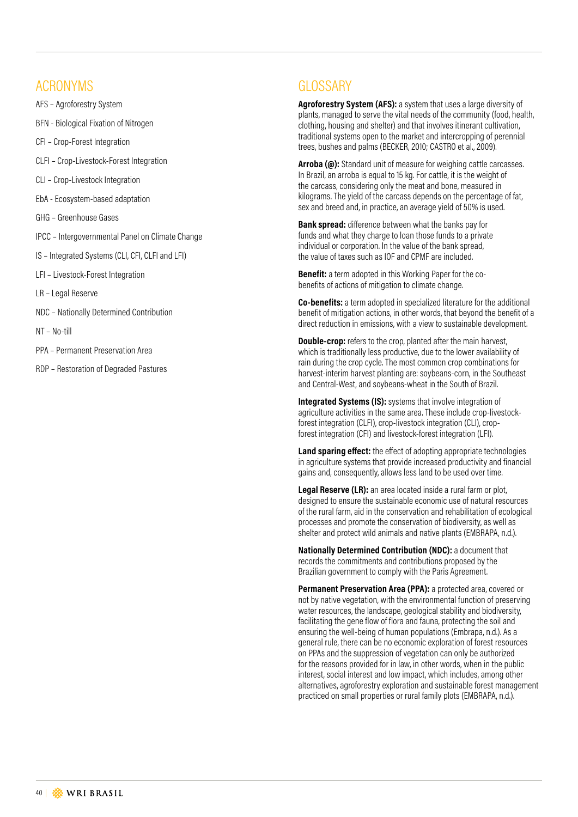## ACRONYMS

- AFS Agroforestry System
- BFN Biological Fixation of Nitrogen
- CFI Crop-Forest Integration
- CLFI Crop-Livestock-Forest Integration
- CLI Crop-Livestock Integration
- EbA Ecosystem-based adaptation
- GHG Greenhouse Gases
- IPCC Intergovernmental Panel on Climate Change
- IS Integrated Systems (CLI, CFI, CLFI and LFI)
- LFI Livestock-Forest Integration
- LR Legal Reserve
- NDC Nationally Determined Contribution
- NT No-till
- PPA Permanent Preservation Area
- RDP Restoration of Degraded Pastures

## **GLOSSARY**

**Agroforestry System (AFS):** a system that uses a large diversity of plants, managed to serve the vital needs of the community (food, health, clothing, housing and shelter) and that involves itinerant cultivation, traditional systems open to the market and intercropping of perennial trees, bushes and palms (BECKER, 2010; CASTRO et al., 2009).

**Arroba (@):** Standard unit of measure for weighing cattle carcasses. In Brazil, an arroba is equal to 15 kg. For cattle, it is the weight of the carcass, considering only the meat and bone, measured in kilograms. The yield of the carcass depends on the percentage of fat, sex and breed and, in practice, an average yield of 50% is used.

**Bank spread:** difference between what the banks pay for funds and what they charge to loan those funds to a private individual or corporation. In the value of the bank spread, the value of taxes such as IOF and CPMF are included.

**Benefit:** a term adopted in this Working Paper for the cobenefits of actions of mitigation to climate change.

**Co-benefits:** a term adopted in specialized literature for the additional benefit of mitigation actions, in other words, that beyond the benefit of a direct reduction in emissions, with a view to sustainable development.

**Double-crop:** refers to the crop, planted after the main harvest, which is traditionally less productive, due to the lower availability of rain during the crop cycle. The most common crop combinations for harvest-interim harvest planting are: soybeans-corn, in the Southeast and Central-West, and soybeans-wheat in the South of Brazil.

**Integrated Systems (IS):** systems that involve integration of agriculture activities in the same area. These include crop-livestockforest integration (CLFI), crop-livestock integration (CLI), cropforest integration (CFI) and livestock-forest integration (LFI).

**Land sparing effect:** the effect of adopting appropriate technologies in agriculture systems that provide increased productivity and financial gains and, consequently, allows less land to be used over time.

**Legal Reserve (LR):** an area located inside a rural farm or plot, designed to ensure the sustainable economic use of natural resources of the rural farm, aid in the conservation and rehabilitation of ecological processes and promote the conservation of biodiversity, as well as shelter and protect wild animals and native plants (EMBRAPA, n.d.).

**Nationally Determined Contribution (NDC):** a document that records the commitments and contributions proposed by the Brazilian government to comply with the Paris Agreement.

**Permanent Preservation Area (PPA):** a protected area, covered or not by native vegetation, with the environmental function of preserving water resources, the landscape, geological stability and biodiversity, facilitating the gene flow of flora and fauna, protecting the soil and ensuring the well-being of human populations (Embrapa, n.d.). As a general rule, there can be no economic exploration of forest resources on PPAs and the suppression of vegetation can only be authorized for the reasons provided for in law, in other words, when in the public interest, social interest and low impact, which includes, among other alternatives, agroforestry exploration and sustainable forest management practiced on small properties or rural family plots (EMBRAPA, n.d.).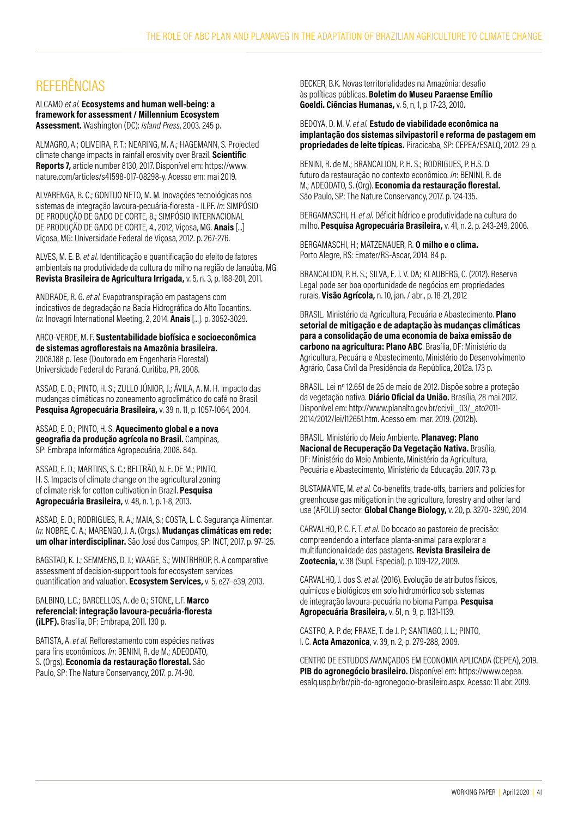## REFERÊNCIAS

ALCAMO *et al.* **Ecosystems and human well-being: a framework for assessment / Millennium Ecosystem Assessment.** Washington (DC): *Island Press*, 2003. 245 p.

ALMAGRO, A.; OLIVEIRA, P. T.; NEARING, M. A.; HAGEMANN, S. Projected climate change impacts in rainfall erosivity over Brazil. **Scientific Reports 7,** article number 8130, 2017. Disponível em: https://www. nature.com/articles/s41598-017-08298-y. Acesso em: mai 2019.

ALVARENGA, R. C.; GONTIJO NETO, M. M. Inovações tecnológicas nos sistemas de integração lavoura-pecuária-floresta - ILPF. *In*: SIMPÓSIO DE PRODUÇÃO DE GADO DE CORTE, 8.; SIMPÓSIO INTERNACIONAL DE PRODUÇÃO DE GADO DE CORTE, 4., 2012, Viçosa, MG. **Anais** [...] Viçosa, MG: Universidade Federal de Viçosa, 2012. p. 267-276.

ALVES, M. E. B. *et al.* Identificação e quantificação do efeito de fatores ambientais na produtividade da cultura do milho na região de Janaúba, MG. **Revista Brasileira de Agricultura Irrigada,** v. 5, n. 3, p. 188-201, 2011.

ANDRADE, R. G. *et al.* Evapotranspiração em pastagens com indicativos de degradação na Bacia Hidrográfica do Alto Tocantins. *In*: Inovagri International Meeting, 2, 2014. **Anais** [...]. p. 3052-3029.

ARCO-VERDE, M. F. **Sustentabilidade biofísica e socioeconômica de sistemas agroflorestais na Amazônia brasileira.** 2008.188 p. Tese (Doutorado em Engenharia Florestal). Universidade Federal do Paraná. Curitiba, PR, 2008.

ASSAD, E. D.; PINTO, H. S.; ZULLO JÚNIOR, J.; ÁVILA, A. M. H. Impacto das mudanças climáticas no zoneamento agroclimático do café no Brasil. **Pesquisa Agropecuária Brasileira,** v. 39 n. 11, p. 1057-1064, 2004.

ASSAD, E. D.; PINTO, H. S. **Aquecimento global e a nova geografia da produção agrícola no Brasil.** Campinas, SP: Embrapa Informática Agropecuária, 2008. 84p.

ASSAD, E. D.; MARTINS, S. C.; BELTRÃO, N. E. DE M.; PINTO, H. S. Impacts of climate change on the agricultural zoning of climate risk for cotton cultivation in Brazil. **Pesquisa Agropecuária Brasileira,** v. 48, n. 1, p. 1-8, 2013.

ASSAD, E. D.; RODRIGUES, R. A.; MAIA, S.; COSTA, L. C. Segurança Alimentar. *In*: NOBRE, C. A.; MARENGO, J. A. (Orgs.). **Mudanças climáticas em rede: um olhar interdisciplinar.** São José dos Campos, SP: INCT, 2017. p. 97-125.

BAGSTAD, K. J.; SEMMENS, D. J.; WAAGE, S.; WINTRHROP, R. A comparative assessment of decision-support tools for ecosystem services quantification and valuation. **Ecosystem Services,** v. 5, e27–e39, 2013.

BALBINO, L.C.; BARCELLOS, A. de O.; STONE, L.F. **Marco referencial: integração lavoura-pecuária-floresta (iLPF).** Brasília, DF: Embrapa, 2011. 130 p.

BATISTA, A. *et al.* Reflorestamento com espécies nativas para fins econômicos. *In*: BENINI, R. de M.; ADEODATO, S. (Orgs). **Economia da restauração florestal.** São Paulo, SP: The Nature Conservancy, 2017. p. 74-90.

BECKER, B.K. Novas territorialidades na Amazônia: desafio às políticas públicas. **Boletim do Museu Paraense Emílio Goeldi. Ciências Humanas,** v. 5, n, 1, p. 17-23, 2010.

BEDOYA, D. M. V. *et al.* **Estudo de viabilidade econômica na implantação dos sistemas silvipastoril e reforma de pastagem em propriedades de leite típicas.** Piracicaba, SP: CEPEA/ESALQ, 2012. 29 p.

BENINI, R. de M.; BRANCALION, P. H. S.; RODRIGUES, P. H.S. O futuro da restauração no contexto econômico. *In*: BENINI, R. de M.; ADEODATO, S. (Org). **Economia da restauração florestal.**  São Paulo, SP: The Nature Conservancy, 2017. p. 124-135.

BERGAMASCHI, H. *et al.* Déficit hídrico e produtividade na cultura do milho. **Pesquisa Agropecuária Brasileira,** v. 41, n. 2, p. 243-249, 2006.

BERGAMASCHI, H.; MATZENAUER, R. **O milho e o clima.** Porto Alegre, RS: Emater/RS-Ascar, 2014. 84 p.

BRANCALION, P. H. S.; SILVA, E. J. V. DA; KLAUBERG, C. (2012). Reserva Legal pode ser boa oportunidade de negócios em propriedades rurais. **Visão Agrícola,** n. 10, jan. / abr., p. 18-21, 2012

BRASIL. Ministério da Agricultura, Pecuária e Abastecimento. **Plano setorial de mitigação e de adaptação às mudanças climáticas para a consolidação de uma economia de baixa emissão de carbono na agricultura: Plano ABC**. Brasília, DF: Ministério da Agricultura, Pecuária e Abastecimento, Ministério do Desenvolvimento Agrário, Casa Civil da Presidência da República, 2012a. 173 p.

BRASIL. Lei nº 12.651 de 25 de maio de 2012. Dispõe sobre a proteção da vegetação nativa. **Diário Oficial da União.** Brasília, 28 mai 2012. Disponível em: http://www.planalto.gov.br/ccivil\_03/\_ato2011- 2014/2012/lei/l12651.htm. Acesso em: mar. 2019. (2012b).

BRASIL. Ministério do Meio Ambiente. **Planaveg: Plano Nacional de Recuperação Da Vegetação Nativa.** Brasília, DF: Ministério do Meio Ambiente, Ministério da Agricultura, Pecuária e Abastecimento, Ministério da Educação. 2017. 73 p.

BUSTAMANTE, M. *et al.* Co-benefits, trade-offs, barriers and policies for greenhouse gas mitigation in the agriculture, forestry and other land use (AFOLU) sector. **Global Change Biology,** v. 20, p. 3270- 3290, 2014.

CARVALHO, P. C. F. T. *et al.* Do bocado ao pastoreio de precisão: compreendendo a interface planta-animal para explorar a multifuncionalidade das pastagens. **Revista Brasileira de Zootecnia,** v. 38 (Supl. Especial), p. 109-122, 2009.

CARVALHO, J. dos S. *et al.* (2016). Evolução de atributos físicos, químicos e biológicos em solo hidromórfico sob sistemas de integração lavoura-pecuária no bioma Pampa. **Pesquisa Agropecuária Brasileira,** v. 51, n. 9, p. 1131-1139.

CASTRO, A. P. de; FRAXE, T. de J. P; SANTIAGO, J. L.; PINTO, I. C. **Acta Amazonica**, v. 39, n. 2, p. 279-288, 2009.

CENTRO DE ESTUDOS AVANÇADOS EM ECONOMIA APLICADA (CEPEA), 2019. **PIB do agronegócio brasileiro.** Disponível em: https://www.cepea. esalq.usp.br/br/pib-do-agronegocio-brasileiro.aspx. Acesso: 11 abr. 2019.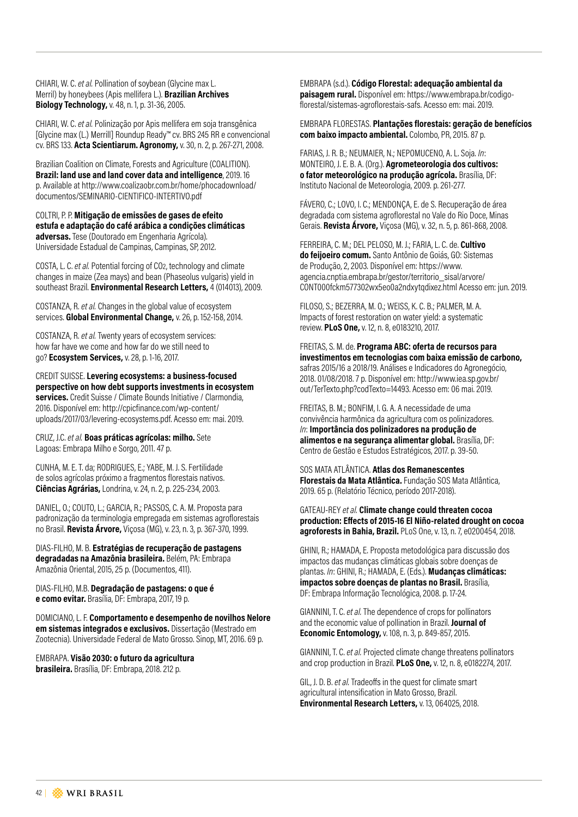CHIARI, W. C. *et al.* Pollination of soybean (Glycine max L. Merril) by honeybees (Apis mellifera L.). **Brazilian Archives Biology Technology,** v. 48, n. 1, p. 31-36, 2005.

CHIARI, W. C. *et al.* Polinização por Apis mellifera em soja transgênica [Glycine max (L.) Merrill] Roundup Ready™ cv. BRS 245 RR e convencional cv. BRS 133. **Acta Scientiarum. Agronomy,** v. 30, n. 2, p. 267-271, 2008.

Brazilian Coalition on Climate, Forests and Agriculture (COALITION). **Brazil: land use and land cover data and intelligence**, 2019. 16 p. Available at http://www.coalizaobr.com.br/home/phocadownload/ documentos/SEMINARIO-CIENTIFICO-INTERTIVO.pdf

COLTRI, P. P. **Mitigação de emissões de gases de efeito estufa e adaptação do café arábica a condições climáticas adversas.** Tese (Doutorado em Engenharia Agrícola). Universidade Estadual de Campinas, Campinas, SP, 2012.

COSTA, L. C. *et al.* Potential forcing of CO2, technology and climate changes in maize (Zea mays) and bean (Phaseolus vulgaris) yield in southeast Brazil. **Environmental Research Letters,** 4 (014013), 2009.

COSTANZA, R. *et al.* Changes in the global value of ecosystem services. **Global Environmental Change,** v. 26, p. 152-158, 2014.

COSTANZA, R. *et al.* Twenty years of ecosystem services: how far have we come and how far do we still need to go? **Ecosystem Services,** v. 28, p. 1-16, 2017.

CREDIT SUISSE. **Levering ecosystems: a business-focused perspective on how debt supports investments in ecosystem services.** Credit Suisse / Climate Bounds Initiative / Clarmondia, 2016. Disponível em: http://cpicfinance.com/wp-content/ uploads/2017/03/levering-ecosystems.pdf. Acesso em: mai. 2019.

CRUZ, J.C. *et al.* **Boas práticas agrícolas: milho.** Sete Lagoas: Embrapa Milho e Sorgo, 2011. 47 p.

CUNHA, M. E. T. da; RODRIGUES, E.; YABE, M. J. S. Fertilidade de solos agrícolas próximo a fragmentos florestais nativos. **Ciências Agrárias,** Londrina, v. 24, n. 2, p. 225-234, 2003.

DANIEL, O.; COUTO, L.; GARCIA, R.; PASSOS, C. A. M. Proposta para padronização da terminologia empregada em sistemas agroflorestais no Brasil. **Revista Árvore,** Viçosa (MG), v. 23, n. 3, p. 367-370, 1999.

DIAS-FILHO, M. B. **Estratégias de recuperação de pastagens degradadas na Amazônia brasileira.** Belém, PA: Embrapa Amazônia Oriental, 2015, 25 p. (Documentos, 411).

DIAS-FILHO, M.B. **Degradação de pastagens: o que é e como evitar.** Brasília, DF: Embrapa, 2017, 19 p.

DOMICIANO, L. F. **Comportamento e desempenho de novilhos Nelore em sistemas integrados e exclusivos.** Dissertação (Mestrado em Zootecnia). Universidade Federal de Mato Grosso. Sinop, MT, 2016. 69 p.

EMBRAPA. **Visão 2030: o futuro da agricultura brasileira.** Brasília, DF: Embrapa, 2018. 212 p.

EMBRAPA (s.d.). **Código Florestal: adequação ambiental da paisagem rural.** Disponível em: https://www.embrapa.br/codigoflorestal/sistemas-agroflorestais-safs. Acesso em: mai. 2019.

#### EMBRAPA FLORESTAS. **Plantações florestais: geração de benefícios com baixo impacto ambiental.** Colombo, PR, 2015. 87 p.

FARIAS, J. R. B.; NEUMAIER, N.; NEPOMUCENO, A. L. Soja. *In*: MONTEIRO, J. E. B. A. (Org.). **Agrometeorologia dos cultivos: o fator meteorológico na produção agrícola.** Brasília, DF: Instituto Nacional de Meteorologia, 2009. p. 261-277.

FÁVERO, C.; LOVO, I. C.; MENDONÇA, E. de S. Recuperação de área degradada com sistema agroflorestal no Vale do Rio Doce, Minas Gerais. **Revista Árvore,** Viçosa (MG), v. 32, n. 5, p. 861-868, 2008.

FERREIRA, C. M.; DEL PELOSO, M. J.; FARIA, L. C. de. **Cultivo do feijoeiro comum.** Santo Antônio de Goiás, GO: Sistemas de Produção, 2, 2003. Disponível em: https://www. agencia.cnptia.embrapa.br/gestor/territorio\_sisal/arvore/ CONT000fckm577302wx5eo0a2ndxytqdixez.html Acesso em: jun. 2019.

FILOSO, S.; BEZERRA, M. O.; WEISS, K. C. B.; PALMER, M. A. Impacts of forest restoration on water yield: a systematic review. **PLoS One,** v. 12, n. 8, e0183210, 2017.

FREITAS, S. M. de. **Programa ABC: oferta de recursos para investimentos em tecnologias com baixa emissão de carbono,**  safras 2015/16 a 2018/19. Análises e Indicadores do Agronegócio, 2018. 01/08/2018. 7 p. Disponível em: http://www.iea.sp.gov.br/ out/TerTexto.php?codTexto=14493. Acesso em: 06 mai. 2019.

FREITAS, B. M.; BONFIM, I. G. A. A necessidade de uma convivência harmônica da agricultura com os polinizadores. *In*: **Importância dos polinizadores na produção de alimentos e na segurança alimentar global.** Brasília, DF: Centro de Gestão e Estudos Estratégicos, 2017. p. 39-50.

SOS MATA ATLÂNTICA. **Atlas dos Remanescentes Florestais da Mata Atlântica.** Fundação SOS Mata Atlântica, 2019. 65 p. (Relatório Técnico, período 2017-2018).

GATEAU-REY *et al.* **Climate change could threaten cocoa production: Effects of 2015-16 El Niño-related drought on cocoa agroforests in Bahia, Brazil.** PLoS One, v. 13, n. 7, e0200454, 2018.

GHINI, R.; HAMADA, E. Proposta metodológica para discussão dos impactos das mudanças climáticas globais sobre doenças de plantas. *In*: GHINI, R.; HAMADA, E. (Eds.). **Mudanças climáticas: impactos sobre doenças de plantas no Brasil.** Brasília, DF: Embrapa Informação Tecnológica, 2008. p. 17-24.

GIANNINI, T. C. *et al.* The dependence of crops for pollinators and the economic value of pollination in Brazil. **Journal of Economic Entomology,** v. 108, n. 3, p. 849-857, 2015.

GIANNINI, T. C. *et al.* Projected climate change threatens pollinators and crop production in Brazil. **PLoS One,** v. 12, n. 8, e0182274, 2017.

GIL, J. D. B. *et al.* Tradeoffs in the quest for climate smart agricultural intensification in Mato Grosso, Brazil. **Environmental Research Letters,** v. 13, 064025, 2018.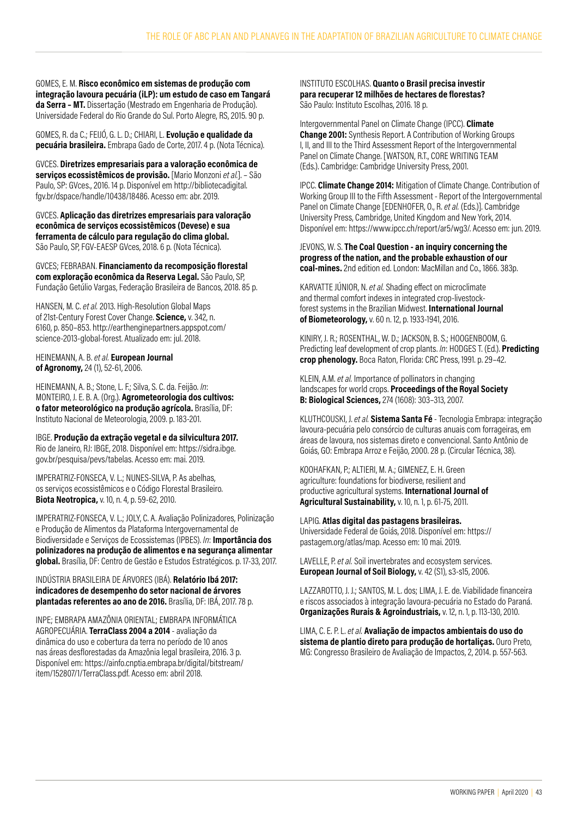GOMES, E. M. **Risco econômico em sistemas de produção com integração lavoura pecuária (iLP): um estudo de caso em Tangará da Serra – MT.** Dissertação (Mestrado em Engenharia de Produção). Universidade Federal do Rio Grande do Sul. Porto Alegre, RS, 2015. 90 p.

GOMES, R. da C.; FEIJÓ, G. L. D.; CHIARI, L. **Evolução e qualidade da pecuária brasileira.** Embrapa Gado de Corte, 2017. 4 p. (Nota Técnica).

GVCES. **Diretrizes empresariais para a valoração econômica de serviços ecossistêmicos de provisão.** [Mario Monzoni *et al.*]. – São Paulo, SP: GVces., 2016. 14 p. Disponível em http://bibliotecadigital. fgv.br/dspace/handle/10438/18486. Acesso em: abr. 2019.

GVCES. **Aplicação das diretrizes empresariais para valoração econômica de serviços ecossistêmicos (Devese) e sua ferramenta de cálculo para regulação do clima global.** São Paulo, SP, FGV-EAESP GVces, 2018. 6 p. (Nota Técnica).

GVCES; FEBRABAN. **Financiamento da recomposição florestal com exploração econômica da Reserva Legal.** São Paulo, SP, Fundação Getúlio Vargas, Federação Brasileira de Bancos, 2018. 85 p.

HANSEN, M. C. *et al.* 2013. High-Resolution Global Maps of 21st-Century Forest Cover Change. **Science,** v. 342, n. 6160, p. 850–853. http://earthenginepartners.appspot.com/ science-2013-global-forest. Atualizado em: jul. 2018.

HEINEMANN, A. B. *et al.* **European Journal of Agronomy,** 24 (1), 52-61, 2006.

HEINEMANN, A. B.; Stone, L. F.; Silva, S. C. da. Feijão. *In*: MONTEIRO, J. E. B. A. (Org.). **Agrometeorologia dos cultivos: o fator meteorológico na produção agrícola.** Brasília, DF: Instituto Nacional de Meteorologia, 2009. p. 183-201.

IBGE. **Produção da extração vegetal e da silvicultura 2017.** Rio de Janeiro, RJ: IBGE, 2018. Disponível em: https://sidra.ibge. gov.br/pesquisa/pevs/tabelas. Acesso em: mai. 2019.

IMPERATRIZ-FONSECA, V. L.; NUNES-SILVA, P. As abelhas, os serviços ecossistêmicos e o Código Florestal Brasileiro. **Biota Neotropica,** v. 10, n. 4, p. 59-62, 2010.

IMPERATRIZ-FONSECA, V. L.; JOLY, C. A. Avaliação Polinizadores, Polinização e Produção de Alimentos da Plataforma Intergovernamental de Biodiversidade e Serviços de Ecossistemas (IPBES). *In*: **Importância dos polinizadores na produção de alimentos e na segurança alimentar global.** Brasília, DF: Centro de Gestão e Estudos Estratégicos. p. 17-33, 2017.

INDÚSTRIA BRASILEIRA DE ÁRVORES (IBÁ). **Relatório Ibá 2017: indicadores de desempenho do setor nacional de árvores plantadas referentes ao ano de 2016.** Brasília, DF: IBÁ, 2017. 78 p.

INPE; EMBRAPA AMAZÔNIA ORIENTAL; EMBRAPA INFORMÁTICA AGROPECUÁRIA. **TerraClass 2004 a 2014** - avaliação da dinâmica do uso e cobertura da terra no período de 10 anos nas áreas desflorestadas da Amazônia legal brasileira, 2016. 3 p. Disponível em: https://ainfo.cnptia.embrapa.br/digital/bitstream/ item/152807/1/TerraClass.pdf. Acesso em: abril 2018.

INSTITUTO ESCOLHAS. **Quanto o Brasil precisa investir para recuperar 12 milhões de hectares de florestas?** São Paulo: Instituto Escolhas, 2016. 18 p.

Intergovernmental Panel on Climate Change (IPCC). **Climate Change 2001:** Synthesis Report. A Contribution of Working Groups I, II, and III to the Third Assessment Report of the Intergovernmental Panel on Climate Change. [WATSON, R.T., CORE WRITING TEAM (Eds.). Cambridge: Cambridge University Press, 2001.

IPCC. **Climate Change 2014:** Mitigation of Climate Change. Contribution of Working Group III to the Fifth Assessment - Report of the Intergovernmental Panel on Climate Change [EDENHOFER, O., R. *et al.* (Eds.)]. Cambridge University Press, Cambridge, United Kingdom and New York, 2014. Disponível em: https://www.ipcc.ch/report/ar5/wg3/. Acesso em: jun. 2019.

#### JEVONS, W. S. **The Coal Question - an inquiry concerning the progress of the nation, and the probable exhaustion of our coal-mines.** 2nd edition ed. London: MacMillan and Co., 1866. 383p.

KARVATTE JÚNIOR, N. *et al.* Shading effect on microclimate and thermal comfort indexes in integrated crop-livestockforest systems in the Brazilian Midwest. **International Journal of Biometeorology,** v. 60 n. 12, p. 1933-1941, 2016.

KINIRY, J. R.; ROSENTHAL, W. D.; JACKSON, B. S.; HOOGENBOOM, G. Predicting leaf development of crop plants. *In*: HODGES T. (Ed.). **Predicting crop phenology.** Boca Raton, Florida: CRC Press, 1991. p. 29–42.

KLEIN, A.M. *et al.* Importance of pollinators in changing landscapes for world crops. **Proceedings of the Royal Society B: Biological Sciences,** 274 (1608): 303–313, 2007.

KLUTHCOUSKI, J. *et al.* **Sistema Santa Fé** - Tecnologia Embrapa: integração lavoura-pecuária pelo consórcio de culturas anuais com forrageiras, em áreas de lavoura, nos sistemas direto e convencional. Santo Antônio de Goiás, GO: Embrapa Arroz e Feijão, 2000. 28 p. (Circular Técnica, 38).

KOOHAFKAN, P.; ALTIERI, M. A.; GIMENEZ, E. H. Green agriculture: foundations for biodiverse, resilient and productive agricultural systems. **International Journal of Agricultural Sustainability,** v. 10, n. 1, p. 61-75, 2011.

LAPIG. **Atlas digital das pastagens brasileiras.** Universidade Federal de Goiás, 2018. Disponível em: https:// pastagem.org/atlas/map. Acesso em: 10 mai. 2019.

LAVELLE, P. *et al.* Soil invertebrates and ecosystem services. **European Journal of Soil Biology,** v. 42 (S1), s3-s15, 2006.

LAZZAROTTO, J. J.; SANTOS, M. L. dos; LIMA, J. E. de. Viabilidade financeira e riscos associados à integração lavoura-pecuária no Estado do Paraná. **Organizações Rurais & Agroindustriais,** v. 12, n. 1, p. 113-130, 2010.

LIMA, C. E. P. L. *et al.* **Avaliação de impactos ambientais do uso do sistema de plantio direto para produção de hortaliças.** Ouro Preto, MG: Congresso Brasileiro de Avaliação de Impactos, 2, 2014. p. 557-563.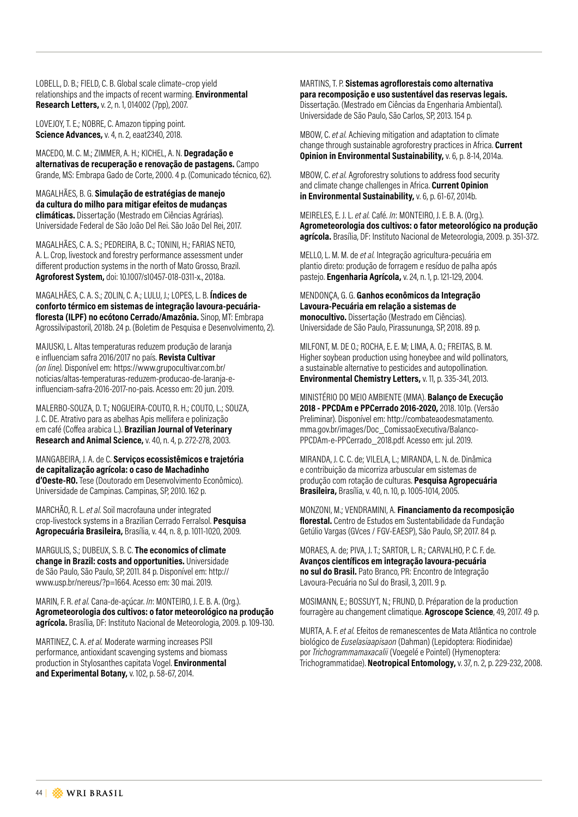LOBELL, D. B.; FIELD, C. B. Global scale climate–crop yield relationships and the impacts of recent warming. **Environmental Research Letters,** v. 2, n. 1, 014002 (7pp), 2007.

LOVEJOY, T. E.; NOBRE, C. Amazon tipping point. **Science Advances,** v. 4, n. 2, eaat2340, 2018.

MACEDO, M. C. M.; ZIMMER, A. H.; KICHEL, A. N. **Degradação e alternativas de recuperação e renovação de pastagens.** Campo Grande, MS: Embrapa Gado de Corte, 2000. 4 p. (Comunicado técnico, 62).

MAGALHÃES, B. G. **Simulação de estratégias de manejo da cultura do milho para mitigar efeitos de mudanças climáticas.** Dissertação (Mestrado em Ciências Agrárias). Universidade Federal de São João Del Rei. São João Del Rei, 2017.

MAGALHÃES, C. A. S.; PEDREIRA, B. C.; TONINI, H.; FARIAS NETO, A. L. Crop, livestock and forestry performance assessment under different production systems in the north of Mato Grosso, Brazil. **Agroforest System,** doi: 10.1007/s10457-018-0311-x., 2018a.

MAGALHÃES, C. A. S.; ZOLIN, C. A.; LULU, J.; LOPES, L. B. **Índices de conforto térmico em sistemas de integração lavoura-pecuáriafloresta (ILPF) no ecótono Cerrado/Amazônia.** Sinop, MT: Embrapa Agrossilvipastoril, 2018b. 24 p. (Boletim de Pesquisa e Desenvolvimento, 2).

MAJUSKI, L. Altas temperaturas reduzem produção de laranja e influenciam safra 2016/2017 no país. **Revista Cultivar**  *(on line).* Disponível em: https://www.grupocultivar.com.br/ noticias/altas-temperaturas-reduzem-producao-de-laranja-einfluenciam-safra-2016-2017-no-pais. Acesso em: 20 jun. 2019.

MALERBO-SOUZA, D. T.; NOGUEIRA-COUTO, R. H.; COUTO, L.; SOUZA, J. C. DE. Atrativo para as abelhas Apis mellifera e polinização em café (Coffea arabica L.). **Brazilian Journal of Veterinary Research and Animal Science,** v. 40, n. 4, p. 272-278, 2003.

MANGABEIRA, J. A. de C. **Serviços ecossistêmicos e trajetória de capitalização agrícola: o caso de Machadinho d'Oeste-RO.** Tese (Doutorado em Desenvolvimento Econômico). Universidade de Campinas. Campinas, SP, 2010. 162 p.

MARCHÃO, R. L. *et al.* Soil macrofauna under integrated crop-livestock systems in a Brazilian Cerrado Ferralsol. **Pesquisa Agropecuária Brasileira,** Brasília, v. 44, n. 8, p. 1011-1020, 2009.

MARGULIS, S.; DUBEUX, S. B. C. **The economics of climate change in Brazil: costs and opportunities.** Universidade de São Paulo, São Paulo, SP, 2011. 84 p. Disponível em: http:// www.usp.br/nereus/?p=1664. Acesso em: 30 mai. 2019.

MARIN, F. R. *et al.* Cana-de-açúcar. *In*: MONTEIRO, J. E. B. A. (Org.). **Agrometeorologia dos cultivos: o fator meteorológico na produção agrícola.** Brasília, DF: Instituto Nacional de Meteorologia, 2009. p. 109-130.

MARTINEZ, C. A. *et al.* Moderate warming increases PSII performance, antioxidant scavenging systems and biomass production in Stylosanthes capitata Vogel. **Environmental and Experimental Botany,** v. 102, p. 58-67, 2014.

MARTINS, T. P. **Sistemas agroflorestais como alternativa para recomposição e uso sustentável das reservas legais.** Dissertação. (Mestrado em Ciências da Engenharia Ambiental). Universidade de São Paulo, São Carlos, SP, 2013. 154 p.

MBOW, C. *et al.* Achieving mitigation and adaptation to climate change through sustainable agroforestry practices in Africa. **Current Opinion in Environmental Sustainability,** v. 6, p. 8-14, 2014a.

MBOW, C. *et al.* Agroforestry solutions to address food security and climate change challenges in Africa. **Current Opinion in Environmental Sustainability,** v. 6, p. 61-67, 2014b.

MEIRELES, E. J. L. *et al.* Café. *In*: MONTEIRO, J. E. B. A. (Org.). **Agrometeorologia dos cultivos: o fator meteorológico na produção agrícola.** Brasília, DF: Instituto Nacional de Meteorologia, 2009. p. 351-372.

MELLO, L. M. M. de *et al.* Integração agricultura-pecuária em plantio direto: produção de forragem e resíduo de palha após pastejo. **Engenharia Agrícola,** v. 24, n. 1, p. 121-129, 2004.

MENDONÇA, G. G. **Ganhos econômicos da Integração Lavoura-Pecuária em relação a sistemas de monocultivo.** Dissertação (Mestrado em Ciências). Universidade de São Paulo, Pirassununga, SP, 2018. 89 p.

MILFONT, M. DE O.; ROCHA, E. E. M; LIMA, A. O.; FREITAS, B. M. Higher soybean production using honeybee and wild pollinators, a sustainable alternative to pesticides and autopollination. **Environmental Chemistry Letters,** v. 11, p. 335-341, 2013.

MINISTÉRIO DO MEIO AMBIENTE (MMA). **Balanço de Execução 2018 - PPCDAm e PPCerrado 2016-2020,** 2018. 101p. (Versão Preliminar). Disponível em: http://combateaodesmatamento. mma.gov.br/images/Doc\_ComissaoExecutiva/Balanco-PPCDAm-e-PPCerrado\_2018.pdf. Acesso em: jul. 2019.

MIRANDA, J. C. C. de; VILELA, L.; MIRANDA, L. N. de. Dinâmica e contribuição da micorriza arbuscular em sistemas de produção com rotação de culturas. **Pesquisa Agropecuária Brasileira,** Brasília, v. 40, n. 10, p. 1005-1014, 2005.

MONZONI, M.; VENDRAMINI, A. **Financiamento da recomposição florestal.** Centro de Estudos em Sustentabilidade da Fundação Getúlio Vargas (GVces / FGV-EAESP), São Paulo, SP, 2017. 84 p.

MORAES, A. de; PIVA, J. T.; SARTOR, L. R.; CARVALHO, P. C. F. de. **Avanços científicos em integração lavoura-pecuária no sul do Brasil.** Pato Branco, PR: Encontro de Integração Lavoura-Pecuária no Sul do Brasil, 3, 2011. 9 p.

MOSIMANN, E.; BOSSUYT, N.; FRUND, D. Préparation de la production fourragère au changement climatique. **Agroscope Science**, 49, 2017. 49 p.

MURTA, A. F. *et al.* Efeitos de remanescentes de Mata Atlântica no controle biológico de *Euselasiaapisaon* (Dahman) (Lepidoptera: Riodinidae) por *Trichogrammamaxacalii* (Voegelé e Pointel) (Hymenoptera: Trichogrammatidae). **Neotropical Entomology,** v. 37, n. 2, p. 229-232, 2008.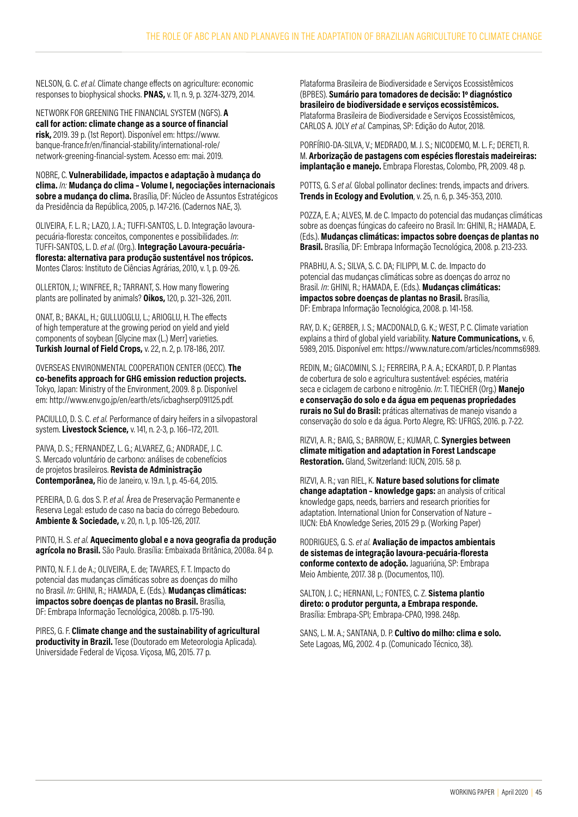NELSON, G. C. *et al.* Climate change effects on agriculture: economic responses to biophysical shocks. **PNAS,** v. 11, n. 9, p. 3274-3279, 2014.

NETWORK FOR GREENING THE FINANCIAL SYSTEM (NGFS). **A call for action: climate change as a source of financial risk,** 2019. 39 p. (1st Report). Disponível em: https://www. banque-france.fr/en/financial-stability/international-role/ network-greening-financial-system. Acesso em: mai. 2019.

NOBRE, C. **Vulnerabilidade, impactos e adaptação à mudança do clima.** *In:* **Mudança do clima – Volume I, negociações internacionais sobre a mudança do clima.** Brasília, DF: Núcleo de Assuntos Estratégicos da Presidência da República, 2005, p. 147-216. (Cadernos NAE, 3).

OLIVEIRA, F. L. R.; LAZO, J. A.; TUFFI-SANTOS, L. D. Integração lavourapecuária-floresta: conceitos, componentes e possibilidades. *In*: TUFFI-SANTOS, L. D. *et al.* (Org.). **Integração Lavoura-pecuáriafloresta: alternativa para produção sustentável nos trópicos.** Montes Claros: Instituto de Ciências Agrárias, 2010, v. 1, p. 09-26.

OLLERTON, J.; WINFREE, R.; TARRANT, S. How many flowering plants are pollinated by animals? **Oikos,** 120, p. 321–326, 2011.

ONAT, B.; BAKAL, H.; GULLUOGLU, L.; ARIOGLU, H. The effects of high temperature at the growing period on yield and yield components of soybean [Glycine max (L.) Merr] varieties. **Turkish Journal of Field Crops,** v. 22, n. 2, p. 178-186, 2017.

OVERSEAS ENVIRONMENTAL COOPERATION CENTER (OECC). **The co-benefits approach for GHG emission reduction projects.** Tokyo, Japan: Ministry of the Environment, 2009. 8 p. Disponível em: http://www.env.go.jp/en/earth/ets/icbaghserp091125.pdf.

PACIULLO, D. S. C. *et al.* Performance of dairy heifers in a silvopastoral system. **Livestock Science,** v. 141, n. 2-3, p. 166–172, 2011.

PAIVA, D. S.; FERNANDEZ, L. G.; ALVAREZ, G.; ANDRADE, J. C. S. Mercado voluntário de carbono: análises de cobenefícios de projetos brasileiros. **Revista de Administração Contemporânea,** Rio de Janeiro, v. 19.n. 1, p. 45-64, 2015.

PEREIRA, D. G. dos S. P. *et al.* Área de Preservação Permanente e Reserva Legal: estudo de caso na bacia do córrego Bebedouro. **Ambiente & Sociedade,** v. 20, n. 1, p. 105-126, 2017.

PINTO, H. S. *et al.* **Aquecimento global e a nova geografia da produção agrícola no Brasil.** São Paulo. Brasília: Embaixada Britânica, 2008a. 84 p.

PINTO, N. F. J. de A.; OLIVEIRA, E. de; TAVARES, F. T. Impacto do potencial das mudanças climáticas sobre as doenças do milho no Brasil. *In*: GHINI, R.; HAMADA, E. (Eds.). **Mudanças climáticas: impactos sobre doenças de plantas no Brasil.** Brasília, DF: Embrapa Informação Tecnológica, 2008b. p. 175-190.

PIRES, G. F. **Climate change and the sustainability of agricultural productivity in Brazil.** Tese (Doutorado em Meteorologia Aplicada). Universidade Federal de Viçosa. Viçosa, MG, 2015. 77 p.

Plataforma Brasileira de Biodiversidade e Serviços Ecossistêmicos (BPBES). **Sumário para tomadores de decisão: 1º diagnóstico brasileiro de biodiversidade e serviços ecossistêmicos.** Plataforma Brasileira de Biodiversidade e Serviços Ecossistêmicos, CARLOS A. JOLY *et al.* Campinas, SP: Edição do Autor, 2018.

PORFÍRIO-DA-SILVA, V.; MEDRADO, M. J. S.; NICODEMO, M. L. F.; DERETI, R. M. **Arborização de pastagens com espécies florestais madeireiras: implantação e manejo.** Embrapa Florestas, Colombo, PR, 2009. 48 p.

POTTS, G. S *et al.* Global pollinator declines: trends, impacts and drivers. **Trends in Ecology and Evolution**, v. 25, n. 6, p. 345-353, 2010.

POZZA, E. A.; ALVES, M. de C. Impacto do potencial das mudanças climáticas sobre as doenças fúngicas do cafeeiro no Brasil. In: GHINI, R.; HAMADA, E. (Eds.). **Mudanças climáticas: impactos sobre doenças de plantas no Brasil.** Brasília, DF: Embrapa Informação Tecnológica, 2008. p. 213-233.

PRABHU, A. S.; SILVA, S. C. DA; FILIPPI, M. C. de. Impacto do potencial das mudanças climáticas sobre as doenças do arroz no Brasil. *In*: GHINI, R.; HAMADA, E. (Eds.). **Mudanças climáticas: impactos sobre doenças de plantas no Brasil.** Brasília, DF: Embrapa Informação Tecnológica, 2008. p. 141-158.

RAY, D. K.; GERBER, J. S.; MACDONALD, G. K.; WEST, P. C. Climate variation explains a third of global yield variability. **Nature Communications,** v. 6, 5989, 2015. Disponível em: https://www.nature.com/articles/ncomms6989.

REDIN, M.; GIACOMINI, S. J.; FERREIRA, P. A. A.; ECKARDT, D. P. Plantas de cobertura de solo e agricultura sustentável: espécies, matéria seca e ciclagem de carbono e nitrogênio. *In*: T. TIECHER (Org.) **Manejo e conservação do solo e da água em pequenas propriedades rurais no Sul do Brasil:** práticas alternativas de manejo visando a conservação do solo e da água. Porto Alegre, RS: UFRGS, 2016. p. 7-22.

RIZVI, A. R.; BAIG, S.; BARROW, E.; KUMAR, C. **Synergies between climate mitigation and adaptation in Forest Landscape Restoration.** Gland, Switzerland: IUCN, 2015. 58 p.

RIZVI, A. R.; van RIEL, K. **Nature based solutions for climate change adaptation – knowledge gaps:** an analysis of critical knowledge gaps, needs, barriers and research priorities for adaptation. International Union for Conservation of Nature – IUCN: EbA Knowledge Series, 2015 29 p. (Working Paper)

RODRIGUES, G. S. *et al.* **Avaliação de impactos ambientais de sistemas de integração lavoura-pecuária-floresta conforme contexto de adoção.** Jaguariúna, SP: Embrapa Meio Ambiente, 2017. 38 p. (Documentos, 110).

SALTON, J. C.; HERNANI, L.; FONTES, C. Z. **Sistema plantio direto: o produtor pergunta, a Embrapa responde.** Brasília: Embrapa-SPI; Embrapa-CPAO, 1998. 248p.

SANS, L. M. A.; SANTANA, D. P. **Cultivo do milho: clima e solo.**  Sete Lagoas, MG, 2002. 4 p. (Comunicado Técnico, 38).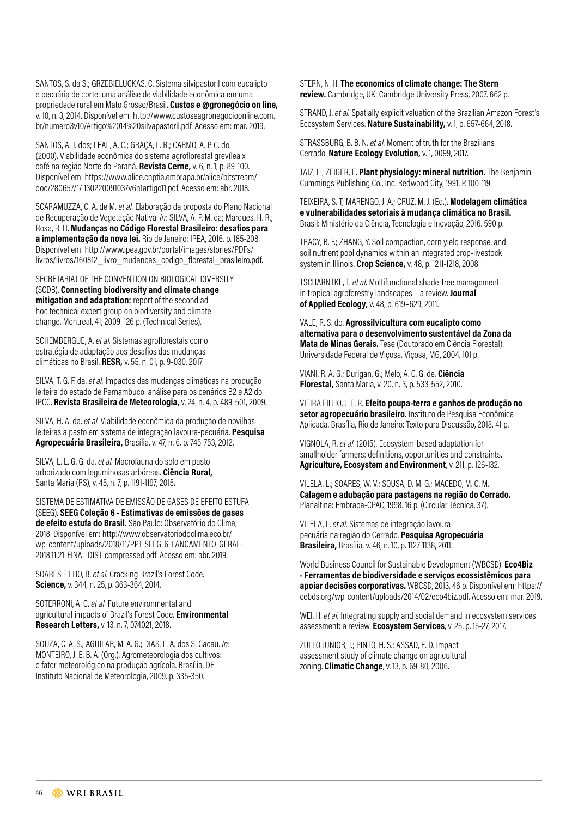SANTOS, S. da S.; GRZEBIELUCKAS, C. Sistema silvipastoril com eucalipto e pecuária de corte: uma análise de viabilidade econômica em uma propriedade rural em Mato Grosso/Brasil. **Custos e @gronegócio on line,** v. 10, n. 3, 2014. Disponível em: http://www.custoseagronegocioonline.com. br/numero3v10/Artigo%2014%20silvapastoril.pdf. Acesso em: mar. 2019.

SANTOS, A. J. dos; LEAL, A. C.; GRAÇA, L. R.; CARMO, A. P. C. do. (2000). Viabilidade econômica do sistema agroflorestal grevílea x café na região Norte do Paraná. **Revista Cerne,** v. 6, n. 1, p. 89-100. Disponível em: https://www.alice.cnptia.embrapa.br/alice/bitstream/ doc/280657/1/ 130220091037v6n1artigo11.pdf. Acesso em: abr. 2018.

SCARAMUZZA, C. A. de M. *et al.* Elaboração da proposta do Plano Nacional de Recuperação de Vegetação Nativa. *In*: SILVA, A. P. M. da; Marques, H. R.; Rosa, R. H. **Mudanças no Código Florestal Brasileiro: desafios para a implementação da nova lei.** Rio de Janeiro: IPEA, 2016. p. 185-208. Disponível em: http://www.ipea.gov.br/portal/images/stories/PDFs/ livros/livros/160812\_livro\_mudancas\_codigo\_florestal\_brasileiro.pdf.

SECRETARIAT OF THE CONVENTION ON BIOLOGICAL DIVERSITY (SCDB). **Connecting biodiversity and climate change mitigation and adaptation:** report of the second ad hoc technical expert group on biodiversity and climate change. Montreal, 41, 2009. 126 p. (Technical Series).

SCHEMBERGUE, A. *et al.* Sistemas agroflorestais como estratégia de adaptação aos desafios das mudanças climáticas no Brasil. **RESR,** v. 55, n. 01, p. 9-030, 2017.

SILVA, T. G. F. da. *et al.* Impactos das mudanças climáticas na produção leiteira do estado de Pernambuco: análise para os cenários B2 e A2 do IPCC. **Revista Brasileira de Meteorologia,** v. 24, n. 4, p. 489-501, 2009.

SILVA, H. A. da. *et al.* Viabilidade econômica da produção de novilhas leiteiras a pasto em sistema de integração lavoura-pecuária. **Pesquisa Agropecuária Brasileira,** Brasília, v. 47, n. 6, p. 745-753, 2012.

SILVA, L. L. G. G. da. *et al.* Macrofauna do solo em pasto arborizado com leguminosas arbóreas. **Ciência Rural,** Santa Maria (RS), v. 45, n. 7, p. 1191-1197, 2015.

SISTEMA DE ESTIMATIVA DE EMISSÃO DE GASES DE EFEITO ESTUFA (SEEG). **SEEG Coleção 6 - Estimativas de emissões de gases de efeito estufa do Brasil.** São Paulo: Observatório do Clima, 2018. Disponível em: http://www.observatoriodoclima.eco.br/ wp-content/uploads/2018/11/PPT-SEEG-6-LANCAMENTO-GERAL-2018.11.21-FINAL-DIST-compressed.pdf. Acesso em: abr. 2019.

SOARES FILHO, B. *et al.* Cracking Brazil's Forest Code. **Science,** v. 344, n. 25, p. 363-364, 2014.

SOTERRONI, A. C. *et al.* Future environmental and agricultural impacts of Brazil's Forest Code. **Environmental Research Letters,** v. 13, n. 7, 074021, 2018.

SOUZA, C. A. S.; AGUILAR, M. A. G.; DIAS, L. A. dos S. Cacau. *In*: MONTEIRO, J. E. B. A. (Org.). Agrometeorologia dos cultivos: o fator meteorológico na produção agrícola. Brasília, DF: Instituto Nacional de Meteorologia, 2009. p. 335-350.

STERN, N. H. **The economics of climate change: The Stern review.** Cambridge, UK: Cambridge University Press, 2007. 662 p.

STRAND, J. *et al.* Spatially explicit valuation of the Brazilian Amazon Forest's Ecosystem Services. **Nature Sustainability,** v. 1, p. 657-664, 2018.

STRASSBURG, B. B. N. *et al.* Moment of truth for the Brazilians Cerrado. **Nature Ecology Evolution,** v. 1, 0099, 2017.

TAIZ, L.; ZEIGER, E. **Plant physiology: mineral nutrition.** The Benjamin Cummings Publishing Co., Inc. Redwood City, 1991. P. 100-119.

TEIXEIRA, S. T; MARENGO, J. A.; CRUZ, M. J. (Ed.). **Modelagem climática e vulnerabilidades setoriais à mudança climática no Brasil.** Brasil: Ministério da Ciência, Tecnologia e Inovação, 2016. 590 p.

TRACY, B. F.; ZHANG, Y. Soil compaction, corn yield response, and soil nutrient pool dynamics within an integrated crop-livestock system in Illinois. **Crop Science,** v. 48, p. 1211-1218, 2008.

TSCHARNTKE, T. *et al.* Multifunctional shade-tree management in tropical agroforestry landscapes – a review. **Journal of Applied Ecology,** v. 48, p. 619–629, 2011.

VALE, R. S. do. **Agrossilvicultura com eucalipto como alternativa para o desenvolvimento sustentável da Zona da Mata de Minas Gerais.** Tese (Doutorado em Ciência Florestal). Universidade Federal de Viçosa. Viçosa, MG, 2004. 101 p.

VIANI, R. A. G.; Durigan, G.; Melo, A. C. G. de. **Ciência Florestal,** Santa Maria, v. 20, n. 3, p. 533-552, 2010.

VIEIRA FILHO, J. E. R. **Efeito poupa-terra e ganhos de produção no setor agropecuário brasileiro.** Instituto de Pesquisa Econômica Aplicada. Brasília, Rio de Janeiro: Texto para Discussão, 2018. 41 p.

VIGNOLA, R. *et al.* (2015). Ecosystem-based adaptation for smallholder farmers: definitions, opportunities and constraints. **Agriculture, Ecosystem and Environment**, v. 211, p. 126-132.

VILELA, L.; SOARES, W. V.; SOUSA, D. M. G.; MACEDO, M. C. M. **Calagem e adubação para pastagens na região do Cerrado.** Planaltina: Embrapa-CPAC, 1998. 16 p. (Circular Técnica, 37).

VILELA, L. *et al.* Sistemas de integração lavourapecuária na região do Cerrado. **Pesquisa Agropecuária Brasileira,** Brasília, v. 46, n. 10, p. 1127-1138, 2011.

World Business Council for Sustainable Development (WBCSD). **Eco4Biz - Ferramentas de biodiversidade e serviços ecossistêmicos para apoiar decisões corporativas.** WBCSD, 2013. 46 p. Disponível em: https:// cebds.org/wp-content/uploads/2014/02/eco4biz.pdf. Acesso em: mar. 2019.

WEI, H. *et al.* Integrating supply and social demand in ecosystem services assessment: a review. **Ecosystem Services**, v. 25, p. 15-27, 2017.

ZULLO JUNIOR, J.; PINTO, H. S.; ASSAD, E. D. Impact assessment study of climate change on agricultural zoning. **Climatic Change**, v. 13, p. 69-80, 2006.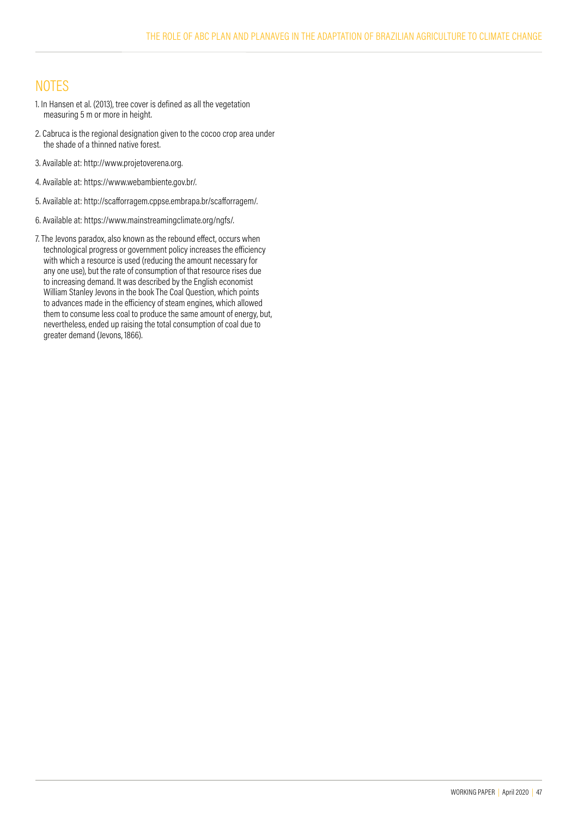## **NOTES**

- 1. In Hansen et al. (2013), tree cover is defined as all the vegetation measuring 5 m or more in height.
- 2. Cabruca is the regional designation given to the cocoo crop area under the shade of a thinned native forest.
- 3. Available at: http://www.projetoverena.org.
- 4. Available at: https://www.webambiente.gov.br/.
- 5. Available at: http://scafforragem.cppse.embrapa.br/scafforragem/.
- 6. Available at: https://www.mainstreamingclimate.org/ngfs/.
- 7. The Jevons paradox, also known as the rebound effect, occurs when technological progress or government policy increases the efficiency with which a resource is used (reducing the amount necessary for any one use), but the rate of consumption of that resource rises due to increasing demand. It was described by the English economist William Stanley Jevons in the book The Coal Question, which points to advances made in the efficiency of steam engines, which allowed them to consume less coal to produce the same amount of energy, but, nevertheless, ended up raising the total consumption of coal due to greater demand (Jevons, 1866).